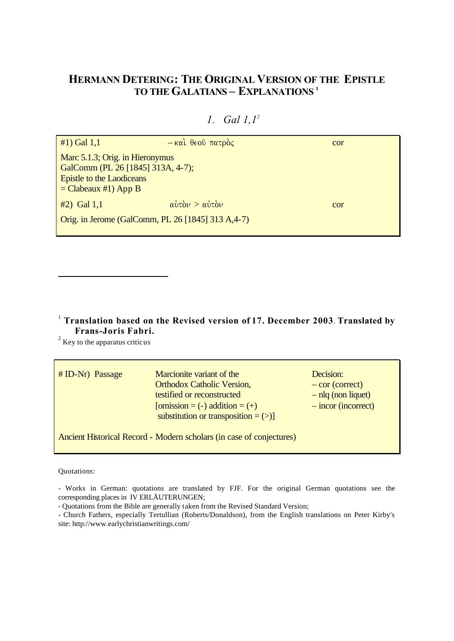# **HERMANN DETERING: THE ORIGINAL VERSION OF THE EPISTLE TO THE GALATIANS – EXPLANATIONS <sup>1</sup>**

| $#1)$ Gal 1,1                                                                                                               | $-$ και θεού πατρός                                                       | cor |
|-----------------------------------------------------------------------------------------------------------------------------|---------------------------------------------------------------------------|-----|
| Marc 5.1.3; Orig. in Hieronymus<br>GalComm (PL 26 [1845] 313A, 4-7);<br>Epistle to the Laodiceans<br>$=$ Clabeaux #1) App B |                                                                           |     |
| $#2)$ Gal 1,1                                                                                                               | $\alpha\dot{\nu}\tau\dot{\alpha}\nu > \alpha\dot{\nu}\tau\dot{\alpha}\nu$ | cor |
| Orig. in Jerome (GalComm, PL 26 [1845] 313 A, 4-7)                                                                          |                                                                           |     |

# *1. Gal 1,1<sup>2</sup>*

#### 1  **Translation based on the Revised version of 17. December 2003**. **Translated by Frans-Joris Fabri.**

 $2^{2}$  Key to the apparatus criticus

| $# ID-Nr$ ) Passage                                                  | Marcionite variant of the<br><b>Orthodox Catholic Version,</b><br>testified or reconstructed<br>[omission = $(-)$ addition = $(+)$<br>substitution or transposition $=$ (>)] | Decision:<br>$-$ cor (correct)<br>$-$ nlq (non liquet)<br>$-$ incor (incorrect) |
|----------------------------------------------------------------------|------------------------------------------------------------------------------------------------------------------------------------------------------------------------------|---------------------------------------------------------------------------------|
| Ancient Historical Record - Modern scholars (in case of conjectures) |                                                                                                                                                                              |                                                                                 |

#### Quotations:

l

- Works in German: quotations are translated by FJF. For the original German quotations see the corresponding places in IV ERLÄUTERUNGEN;

- Quotations from the Bible are generally taken from the Revised Standard Version;

- Church Fathers, especially Tertullian (Roberts/Donaldson), from the English translations on Peter Kirby's site: http://www.earlychristianwritings.com/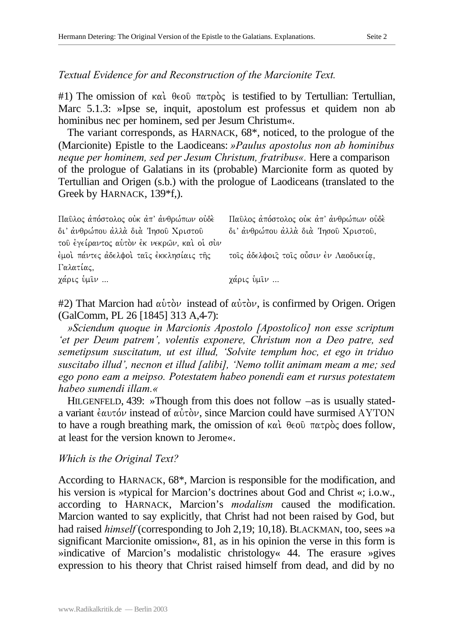*Textual Evidence for and Reconstruction of the Marcionite Text.*

#1) The omission of  $\kappa \alpha \iota$   $\theta \in \partial \Omega$   $\pi \alpha \tau \rho \delta \zeta$  is testified to by Tertullian: Tertullian, Marc 5.1.3: »Ipse se, inquit, apostolum est professus et quidem non ab hominibus nec per hominem, sed per Jesum Christum«.

The variant corresponds, as HARNACK, 68\*, noticed, to the prologue of the (Marcionite) Epistle to the Laodiceans: *»Paulus apostolus non ab hominibus neque per hominem, sed per Jesum Christum, fratribus«.* Here a comparison of the prologue of Galatians in its (probable) Marcionite form as quoted by Tertullian and Origen (s.b.) with the prologue of Laodiceans (translated to the Greek by HARNACK, 139\*f,).

| Παῦλος ἀπόστολος ούκ ἀπ' ἀνθρώπων ούδε     | Παῦλος ἀπόστολος ούκ ἀπ' ἀνθρώπων ούδε |
|--------------------------------------------|----------------------------------------|
| δι' άνθρώπου άλλά διά 'Ιησού Χριστού       | δι' άνθρώπου άλλά διά 'Ιησού Χριστού,  |
| του έγείραντος αυτόν έκ νεκρών, και οι συν |                                        |
| έμοι πάντες άδελφοι ταις έκκλησίαις της    | τοις άδελφοις τοις ούσιν έν Λαοδικεία, |
| Γαλατίας,                                  |                                        |
| χάρις ὑμῖν                                 | χάρις ὑμῖν                             |

 $#2$ ) That Marcion had  $\alpha\dot{\nu}\tau\dot{\alpha}\nu$  instead of  $\alpha\dot{\nu}\tau\dot{\alpha}\nu$ , is confirmed by Origen. Origen (GalComm, PL 26 [1845] 313 A,4-7):

*»Sciendum quoque in Marcionis Apostolo [Apostolico] non esse scriptum 'et per Deum patrem', volentis exponere, Christum non a Deo patre, sed semetipsum suscitatum, ut est illud, 'Solvite templum hoc, et ego in triduo suscitabo illud', necnon et illud [alibi], 'Nemo tollit animam meam a me; sed ego pono eam a meipso. Potestatem habeo ponendi eam et rursus potestatem habeo sumendi illam.«*

HILGENFELD, 439: »Though from this does not follow –as is usually stateda variant  $\dot{\epsilon}$ αυτόν instead of αὐτὸν, since Marcion could have surmised AYTON to have a rough breathing mark, the omission of  $\kappa \alpha \iota$ .  $\theta \in \partial \Omega$   $\pi \alpha \tau \rho \delta \varsigma$  does follow, at least for the version known to Jerome«.

#### *Which is the Original Text?*

According to HARNACK, 68\*, Marcion is responsible for the modification, and his version is »typical for Marcion's doctrines about God and Christ «; i.o.w., according to HARNACK, Marcion's *modalism* caused the modification. Marcion wanted to say explicitly, that Christ had not been raised by God, but had raised *himself* (corresponding to Joh 2,19; 10,18). BLACKMAN, too, sees »a significant Marcionite omission«, 81, as in his opinion the verse in this form is »indicative of Marcion's modalistic christology« 44. The erasure »gives expression to his theory that Christ raised himself from dead, and did by no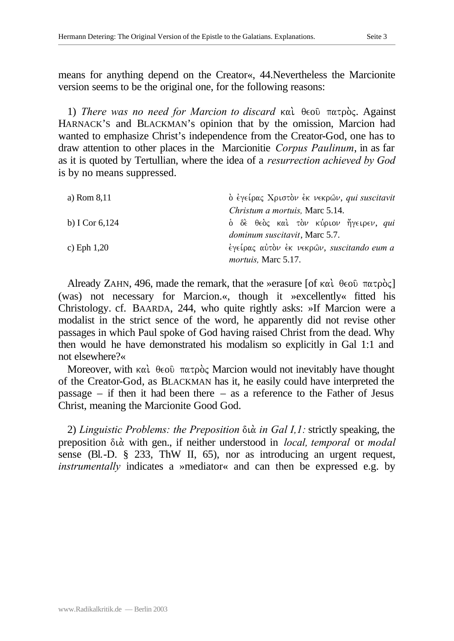means for anything depend on the Creator«, 44.Nevertheless the Marcionite version seems to be the original one, for the following reasons:

1) *There was no need for Marcion to discard* και θεοῦ πατρὸς. Against HARNACK'S and BLACKMAN's opinion that by the omission, Marcion had wanted to emphasize Christ's independence from the Creator-God, one has to draw attention to other places in the Marcionitie *Corpus Paulinum*, in as far as it is quoted by Tertullian, where the idea of a *resurrection achieved by God*  is by no means suppressed.

| a) Rom $8,11$    | ο έγείρας Χριστον έκ νεκρών, qui suscitavit  |  |
|------------------|----------------------------------------------|--|
|                  | Christum a mortuis, Marc 5.14.               |  |
| b) I Cor $6,124$ | δ δε θεδς και τον κύριον ήγειρεν, <i>qui</i> |  |
|                  | <i>dominum suscitavit</i> , Marc 5.7.        |  |
| c) Eph $1,20$    | έγείρας αύτον έκ νεκρών, suscitando eum a    |  |
|                  | <i>mortuis</i> , Marc 5.17.                  |  |

Already ZAHN, 496, made the remark, that the »erasure [of  $\kappa \alpha \iota$   $\theta \in \partial \Omega$   $\pi \alpha \tau \rho \dot{\alpha}$ ] (was) not necessary for Marcion.«, though it »excellently« fitted his Christology. cf. BAARDA, 244, who quite rightly asks: »If Marcion were a modalist in the strict sence of the word, he apparently did not revise other passages in which Paul spoke of God having raised Christ from the dead. Why then would he have demonstrated his modalism so explicitly in Gal 1:1 and not elsewhere?«

Moreover, with  $\kappa \alpha \iota$   $\theta \in \partial \Omega$   $\pi \alpha \tau \rho \dot{\rho} \varsigma$  Marcion would not inevitably have thought of the Creator-God, as BLACKMAN has it, he easily could have interpreted the passage – if then it had been there – as a reference to the Father of Jesus Christ, meaning the Marcionite Good God.

2) *Linguistic Problems: the Preposition* dia. *in Gal I,1:* strictly speaking, the preposition dia. with gen., if neither understood in *local, temporal* or *modal* sense (Bl.-D. § 233, ThW II, 65), nor as introducing an urgent request, *instrumentally* indicates a »mediator« and can then be expressed e.g. by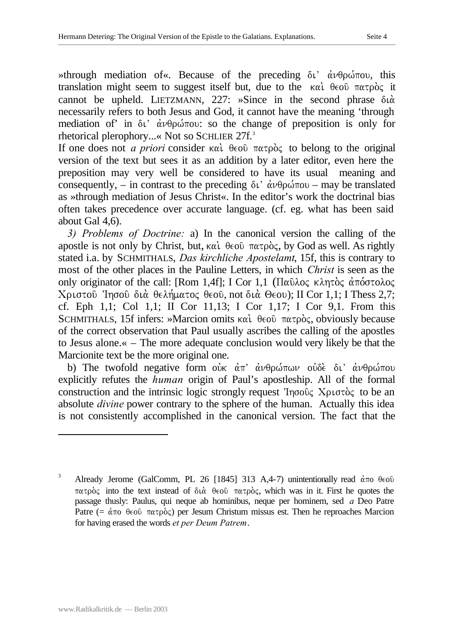»through mediation of «. Because of the preceding δι' άνθρώπου, this translation might seem to suggest itself but, due to the  $\kappa \alpha \iota$   $\theta \in \alpha \iota$   $\pi \alpha \tau \rho \dot{\alpha} \varsigma$  it cannot be upheld. LIETZMANN,  $227:$  »Since in the second phrase  $\delta \alpha$ . necessarily refers to both Jesus and God, it cannot have the meaning 'through mediation of' in  $\delta t$ '  $\dot{\alpha} \nu \theta \rho \dot{\omega} \pi \dot{\sigma}$  so the change of preposition is only for rhetorical plerophory...« Not so SCHLIER 27f.<sup>3</sup>

If one does not *a priori* consider και θεού πατρός to belong to the original version of the text but sees it as an addition by a later editor, even here the preposition may very well be considered to have its usual meaning and consequently, – in contrast to the preceding  $\delta v'$   $\dot{\alpha} \nu \theta \rho \omega \tau \omega$  – may be translated as »through mediation of Jesus Christ«. In the editor's work the doctrinal bias often takes precedence over accurate language. (cf. eg. what has been said about Gal 4,6).

*3) Problems of Doctrine:* a) In the canonical version the calling of the apostle is not only by Christ, but,  $\kappa \alpha \hat{i}$   $\theta \in \partial \Omega$   $\pi \alpha \tau \rho \dot{\rho} \zeta$ , by God as well. As rightly stated i.a. by SCHMITHALS, *Das kirchliche Apostelamt*, 15f, this is contrary to most of the other places in the Pauline Letters, in which *Christ* is seen as the only originator of the call: [Rom 1,4f]; I Cor 1,1 (Παῦλος κλητὸς ἀπόστολος Χριστού Ίησού διά θελήματος θεού, not διά Θεου); II Cor 1,1; I Thess 2,7; cf. Eph 1,1; Col 1,1; II Cor 11,13; I Cor 1,17; I Cor 9,1. From this SCHMITHALS, 15f infers: »Marcion omits  $\kappa \alpha \iota$ .  $\theta \in \partial \Omega$  πατρός, obviously because of the correct observation that Paul usually ascribes the calling of the apostles to Jesus alone.« – The more adequate conclusion would very likely be that the Marcionite text be the more original one.

b) The twofold negative form our  $\dot{\alpha}$ <sup>n</sup>  $\dot{\alpha}$ νθρώπων ουδε δι' ανθρώπου explicitly refutes the *human* origin of Paul's apostleship. All of the formal construction and the intrinsic logic strongly request ' $Inq\sigma\delta\zeta$  X $\rho\sigma\sigma\delta\zeta$  to be an absolute *divine* power contrary to the sphere of the human. Actually this idea is not consistently accomplished in the canonical version. The fact that the

l

<sup>&</sup>lt;sup>3</sup> Already Jerome (GalComm, PL 26 [1845] 313 A,4-7) unintentionally read  $\dot{\alpha}$  πο θεού  $\pi\alpha\tau\rho\dot{\rho}$  into the text instead of  $\delta\iota\dot{\alpha}$   $\theta\epsilon\omicron\hat{\nu}$   $\pi\alpha\tau\rho\dot{\rho}$ , which was in it. First he quotes the passage thusly: Paulus, qui neque ab hominibus, neque per hominem, sed *a* Deo Patre Patre (=  $\dot{\alpha}$ πο θεοῦ πατρὸς) per Jesum Christum missus est. Then he reproaches Marcion for having erased the words *et per Deum Patrem*.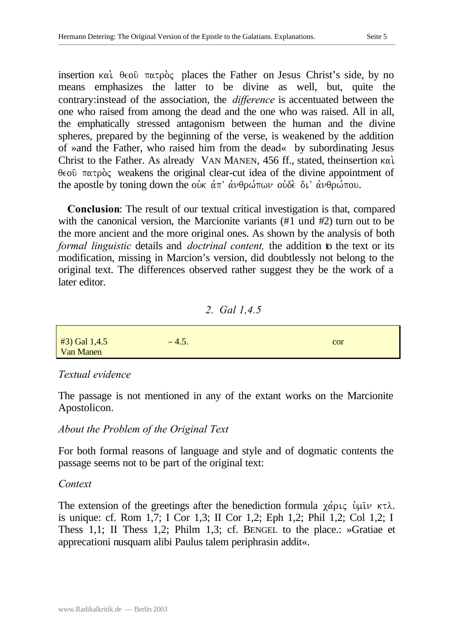insertion  $\kappa \alpha$   $\beta \in \partial \Omega$   $\pi \alpha \tau \rho \dot{\rho}$  places the Father on Jesus Christ's side, by no means emphasizes the latter to be divine as well, but, quite the contrary:instead of the association, the *difference* is accentuated between the one who raised from among the dead and the one who was raised. All in all, the emphatically stressed antagonism between the human and the divine spheres, prepared by the beginning of the verse, is weakened by the addition of »and the Father, who raised him from the dead« by subordinating Jesus Christ to the Father. As already VAN MANEN, 456 ff., stated, theinsertion kai.  $\theta \in \infty$   $\pi \alpha \tau \rho \delta \zeta$  weakens the original clear-cut idea of the divine appointment of the apostle by toning down the our  $\dot{\alpha}$   $\vec{\alpha}$   $\vec{\alpha}$   $\vec{\beta}$  avandrous  $\vec{\alpha}$  avandrou.

**Conclusion**: The result of our textual critical investigation is that, compared with the canonical version, the Marcionite variants (#1 und #2) turn out to be the more ancient and the more original ones. As shown by the analysis of both *formal linguistic* details and *doctrinal content,* the addition to the text or its modification, missing in Marcion's version, did doubtlessly not belong to the original text. The differences observed rather suggest they be the work of a later editor.

#### *2. Gal 1,4.5*

| $#3)$ Gal 1,4.5<br><b>Van Manen</b> | $-4.5.$ | cor |
|-------------------------------------|---------|-----|

## *Textual evidence*

The passage is not mentioned in any of the extant works on the Marcionite Apostolicon.

## *About the Problem of the Original Text*

For both formal reasons of language and style and of dogmatic contents the passage seems not to be part of the original text:

## *Context*

The extension of the greetings after the benediction formula  $\chi \dot{\alpha} \rho \iota \zeta$  by  $\mu \bar{\iota} \nu \kappa \tau \lambda$ . is unique: cf. Rom 1,7; I Cor 1,3; II Cor 1,2; Eph 1,2; Phil 1,2; Col 1,2; I Thess 1,1; II Thess 1,2; Philm 1,3; cf. BENGEL to the place.: »Gratiae et apprecationi nusquam alibi Paulus talem periphrasin addit«.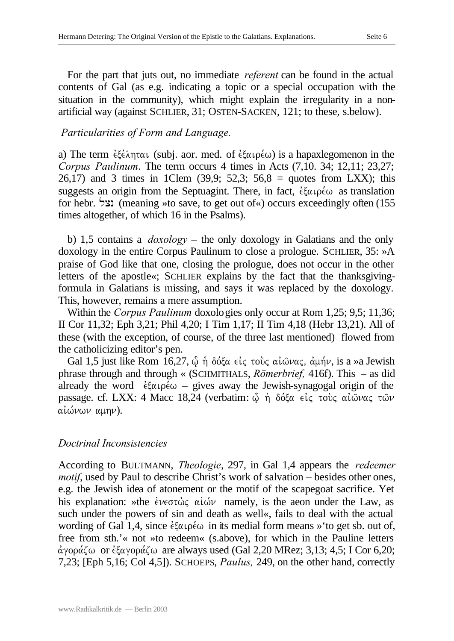For the part that juts out, no immediate *referent* can be found in the actual contents of Gal (as e.g. indicating a topic or a special occupation with the situation in the community), which might explain the irregularity in a nonartificial way (against SCHLIER, 31; OSTEN-SACKEN, 121; to these, s.below).

## *Particularities of Form and Language.*

a) The term  $\epsilon \xi \epsilon \lambda \eta \tau \alpha \iota$  (subj. aor. med. of  $\epsilon \xi \alpha \iota \rho \epsilon \omega$ ) is a hapaxlegomenon in the *Corpus Paulinum*. The term occurs 4 times in Acts (7,10. 34; 12,11; 23,27; 26,17) and 3 times in 1Clem  $(39.9; 52.3; 56.8 = \text{ quotes from LXX};$  this suggests an origin from the Septuagint. There, in fact,  $\dot{\epsilon} \xi \alpha \rho \dot{\epsilon} \omega$  as translation for hebr. נצל (meaning »to save, to get out of«) occurs exceedingly often (155 times altogether, of which 16 in the Psalms).

b) 1,5 contains a *doxology* – the only doxology in Galatians and the only doxology in the entire Corpus Paulinum to close a prologue. SCHLIER, 35: »A praise of God like that one, closing the prologue, does not occur in the other letters of the apostle«; SCHLIER explains by the fact that the thanksgivingformula in Galatians is missing, and says it was replaced by the doxology. This, however, remains a mere assumption.

Within the *Corpus Paulinum* doxologies only occur at Rom 1,25; 9,5; 11,36; II Cor 11,32; Eph 3,21; Phil 4,20; I Tim 1,17; II Tim 4,18 (Hebr 13,21). All of these (with the exception, of course, of the three last mentioned) flowed from the catholicizing editor's pen.

Gal 1,5 just like Rom 16,27,  $\hat{\phi}$  ή δόξα είς τους αί $\hat{\omega}$ νας, άμήν, is a »a Jewish phrase through and through « (SCHMITHALS, *Römerbrief,* 416f). This – as did already the word  $\dot{\epsilon} \xi \alpha \rho \dot{\epsilon} \omega$  – gives away the Jewish-synagogal origin of the passage. cf. LXX: 4 Macc 18,24 (verbatim:  $\hat{\omega}$  ή δόξα είς τους αιώνας των αιώνων αμην).

#### *Doctrinal Inconsistencies*

According to BULTMANN, *Theologie*, 297, in Gal 1,4 appears the *redeemer motif*, used by Paul to describe Christ's work of salvation – besides other ones, e.g. the Jewish idea of atonement or the motif of the scapegoat sacrifice. Yet his explanation: »the  $\epsilon \nu \epsilon \sigma \tau \omega \varsigma$   $\alpha \iota \omega \nu$  namely, is the aeon under the Law, as such under the powers of sin and death as well«, fails to deal with the actual wording of Gal 1,4, since  $\epsilon \xi \alpha \rho \epsilon \omega$  in its medial form means » to get sb. out of, free from sth.'« not »to redeem« (s.above), for which in the Pauline letters άγοράζω or  $\epsilon \xi$ αγοράζω are always used (Gal 2,20 MRez; 3,13; 4,5; I Cor 6,20; 7,23; [Eph 5,16; Col 4,5]). SCHOEPS, *Paulus,* 249, on the other hand, correctly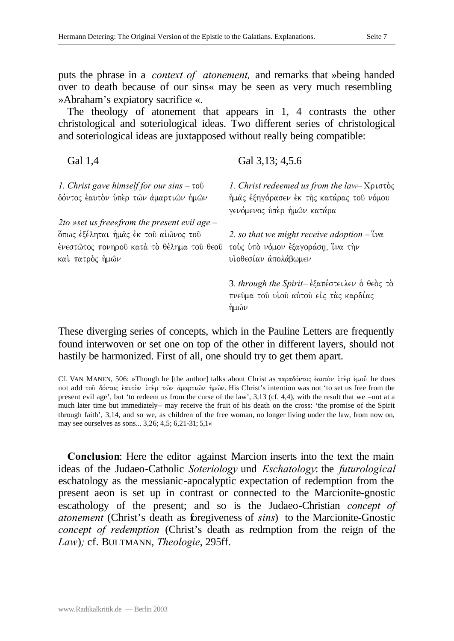puts the phrase in a *context of atonement,* and remarks that »being handed over to death because of our sins« may be seen as very much resembling »Abraham's expiatory sacrifice «.

The theology of atonement that appears in 1, 4 contrasts the other christological and soteriological ideas. Two different series of christological and soteriological ideas are juxtapposed without really being compatible:

Gal 3,13; 4,5.6

Gal 1,4

| 1. Christ gave himself for our sins $-\tau$ ov<br>δόντος ἑαυτὸν ὑπὲρ τῶν ἁμαρτιῶν ἡμῶν                                                                 | 1. Christ redeemed us from the law- $X$ $\rho$ ιστός<br>ήμας έξηγόρασεν έκ της κατάρας του νόμου<br>γενόμενος υπερ ημων κατάρα              |  |
|--------------------------------------------------------------------------------------------------------------------------------------------------------|---------------------------------------------------------------------------------------------------------------------------------------------|--|
| 2to »set us free«from the present evil age $-$<br>ὄπως ἐξέληται ἡμᾶς ἐκ τοῦ αἰῶνος τοῦ<br>ἐνεστῶτος πονηροῦ κατὰ τὸ θέλημα τοῦ θεοῦ<br>καὶ πατρὸς ἡμῶν | 2. so that we might receive adoption $-\tilde{\mathfrak{u}}\mathfrak{v}\alpha$<br>τούς ύπό νόμον έξαγοράση, ίνα την<br>υίοθεσίαν άπολάβωμεν |  |
|                                                                                                                                                        | 3. through the Spirit-εξαπέστειλεν ο θεός το<br>πνεῦμα τοῦ υἱοῦ αὐτοῦ εἰς τὰς καρδίας<br>ήμων                                               |  |

These diverging series of concepts, which in the Pauline Letters are frequently found interwoven or set one on top of the other in different layers, should not hastily be harmonized. First of all, one should try to get them apart.

Cf. VAN MANEN, 506: »Though he [the author] talks about Christ as παραδόντος έαυτον υπερ έμού he does not add του δόντος έαυτον ύπερ των άμαρτιων ήμων. His Christ's intention was not 'to set us free from the present evil age', but 'to redeem us from the curse of the law', 3,13 (cf. 4,4), with the result that we –not at a much later time but immediately– may receive the fruit of his death on the cross: 'the promise of the Spirit through faith', 3,14, and so we, as children of the free woman, no longer living under the law, from now on, may see ourselves as sons... 3,26; 4,5; 6,21-31; 5,1«

**Conclusion**: Here the editor against Marcion inserts into the text the main ideas of the Judaeo-Catholic *Soteriology* und *Eschatology*: the *futurological* eschatology as the messianic-apocalyptic expectation of redemption from the present aeon is set up in contrast or connected to the Marcionite-gnostic escathology of the present; and so is the Judaeo-Christian *concept of atonement* (Christ's death as foregiveness of *sins*) to the Marcionite-Gnostic *concept of redemption* (Christ's death as redmption from the reign of the *Law*)*;* cf. BULTMANN, *Theologie*, 295ff.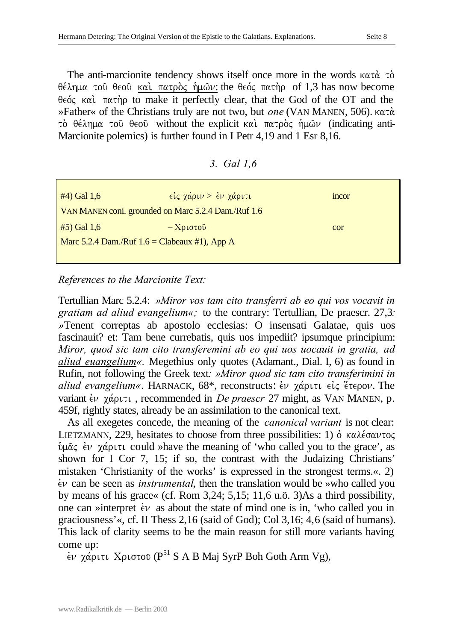The anti-marcionite tendency shows itself once more in the words  $\kappa \alpha \tau \dot{\alpha}$  to.  $\theta \in \lambda$ ημα τοῦ θεοῦ καὶ πατρὸς ἡμῶν: the θεός πατὴρ of 1,3 has now become  $\theta \in \phi$ , kai.  $\pi \alpha \in \theta$  to make it perfectly clear, that the God of the OT and the »Father« of the Christians truly are not two, but *one* (VAN MANEN, 506). kata.  $\tau$  de  $\lambda$ ημα του θεου without the explicit και πατρός ήμων (indicating anti-Marcionite polemics) is further found in I Petr 4,19 and 1 Esr 8,16.

| Gal $1,6$<br>3. |  |
|-----------------|--|
|-----------------|--|

| $#4)$ Gal 1,6                                       | είς χάριν > έν χάριτι              | mcor |
|-----------------------------------------------------|------------------------------------|------|
| VAN MANEN coni. grounded on Marc 5.2.4 Dam./Ruf 1.6 |                                    |      |
| $#5)$ Gal 1,6                                       | $-X\rho\iota\sigma\tau o\hat{\nu}$ | cor  |
| Marc 5.2.4 Dam./Ruf $1.6 =$ Clabeaux #1), App A     |                                    |      |
|                                                     |                                    |      |

## *References to the Marcionite Text:*

Tertullian Marc 5.2.4: *»Miror vos tam cito transferri ab eo qui vos vocavit in gratiam ad aliud evangelium«;* to the contrary: Tertullian, De praescr. 27,3*: »*Tenent correptas ab apostolo ecclesias: O insensati Galatae, quis uos fascinauit? et: Tam bene currebatis, quis uos impediit? ipsumque principium: *Miror, quod sic tam cito transferemini ab eo qui uos uocauit in gratia, ad aliud euangelium«.* Megethius only quotes (Adamant., Dial. I, 6) as found in Rufin, not following the Greek text*: »Miror quod sic tam cito transferimini in aliud evangelium«*. HARNACK, 68<sup>\*</sup>, reconstructs: *εν χάριτι είς έτερον*. The variant *έν* γάριτι, recommended in *De praescr* 27 might, as VAN MANEN, p. 459f, rightly states, already be an assimilation to the canonical text.

As all exegetes concede, the meaning of the *canonical variant* is not clear: LIETZMANN, 229, hesitates to choose from three possibilities: 1)  $\dot{\text{o}}$  καλέσαντος  $\psi$ μας έν χάριτι could »have the meaning of 'who called you to the grace', as shown for I Cor 7, 15; if so, the contrast with the Judaizing Christians' mistaken 'Christianity of the works' is expressed in the strongest terms.«. 2)  $\dot{\epsilon}$  can be seen as *instrumental*, then the translation would be »who called you by means of his grace« (cf. Rom 3,24; 5,15; 11,6 u.ö. 3)As a third possibility, one can »interpret  $\dot{\epsilon}v$  as about the state of mind one is in, 'who called you in graciousness'«, cf. II Thess 2,16 (said of God); Col 3,16; 4,6 (said of humans). This lack of clarity seems to be the main reason for still more variants having come up:

 $\epsilon$ ν χάριτι Χριστου (P<sup>51</sup> S A B Maj SyrP Boh Goth Arm Vg),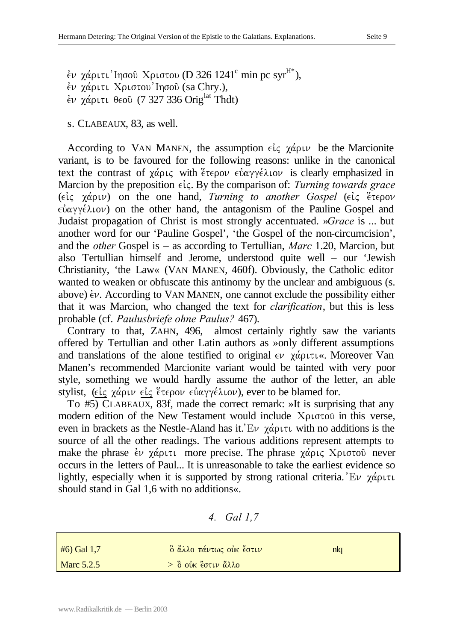$\dot{\epsilon}$ ν χάριτι'Ιησοῦ Χριστου (D 326 1241 $^{\rm c}$  min pc syr $^{\rm H*}$ ),  $\dot{\epsilon}$ ν χάριτι Χριστου Ιησού (sa Chry.),  $\epsilon$ v  $\chi$ άριτι θεού (7 327 336 Orig<sup>lat</sup> Thdt)

s. CLABEAUX, 83, as well.

According to VAN MANEN, the assumption  $\epsilon \zeta \chi \alpha \rho \psi$  be the Marcionite variant, is to be favoured for the following reasons: unlike in the canonical text the contrast of  $\chi \acute{\alpha} \rho \iota \varsigma$  with  $\acute{\epsilon} \tau \epsilon \rho \circ \nu \epsilon \dot{\alpha} \gamma \gamma \dot{\epsilon} \lambda \iota \circ \nu$  is clearly emphasized in Marcion by the preposition  $\epsilon \zeta$ . By the comparison of: *Turning towards grace* ( $\epsilon i \zeta$   $\chi \dot{\alpha} \rho \psi$ ) on the one hand, *Turning to another Gospel* ( $\epsilon i \zeta$   $\epsilon \tau \epsilon \rho \partial \psi$  $\epsilon \dot{\alpha}$   $\gamma \dot{\epsilon} \lambda \dot{\alpha}$  on the other hand, the antagonism of the Pauline Gospel and Judaist propagation of Christ is most strongly accentuated. »*Grace* is ... but another word for our 'Pauline Gospel', 'the Gospel of the non-circumcision', and the *other* Gospel is – as according to Tertullian, *Marc* 1.20, Marcion, but also Tertullian himself and Jerome, understood quite well – our 'Jewish Christianity, 'the Law« (VAN MANEN, 460f). Obviously, the Catholic editor wanted to weaken or obfuscate this antinomy by the unclear and ambiguous (s. above)  $\dot{\epsilon} \nu$ . According to VAN MANEN, one cannot exclude the possibility either that it was Marcion, who changed the text for *clarification*, but this is less probable (cf. *Paulusbriefe ohne Paulus?* 467).

Contrary to that, ZAHN, 496, almost certainly rightly saw the variants offered by Tertullian and other Latin authors as »only different assumptions and translations of the alone testified to original  $\epsilon \nu$   $\chi \alpha \rho \nu \tau \nu \kappa$ . Moreover Van Manen's recommended Marcionite variant would be tainted with very poor style, something we would hardly assume the author of the letter, an able stylist, ( $\epsilon i \zeta$   $\chi \dot{\alpha}$ ριν  $\epsilon i \zeta$  έτερον εύαγγέλιον), ever to be blamed for.

To #5) CLABEAUX, 83f, made the correct remark: »It is surprising that any modern edition of the New Testament would include  $X\rho\sigma\sigma\sigma$  in this verse, even in brackets as the Nestle-Aland has it.  $E\nu$   $\gamma\alpha\rho\tau\tau$  with no additions is the source of all the other readings. The various additions represent attempts to make the phrase  $\dot{\epsilon} \nu$   $\chi \dot{\alpha}$  putumore precise. The phrase  $\chi \dot{\alpha}$  pusing  $\chi$  pusing never occurs in the letters of Paul... It is unreasonable to take the earliest evidence so lightly, especially when it is supported by strong rational criteria. Ev  $\chi \alpha$ should stand in Gal 1,6 with no additions«.

#### *4. Gal 1,7*

| $#6$ ) Gal 1,7 | δ ἄλλο πάντως οὐκ <del>ἔστ</del> ιν | nlq |
|----------------|-------------------------------------|-----|
| Marc 5.2.5     | > ὃ οὐκ <del>"</del> στιν ἄλλο      |     |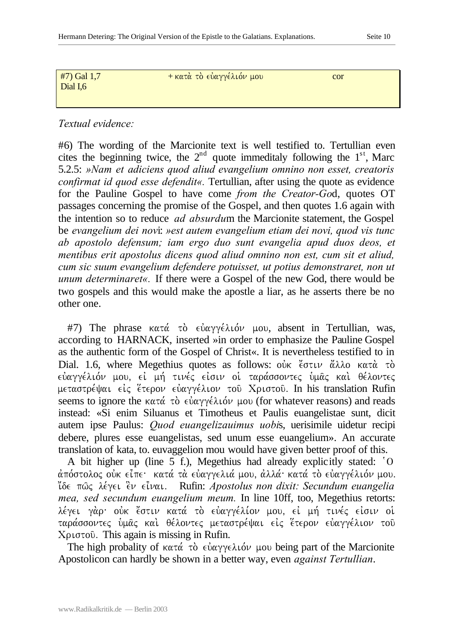Dial I,6

 $#7$ ) Gal 1,7 + κατά το εύαγγέλιόν μου cor

## *Textual evidence:*

#6) The wording of the Marcionite text is well testified to. Tertullian even cites the beginning twice, the  $2<sup>nd</sup>$  quote immeditaly following the  $1<sup>st</sup>$ , Marc 5.2.5: *»Nam et adiciens quod aliud evangelium omnino non esset, creatoris confirmat id quod esse defendit«.* Tertullian, after using the quote as evidence for the Pauline Gospel to have come *from the Creator-Go*d, quotes OT passages concerning the promise of the Gospel, and then quotes 1.6 again with the intention so to reduce *ad absurdu*m the Marcionite statement, the Gospel be *evangelium dei nov*i: *»est autem evangelium etiam dei novi, quod vis tunc ab apostolo defensum; iam ergo duo sunt evangelia apud duos deos, et mentibus erit apostolus dicens quod aliud omnino non est, cum sit et aliud, cum sic suum evangelium defendere potuisset, ut potius demonstraret, non ut unum determinaret«.* If there were a Gospel of the new God, there would be two gospels and this would make the apostle a liar, as he asserts there be no other one.

#7) The phrase κατά τὸ  $ε\frac{\partial α\gamma}{\partial \theta}$  μου, absent in Tertullian, was, according to HARNACK, inserted »in order to emphasize the Pauline Gospel as the authentic form of the Gospel of Christ«. It is nevertheless testified to in Dial. 1.6, where Megethius quotes as follows:  $\vec{\omega}$  cotrain  $\vec{\omega}$  and  $\vec{\omega}$  and  $\vec{\omega}$ εύαγγέλιόν μου, εί μή τινές είσιν οι ταράσσοντες υμας και θέλοντες μεταστρέψαι είς έτερον εύαγγέλιον του Χριστου. In his translation Rufin seems to ignore the  $\kappa \alpha \tau \dot{\alpha}$   $\tau \dot{\alpha}$   $\epsilon \dot{\alpha} \alpha \gamma \dot{\gamma} \dot{\epsilon} \lambda \dot{\alpha} \nu$  µov (for whatever reasons) and reads instead: «Si enim Siluanus et Timotheus et Paulis euangelistae sunt, dicit autem ipse Paulus: *Quod euangelizauimus uobi*s, uerisimile uidetur recipi debere, plures esse euangelistas, sed unum esse euangelium». An accurate translation of kata, to. euvaggelion mou would have given better proof of this.

A bit higher up (line 5 f.), Megethius had already explicitly stated: `O άπόστολος ούκ είπε· κατά τα εύαγγελιά μου, άλλά· κατά το ευαγγέλιόν μου. i;de pw/j le,gei e]n ei=nai) Rufin: *Apostolus non dixit: Secundum euangelia mea, sed secundum euangelium meum.* In line 10ff, too, Megethius retorts: λέγει γάρ· οὐκ "στιν κατά τὸ εὐαγγέλίον μου, εἰ μή τινές εἰσιν οἱ ταράσσοντες υμας και θέλοντες μεταστρέψαι είς έτερον ευαγγέλιον του  $Xριστού$ . This again is missing in Rufin.

The high probality of  $\kappa \alpha \tau \dot{\alpha}$   $\tau \dot{\delta}$   $\epsilon \dot{\psi} \alpha \gamma \dot{\gamma} \epsilon \lambda \dot{\psi}$  uso being part of the Marcionite Apostolicon can hardly be shown in a better way, even *against Tertullian*.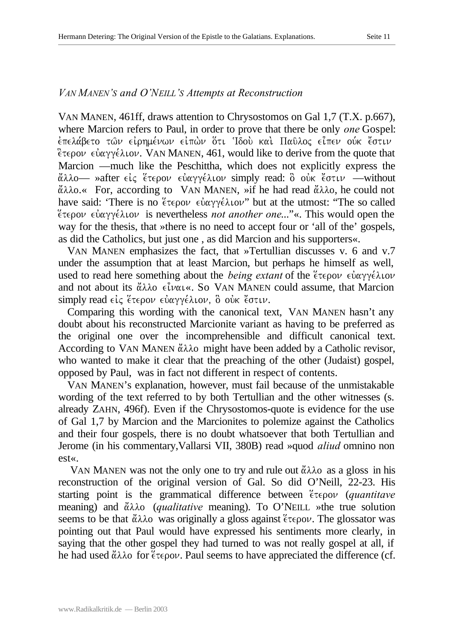## *VAN MANEN'S and O'NEILL'S Attempts at Reconstruction*

VAN MANEN, 461ff, draws attention to Chrysostomos on Gal 1,7 (T.X. p.667), where Marcion refers to Paul, in order to prove that there be only *one* Gospel: έπελάβετο των είρημένων είπών ότι Ίδού και Παῦλος είπεν ούκ έστιν  $\epsilon$ τερον εύαγγέλιον. VAN MANEN, 461, would like to derive from the quote that Marcion —much like the Peschittha, which does not explicitly express the άλλο - »after είς έτερον εύαγγέλιον simply read: ὃ οὐκ έστιν - without  $\alpha\lambda\lambda$ o.« For, according to VAN MANEN, »if he had read  $\alpha\lambda\lambda$ o, he could not have said: 'There is no  $\epsilon \in \Omega$   $\epsilon \in \Omega$   $\epsilon \in \Omega$  for  $\epsilon \in \Omega$  is the utmost: "The so called e[teron euvagge,lion is nevertheless *not another one*..."«. This would open the way for the thesis, that »there is no need to accept four or 'all of the' gospels, as did the Catholics, but just one , as did Marcion and his supporters«.

VAN MANEN emphasizes the fact, that »Tertullian discusses v. 6 and v.7 under the assumption that at least Marcion, but perhaps he himself as well, used to read here something about the *being extant* of the  $\epsilon \in \epsilon_0$  evaluation and not about its  $\alpha\lambda\lambda$  elevate. So VAN MANEN could assume, that Marcion simply read είς έτερον εύαγγέλιον, ὃ οὐκ ἔστιν.

Comparing this wording with the canonical text, VAN MANEN hasn't any doubt about his reconstructed Marcionite variant as having to be preferred as the original one over the incomprehensible and difficult canonical text. According to VAN MANEN  $\alpha\lambda\lambda$  might have been added by a Catholic revisor, who wanted to make it clear that the preaching of the other (Judaist) gospel, opposed by Paul, was in fact not different in respect of contents.

VAN MANEN's explanation, however, must fail because of the unmistakable wording of the text referred to by both Tertullian and the other witnesses (s. already ZAHN, 496f). Even if the Chrysostomos-quote is evidence for the use of Gal 1,7 by Marcion and the Marcionites to polemize against the Catholics and their four gospels, there is no doubt whatsoever that both Tertullian and Jerome (in his commentary,Vallarsi VII, 380B) read »quod *aliud* omnino non est«.

VAN MANEN was not the only one to try and rule out  $\ddot{\alpha}\lambda\lambda$  as a gloss in his reconstruction of the original version of Gal. So did O'Neill, 22-23. His starting point is the grammatical difference between  $\zeta \in \mathcal{L}$  (*quantitave* meaning) and άλλο (*qualitative* meaning). To O'NEILL »the true solution seems to be that  $\alpha\lambda\lambda$  was originally a gloss against  $\epsilon\tau\epsilon\rho o\nu$ . The glossator was pointing out that Paul would have expressed his sentiments more clearly, in saying that the other gospel they had turned to was not really gospel at all, if he had used  $\alpha\lambda\lambda$  for  $\epsilon$   $\epsilon$   $\rho$  ov. Paul seems to have appreciated the difference (cf.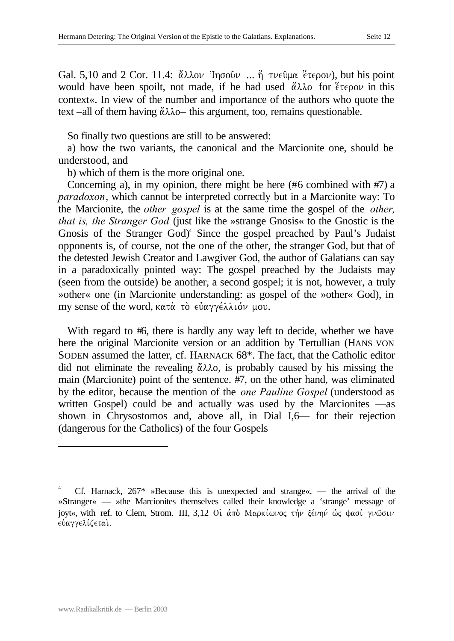Gal. 5,10 and 2 Cor. 11.4:  $\alpha\lambda\lambda\omega$  'Ingoul' ...  $\eta$   $\pi\nu\epsilon\omega\mu\alpha$   $\epsilon\tau\epsilon\rho\omega$ ), but his point would have been spoilt, not made, if he had used  $\alpha\lambda\lambda$  for  $\zeta\tau\epsilon\rho o\nu$  in this context«. In view of the number and importance of the authors who quote the text –all of them having  $\ddot{\alpha}\lambda\lambda_0$ – this argument, too, remains questionable.

So finally two questions are still to be answered:

a) how the two variants, the canonical and the Marcionite one, should be understood, and

b) which of them is the more original one.

Concerning a), in my opinion, there might be here (#6 combined with #7) a *paradoxon*, which cannot be interpreted correctly but in a Marcionite way: To the Marcionite, the *other gospel* is at the same time the gospel of the *other, that is, the Stranger God* (just like the »strange Gnosis« to the Gnostic is the Gnosis of the Stranger God)<sup>4</sup> Since the gospel preached by Paul's Judaist opponents is, of course, not the one of the other, the stranger God, but that of the detested Jewish Creator and Lawgiver God, the author of Galatians can say in a paradoxically pointed way: The gospel preached by the Judaists may (seen from the outside) be another, a second gospel; it is not, however, a truly »other« one (in Marcionite understanding: as gospel of the »other« God), in my sense of the word, κατά το εύαγγέλλιον μου.

With regard to #6, there is hardly any way left to decide, whether we have here the original Marcionite version or an addition by Tertullian (HANS VON SODEN assumed the latter, cf. HARNACK 68\*. The fact, that the Catholic editor did not eliminate the revealing  $\ddot{\alpha}\lambda\lambda$ o, is probably caused by his missing the main (Marcionite) point of the sentence. #7, on the other hand, was eliminated by the editor, because the mention of the *one Pauline Gospel* (understood as written Gospel) could be and actually was used by the Marcionites —as shown in Chrysostomos and, above all, in Dial I,6— for their rejection (dangerous for the Catholics) of the four Gospels

l

Cf. Harnack,  $267*$  »Because this is unexpected and strange«, — the arrival of the »Stranger« — »the Marcionites themselves called their knowledge a 'strange' message of joyt«, with ref. to Clem, Strom. III, 3,12 Οι άπο Μαρκίωνος τήν ξένην ως φασί γνωσιν εύαγγελίζεται.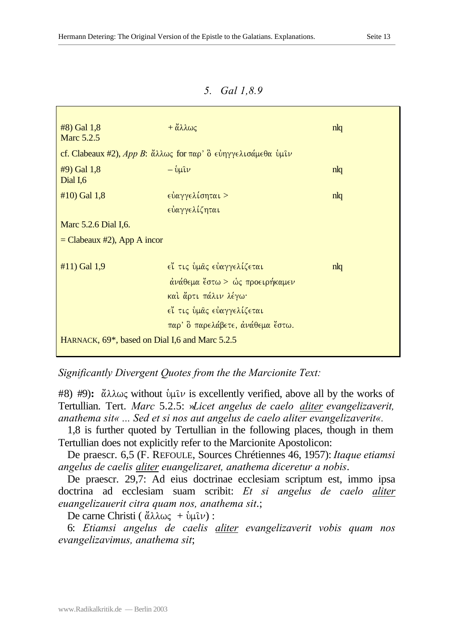## *5. Gal 1,8.9*

| #8) Gal 1,8<br>Marc 5.2.5                                   | $+\alpha\lambda\lambda\omega\varsigma$                                            | n <sub>l</sub> |
|-------------------------------------------------------------|-----------------------------------------------------------------------------------|----------------|
|                                                             | cf. Clabeaux #2), App B: άλλως for παρ' δ εύηγγελισάμεθα ύμιν                     |                |
| $#9)$ Gal 1,8<br>Dial I,6                                   | $-\mathring{\text{tr}}\mathfrak{u}\mathfrak{v}$                                   | n l q          |
| $#10$ ) Gal 1,8                                             | εύαγγελίσηται >                                                                   | n l q          |
|                                                             | εύαγγελίζηται                                                                     |                |
| Marc 5.2.6 Dial I,6.                                        |                                                                                   |                |
| $=$ Clabeaux #2), App A incor                               |                                                                                   |                |
| #11) Gal 1,9                                                | εί τις ύμας εύαγγελίζεται                                                         | n l q          |
|                                                             | $\dot{\alpha} \nu \dot{\alpha} \theta \epsilon \mu \alpha$ (στω > ώς προειρήκαμεν |                |
|                                                             | καί ἄρτι πάλιν λέγω·                                                              |                |
|                                                             | €ἴ τις ὑμᾶς εὐαγγελίζεται                                                         |                |
|                                                             | παρ' ὃ παρελάβετε, ανάθεμα ἔστω.                                                  |                |
| HARNACK, 69 <sup>*</sup> , based on Dial I,6 and Marc 5.2.5 |                                                                                   |                |

*Significantly Divergent Quotes from the the Marcionite Text:* 

 $#8$ )  $#9$ ):  $\alpha\lambda\omega\varsigma$  without  $\psi\mu\upsilon$  is excellently verified, above all by the works of Tertullian. Tert. *Marc* 5.2.5: »*Licet angelus de caelo aliter evangelizaverit, anathema sit« ... Sed et si nos aut angelus de caelo aliter evangelizaverit«.*

1,8 is further quoted by Tertullian in the following places, though in them Tertullian does not explicitly refer to the Marcionite Apostolicon:

De praescr. 6,5 (F. REFOULE, Sources Chrétiennes 46, 1957): *Itaque etiamsi angelus de caelis aliter euangelizaret, anathema diceretur a nobis*.

De praescr. 29,7: Ad eius doctrinae ecclesiam scriptum est, immo ipsa doctrina ad ecclesiam suam scribit: *Et si angelus de caelo aliter euangelizauerit citra quam nos, anathema sit*.;

De carne Christi ( $\ddot{\alpha}\lambda\lambda\omega\zeta + \dot{\nu}\mu\hat{\iota}\nu$ ) :

6: *Etiamsi angelus de caelis aliter evangelizaverit vobis quam nos evangelizavimus, anathema sit*;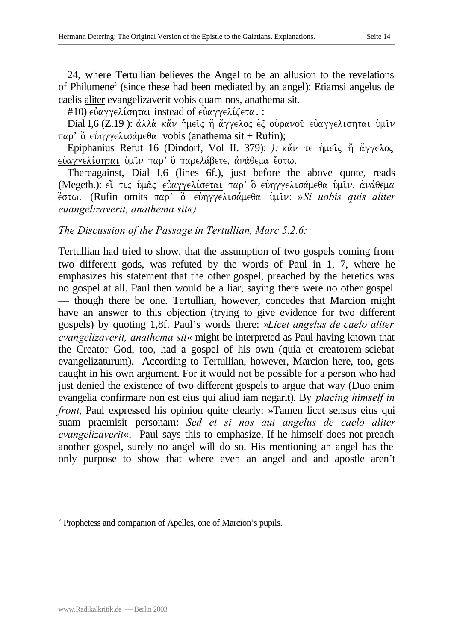24, where Tertullian believes the Angel to be an allusion to the revelations of Philumene<sup>5</sup> (since these had been mediated by an angel): Etiamsi angelus de caelis aliter evangelizaverit vobis quam nos, anathema sit.

#10)  $\epsilon$ ύαγγ $\epsilon\lambda$ ίσηται instead of  $\epsilon$ ύαγγ $\epsilon\lambda$ ίζεται :

Dial I,6 (Z.19): άλλά κάν ήμεις ή άγγελος έξ ούρανου εύαγγελισηται υμιν  $\pi\alpha\rho'$  δ εύηγγελισάμεθα vobis (anathema sit + Rufin);

Epiphanius Refut 16 (Dindorf, Vol II. 379): ): κάν τε ήμεις ή άγγελος εύαγγελίσηται ύμιν παρ' ο παρελάβετε, ανάθεμα έστω.

Thereagainst, Dial I,6 (lines 6f.), just before the above quote, reads (Megeth.): ει τις ύμας ευαγγελίσεται παρ' ο ευηγγελισάμεθα υμιν, ανάθεμα e;stwÅ (Rufin omits parV o] euvhggelisa,meqa u`mi/n: »*Si uobis quis aliter euangelizaverit, anathema sit«)*

# *The Discussion of the Passage in Tertullian, Marc 5.2.6:*

Tertullian had tried to show, that the assumption of two gospels coming from two different gods, was refuted by the words of Paul in 1, 7, where he emphasizes his statement that the other gospel, preached by the heretics was no gospel at all. Paul then would be a liar, saying there were no other gospel — though there be one. Tertullian, however, concedes that Marcion might have an answer to this objection (trying to give evidence for two different gospels) by quoting 1,8f. Paul's words there: »*Licet angelus de caelo aliter evangelizaverit, anathema sit*« might be interpreted as Paul having known that the Creator God, too, had a gospel of his own (quia et creatorem sciebat evangelizaturum). According to Tertullian, however, Marcion here, too, gets caught in his own argument. For it would not be possible for a person who had just denied the existence of two different gospels to argue that way (Duo enim evangelia confirmare non est eius qui aliud iam negarit). By *placing himself in front*, Paul expressed his opinion quite clearly: »Tamen licet sensus eius qui suam praemisit personam: *Sed et si nos aut angelus de caelo aliter evangelizaverit*«. Paul says this to emphasize. If he himself does not preach another gospel, surely no angel will do so. His mentioning an angel has the only purpose to show that where even an angel and and apostle aren't

l

<sup>&</sup>lt;sup>5</sup> Prophetess and companion of Apelles, one of Marcion's pupils.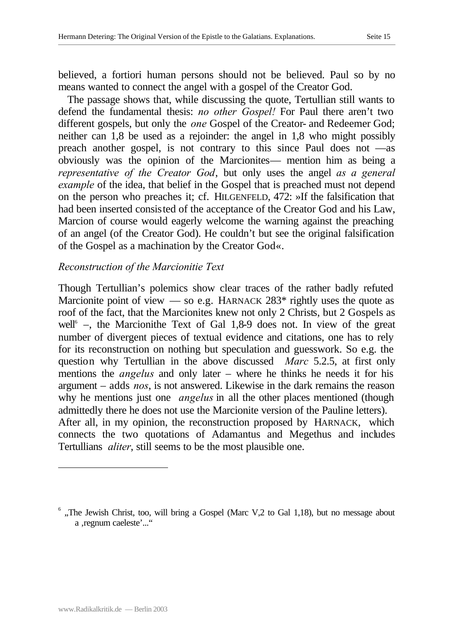believed, a fortiori human persons should not be believed. Paul so by no means wanted to connect the angel with a gospel of the Creator God.

The passage shows that, while discussing the quote, Tertullian still wants to defend the fundamental thesis: *no other Gospel!* For Paul there aren't two different gospels, but only the *one* Gospel of the Creator- and Redeemer God; neither can 1,8 be used as a rejoinder: the angel in 1,8 who might possibly preach another gospel, is not contrary to this since Paul does not —as obviously was the opinion of the Marcionites— mention him as being a *representative of the Creator God*, but only uses the angel *as a general example* of the idea, that belief in the Gospel that is preached must not depend on the person who preaches it; cf. HILGENFELD, 472: »If the falsification that had been inserted consisted of the acceptance of the Creator God and his Law, Marcion of course would eagerly welcome the warning against the preaching of an angel (of the Creator God). He couldn't but see the original falsification of the Gospel as a machination by the Creator God«.

#### *Reconstruction of the Marcionitie Text*

Though Tertullian's polemics show clear traces of the rather badly refuted Marcionite point of view  $\sim$  so e.g. HARNACK 283\* rightly uses the quote as roof of the fact, that the Marcionites knew not only 2 Christs, but 2 Gospels as well<sup>6</sup> –, the Marcionithe Text of Gal 1,8-9 does not. In view of the great number of divergent pieces of textual evidence and citations, one has to rely for its reconstruction on nothing but speculation and guesswork. So e.g. the question why Tertullian in the above discussed *Marc* 5.2.5, at first only mentions the *angelus* and only later – where he thinks he needs it for his argument – adds *nos*, is not answered. Likewise in the dark remains the reason why he mentions just one *angelus* in all the other places mentioned (though admittedly there he does not use the Marcionite version of the Pauline letters). After all, in my opinion, the reconstruction proposed by HARNACK, which connects the two quotations of Adamantus and Megethus and includes Tertullians *aliter*, still seems to be the most plausible one.

l

 $<sup>6</sup>$ , The Jewish Christ, too, will bring a Gospel (Marc V,2 to Gal 1,18), but no message about</sup> a , regnum caeleste'..."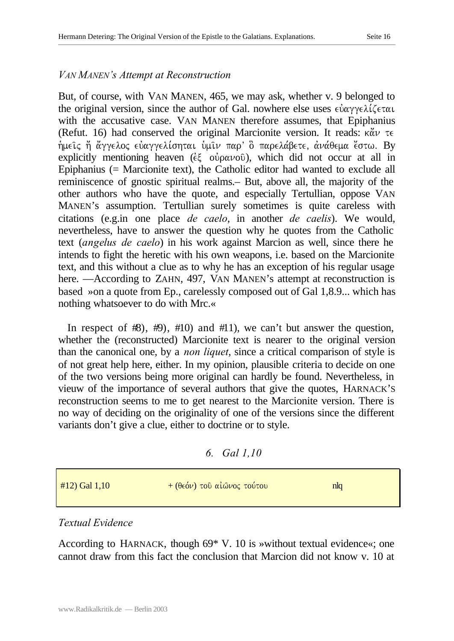## *VAN MANEN's Attempt at Reconstruction*

But, of course, with VAN MANEN, 465, we may ask, whether v. 9 belonged to the original version, since the author of Gal. nowhere else uses  $\epsilon \dot{\alpha} \alpha \gamma \gamma \epsilon \lambda \zeta \epsilon \tau \alpha \iota$ with the accusative case. VAN MANEN therefore assumes, that Epiphanius (Refut. 16) had conserved the original Marcionite version. It reads:  $\kappa \alpha \nu \tau \epsilon$ ήμεις ή άγγελος εύαγγελίσηται ύμιν παρ' ο παρελάβετε, ανάθεμα έστω. By explicitly mentioning heaven ( $\epsilon\xi$  ov $\rho\alpha\nu$ ov $\delta$ ), which did not occur at all in Epiphanius (= Marcionite text), the Catholic editor had wanted to exclude all reminiscence of gnostic spiritual realms.– But, above all, the majority of the other authors who have the quote, and especially Tertullian, oppose VAN MANEN's assumption. Tertullian surely sometimes is quite careless with citations (e.g.in one place *de caelo*, in another *de caelis*). We would, nevertheless, have to answer the question why he quotes from the Catholic text (*angelus de caelo*) in his work against Marcion as well, since there he intends to fight the heretic with his own weapons, i.e. based on the Marcionite text, and this without a clue as to why he has an exception of his regular usage here. —According to ZAHN, 497, VAN MANEN's attempt at reconstruction is based »on a quote from Ep., carelessly composed out of Gal 1,8.9... which has nothing whatsoever to do with Mrc.«

In respect of  $\#$ ,  $\#$ ,  $\#$ 10) and  $\#$ 11, we can't but answer the question, whether the (reconstructed) Marcionite text is nearer to the original version than the canonical one, by a *non liquet*, since a critical comparison of style is of not great help here, either. In my opinion, plausible criteria to decide on one of the two versions being more original can hardly be found. Nevertheless, in vieuw of the importance of several authors that give the quotes, HARNACK'S reconstruction seems to me to get nearest to the Marcionite version. There is no way of deciding on the originality of one of the versions since the different variants don't give a clue, either to doctrine or to style.

*6. Gal 1,10*

| $#12)$ Gal 1,10 | $+(θ ∈ όν) τοθ αίωνος τούτου$ | nlq |
|-----------------|-------------------------------|-----|
|                 |                               |     |

## *Textual Evidence*

According to HARNACK, though 69\* V. 10 is »without textual evidence«; one cannot draw from this fact the conclusion that Marcion did not know v. 10 at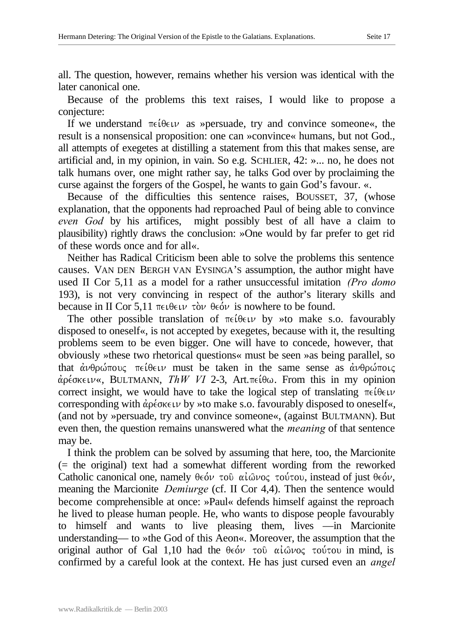all. The question, however, remains whether his version was identical with the later canonical one.

Because of the problems this text raises, I would like to propose a conjecture:

If we understand  $\pi \in \theta \in \mathcal{V}$  as »persuade, try and convince someone«, the result is a nonsensical proposition: one can »convince« humans, but not God., all attempts of exegetes at distilling a statement from this that makes sense, are artificial and, in my opinion, in vain. So e.g. SCHLIER, 42: »... no, he does not talk humans over, one might rather say, he talks God over by proclaiming the curse against the forgers of the Gospel, he wants to gain God's favour. «.

Because of the difficulties this sentence raises, BOUSSET, 37, (whose explanation, that the opponents had reproached Paul of being able to convince *even God* by his artifices, might possibly best of all have a claim to plausibility) rightly draws the conclusion: »One would by far prefer to get rid of these words once and for all«.

Neither has Radical Criticism been able to solve the problems this sentence causes. VAN DEN BERGH VAN EYSINGA'S assumption, the author might have used II Cor 5,11 as a model for a rather unsuccessful imitation *(Pro domo* 193), is not very convincing in respect of the author's literary skills and because in II Cor 5.11  $\pi \in \theta \in \mathcal{W}$  beover is nowhere to be found.

The other possible translation of  $\pi \in \mathfrak{t} \oplus \in \mathfrak{t}$  by »to make s.o. favourably disposed to oneself«, is not accepted by exegetes, because with it, the resulting problems seem to be even bigger. One will have to concede, however, that obviously »these two rhetorical questions« must be seen »as being parallel, so that  $\dot{\alpha}\nu\theta\rho\omega\pi\omega$   $\alpha$  reigen must be taken in the same sense as  $\dot{\alpha}\nu\theta\rho\omega\pi\omega\varsigma$  $\alpha$ <sup>2</sup> ( $\alpha$ <sup>2</sup> EULTMANN, *ThW VI* 2-3, Art. $\pi \in \mathfrak{so}$ . From this in my opinion correct insight, we would have to take the logical step of translating  $\pi \in \theta \in \mathcal{W}$ corresponding with  $\dot{\alpha}$  pé okeuv by »to make s.o. favourably disposed to oneself«, (and not by »persuade, try and convince someone«, (against BULTMANN). But even then, the question remains unanswered what the *meaning* of that sentence may be.

I think the problem can be solved by assuming that here, too, the Marcionite (= the original) text had a somewhat different wording from the reworked Catholic canonical one, namely  $\theta \in \partial \nu$  του αί $\omega \circ \sigma$  τούτου, instead of just  $\theta \in \partial \nu$ , meaning the Marcionite *Demiurge* (cf. II Cor 4,4). Then the sentence would become comprehensible at once: »Paul« defends himself against the reproach he lived to please human people. He, who wants to dispose people favourably to himself and wants to live pleasing them, lives —in Marcionite understanding— to »the God of this Aeon«. Moreover, the assumption that the original author of Gal 1,10 had the  $\theta \epsilon \acute{\theta} \nu$  to  $\ddot{\theta} \alpha \acute{\theta} \nu$  to  $\ddot{\theta} \alpha \acute{\theta} \nu$  in mind, is confirmed by a careful look at the context. He has just cursed even an *angel*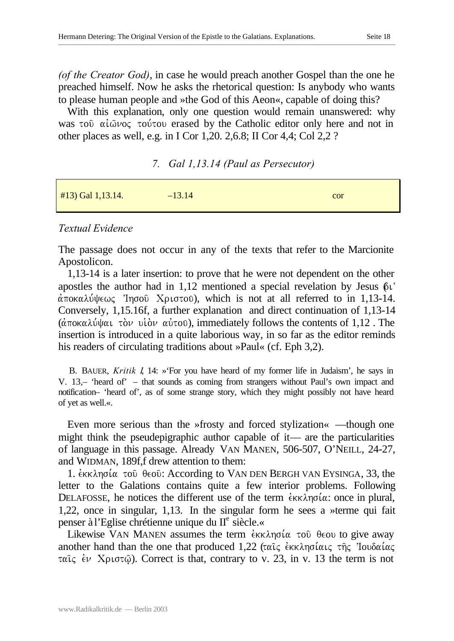*(of the Creator God)*, in case he would preach another Gospel than the one he preached himself. Now he asks the rhetorical question: Is anybody who wants to please human people and »the God of this Aeon«, capable of doing this?

With this explanation, only one question would remain unanswered: why was to  $\alpha i\omega\nu$  to  $\alpha j$  to  $\alpha$  erased by the Catholic editor only here and not in other places as well, e.g. in I Cor 1,20. 2,6.8; II Cor 4,4; Col 2,2 ?

|  | 7. Gal 1,13.14 (Paul as Persecutor) |
|--|-------------------------------------|
|  |                                     |

| $#13)$ Gal 1,13.14. | $-13.14$ | cor |
|---------------------|----------|-----|
|                     |          |     |

#### *Textual Evidence*

The passage does not occur in any of the texts that refer to the Marcionite Apostolicon.

1,13-14 is a later insertion: to prove that he were not dependent on the other apostles the author had in 1,12 mentioned a special revelation by Jesus  $\delta v$  $\alpha$  ποκαλύψεως 'Ιησού Χριστου), which is not at all referred to in 1,13-14. Conversely, 1,15.16f, a further explanation and direct continuation of 1,13-14 ( $\hat{\alpha}$ ποκαλύψαι τὸν υἱὸν αὐτου), immediately follows the contents of 1,12. The insertion is introduced in a quite laborious way, in so far as the editor reminds his readers of circulating traditions about »Paul« (cf. Eph 3,2).

B. BAUER, *Kritik I*, 14: »'For you have heard of my former life in Judaism', he says in V. 13,– 'heard of' – that sounds as coming from strangers without Paul's own impact and notification– 'heard of', as of some strange story, which they might possibly not have heard of yet as well.«.

Even more serious than the »frosty and forced stylization« —though one might think the pseudepigraphic author capable of it— are the particularities of language in this passage. Already VAN MANEN, 506-507, O'NEILL, 24-27, and WIDMAN, 189f,f drew attention to them:

1.  $\epsilon$ KK $\lambda$ ng $\alpha$  to  $\theta$ eo  $\epsilon$ : According to VAN DEN BERGH VAN EYSINGA, 33, the letter to the Galations contains quite a few interior problems. Following DELAFOSSE, he notices the different use of the term  $\epsilon$ <sub>KK</sub> $\lambda$ n $\sigma$ ί $\alpha$ : once in plural, 1,22, once in singular, 1,13. In the singular form he sees a »terme qui fait penser à l'Eglise chrétienne unique du II<sup>e</sup> siècle.«

Likewise VAN MANEN assumes the term  $\epsilon$ KK $\lambda$ ng $\alpha$  to  $\theta$ eou to give away another hand than the one that produced  $1,22$  (ταις εκκλησίαις της 'Ιουδαίας  $\tau\alpha\hat{i}\zeta \hat{\epsilon}\nu$  X<sub>pl</sub>o $\tau\hat{\omega}$ ). Correct is that, contrary to v. 23, in v. 13 the term is not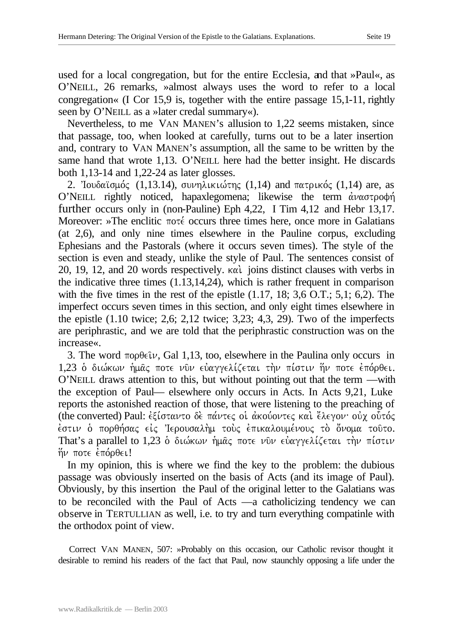used for a local congregation, but for the entire Ecclesia, and that »Paul«, as O'NEILL, 26 remarks, »almost always uses the word to refer to a local congregation« (I Cor 15,9 is, together with the entire passage 15,1-11, rightly seen by O'NEILL as a »later credal summary«).

Nevertheless, to me VAN MANEN's allusion to 1,22 seems mistaken, since that passage, too, when looked at carefully, turns out to be a later insertion and, contrary to VAN MANEN's assumption, all the same to be written by the same hand that wrote 1,13. O'NEILL here had the better insight. He discards both 1,13-14 and 1,22-24 as later glosses.

2. Iουδαϊσμός (1,13.14), συνηλικιώτης (1,14) and πατρικός (1,14) are, as O'NEILL rightly noticed, hapaxlegomena; likewise the term  $\dot{\alpha} \nu \alpha \sigma \tau \rho o \phi \dot{\eta}$ further occurs only in (non-Pauline) Eph 4,22, I Tim 4,12 and Hebr 13,17. Moreover: »The enclitic  $\pi$ oté occurs three times here, once more in Galatians (at 2,6), and only nine times elsewhere in the Pauline corpus, excluding Ephesians and the Pastorals (where it occurs seven times). The style of the section is even and steady, unlike the style of Paul. The sentences consist of 20, 19, 12, and 20 words respectively. kai. joins distinct clauses with verbs in the indicative three times (1.13,14,24), which is rather frequent in comparison with the five times in the rest of the epistle  $(1.17, 18; 3.6 \text{ O.T.}; 5.1; 6.2)$ . The imperfect occurs seven times in this section, and only eight times elsewhere in the epistle (1.10 twice; 2,6; 2,12 twice; 3,23; 4,3, 29). Two of the imperfects are periphrastic, and we are told that the periphrastic construction was on the increase«.

3. The word  $\pi$ op $\theta \in \mathcal{W}$ , Gal 1,13, too, elsewhere in the Paulina only occurs in 1,23 ο διώκων ήμας ποτε νυν ευαγγελίζεται την πίστιν ήν ποτε επόρθει. O'NEILL draws attention to this, but without pointing out that the term —with the exception of Paul— elsewhere only occurs in Acts. In Acts 9,21, Luke reports the astonished reaction of those, that were listening to the preaching of (the converted) Paul: εξίσταντο δε πάντες οι ακούοντες και έλεγον· ουχ ουτός έστιν ο πορθήσας είς Ίερουσαλήμ τους επικαλουμένους το όνομα τοῦτο. That's a parallel to 1,23  $\delta$  διώκων ήμας ποτε νυν ευαγγελίζεται την πίστιν  $\eta\nu$  ποτε επόρθει!

In my opinion, this is where we find the key to the problem: the dubious passage was obviously inserted on the basis of Acts (and its image of Paul). Obviously, by this insertion the Paul of the original letter to the Galatians was to be reconciled with the Paul of Acts —a catholicizing tendency we can observe in TERTULLIAN as well, i.e. to try and turn everything compatinle with the orthodox point of view.

Correct VAN MANEN, 507: »Probably on this occasion, our Catholic revisor thought it desirable to remind his readers of the fact that Paul, now staunchly opposing a life under the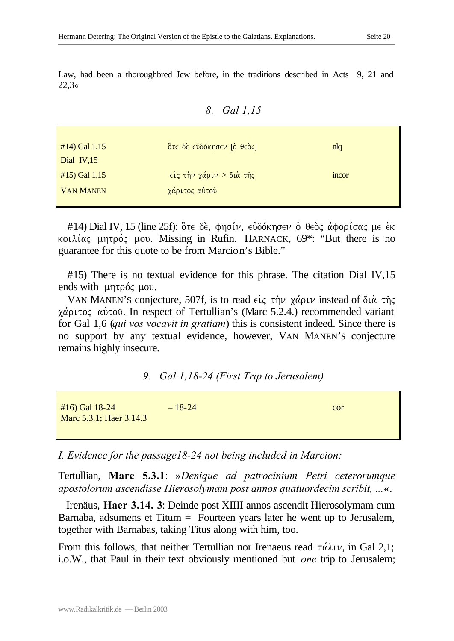Law, had been a thoroughbred Jew before, in the traditions described in Acts 9, 21 and  $22.3*$ 

| 8. | Gal 1,15 |
|----|----------|
|    |          |

| #14) Gal 1,15    | Ότε δε εὐδόκησεν [ο θεος]         | nlg         |
|------------------|-----------------------------------|-------------|
| Dial $IV,15$     |                                   |             |
| $#15$ ) Gal 1,15 | $\epsilon$ ίς την χάριν > διά της | <i>ncor</i> |
| <b>VAN MANEN</b> | χάριτος αύτου                     |             |
|                  |                                   |             |

#14) Dial IV, 15 (line 25f): δτε δε, φησίν, εὐδόκησεν δ θεδς άφορίσας με έκ κοιλίας μητρός μου. Missing in Rufin. HARNACK,  $69^*$ : "But there is no guarantee for this quote to be from Marcion's Bible."

#15) There is no textual evidence for this phrase. The citation Dial IV,15 ends with  $\mu$ nt $\rho$ ó $\zeta$   $\mu$ ov.

VAN MANEN'S conjecture, 507f, is to read  $\epsilon$ ic  $\tau \dot{\eta} \nu$   $\chi \dot{\alpha} \rho \nu$  instead of  $\delta \iota \dot{\alpha}$   $\tau \dot{\eta} \varsigma$  $\chi \alpha$   $\beta$  ( $\alpha$ )  $\alpha$  of  $\alpha$ ). In respect of Tertullian's (Marc 5.2.4.) recommended variant for Gal 1,6 (*qui vos vocavit in gratiam*) this is consistent indeed. Since there is no support by any textual evidence, however, VAN MANEN'S conjecture remains highly insecure.

*9. Gal 1,18-24 (First Trip to Jerusalem)*

| $#16$ Gal 18-24         | $-18-24$ | cor |
|-------------------------|----------|-----|
| Marc 5.3.1; Haer 3.14.3 |          |     |
|                         |          |     |

*I. Evidence for the passage18-24 not being included in Marcion:*

Tertullian, **Marc 5.3.1**: »*Denique ad patrocinium Petri ceterorumque apostolorum ascendisse Hierosolymam post annos quatuordecim scribit, ...*«.

Irenäus, **Haer 3.14. 3**: Deinde post XIIII annos ascendit Hierosolymam cum Barnaba, adsumens et Titum = Fourteen years later he went up to Jerusalem, together with Barnabas, taking Titus along with him, too.

From this follows, that neither Tertullian nor Irenaeus read  $\pi \alpha \lambda \nu$ , in Gal 2,1; i.o.W., that Paul in their text obviously mentioned but *one* trip to Jerusalem;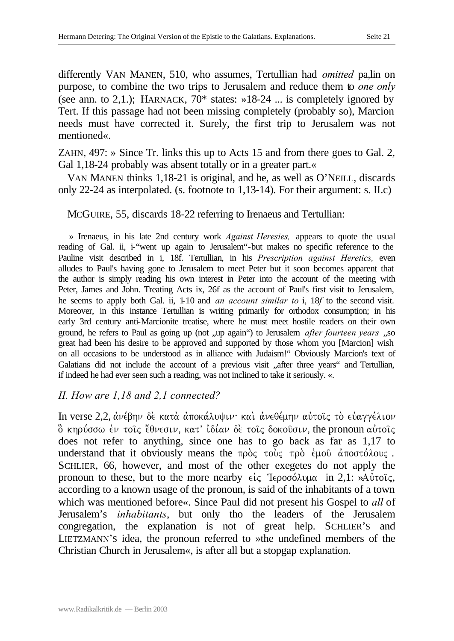differently VAN MANEN, 510, who assumes, Tertullian had *omitted* pa,lin on purpose, to combine the two trips to Jerusalem and reduce them to *one only* (see ann. to 2,1.); HARNACK,  $70^*$  states:  $\gg 18-24$  ... is completely ignored by Tert. If this passage had not been missing completely (probably so), Marcion needs must have corrected it. Surely, the first trip to Jerusalem was not mentioned«.

ZAHN, 497: » Since Tr. links this up to Acts 15 and from there goes to Gal. 2, Gal 1,18-24 probably was absent totally or in a greater part.«

VAN MANEN thinks 1,18-21 is original, and he, as well as O'NEILL, discards only 22-24 as interpolated. (s. footnote to 1,13-14). For their argument: s. II.c)

## MCGUIRE, 55, discards 18-22 referring to Irenaeus and Tertullian:

» Irenaeus, in his late 2nd century work *Against Heresies,* appears to quote the usual reading of Gal. ii, i-"went up again to Jerusalem"-but makes no specific reference to the Pauline visit described in i, 18f. Tertullian, in his *Prescription against Heretics,* even alludes to Paul's having gone to Jerusalem to meet Peter but it soon becomes apparent that the author is simply reading his own interest in Peter into the account of the meeting with Peter, James and John. Treating Acts ix, 26f as the account of Paul's first visit to Jerusalem, he seems to apply both Gal. ii, 1-10 and *an account similar to* i, 18*f* to the second visit. Moreover, in this instance Tertullian is writing primarily for orthodox consumption; in his early 3rd century anti-Marcionite treatise, where he must meet hostile readers on their own ground, he refers to Paul as going up (not , up again") to Jerusalem *after fourteen years* ...so great had been his desire to be approved and supported by those whom you [Marcion] wish on all occasions to be understood as in alliance with Judaism!" Obviously Marcion's text of Galatians did not include the account of a previous visit "after three years" and Tertullian, if indeed he had ever seen such a reading, was not inclined to take it seriously. «.

## *II. How are 1,18 and 2,1 connected?*

In verse 2,2, ανέβην δε κατα αποκάλυψιν· και ανεθέμην αυτοίς το ευαγγέλιον  $\delta$  κηρύσσω έν τοις έθνεσιν, κατ' ίδίαν δε τοις δοκουσιν, the pronoun αυτοις does not refer to anything, since one has to go back as far as 1,17 to understand that it obviously means the  $\pi \rho \dot{\rho}$   $\zeta$   $\pi \rho \dot{\rho}$   $\zeta$   $\mu$   $\omega$   $\dot{\alpha}$   $\pi$   $\sigma \sigma \dot{\alpha}$   $\lambda \sigma \nu \zeta$ . SCHLIER, 66, however, and most of the other exegetes do not apply the pronoun to these, but to the more nearby  $\epsilon \zeta$  'I $\epsilon \rho$ οσόλυμα in 2,1: »Aυτοίς, according to a known usage of the pronoun, is said of the inhabitants of a town which was mentioned before«. Since Paul did not present his Gospel to *all* of Jerusalem's *inhabitants*, but only tho the leaders of the Jerusalem congregation, the explanation is not of great help. SCHLIER'S and LIETZMANN'S idea, the pronoun referred to »the undefined members of the Christian Church in Jerusalem«, is after all but a stopgap explanation.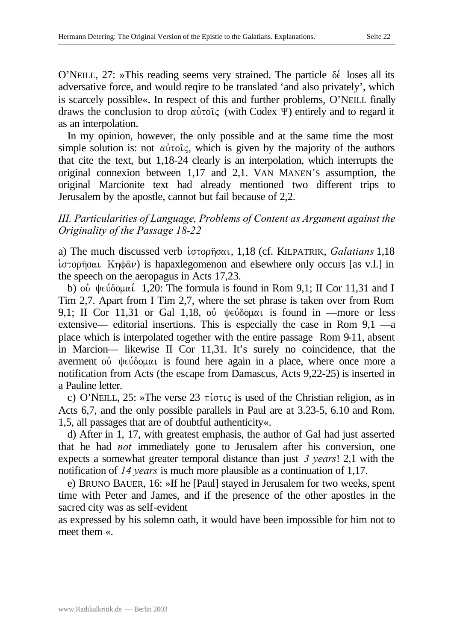O'NEILL, 27: »This reading seems very strained. The particle  $\delta \epsilon$  loses all its adversative force, and would reqire to be translated 'and also privately', which is scarcely possible«. In respect of this and further problems, O'NEILL finally draws the conclusion to drop  $\alpha\dot{\nu}\alpha\beta\zeta$  (with Codex  $\Psi$ ) entirely and to regard it as an interpolation.

In my opinion, however, the only possible and at the same time the most simple solution is: not  $\alpha\dot{\beta}$  vices, which is given by the majority of the authors that cite the text, but 1,18-24 clearly is an interpolation, which interrupts the original connexion between 1,17 and 2,1. VAN MANEN'S assumption, the original Marcionite text had already mentioned two different trips to Jerusalem by the apostle, cannot but fail because of 2,2.

## *III. Particularities of Language, Problems of Content as Argument against the Originality of the Passage 18-22*

a) The much discussed verb ιστορήσαι, 1,18 (cf. KILPATRIK, *Galatians* 1,18 i $\sigma$ topho $\alpha$ u Kn $\phi$  $\alpha$  $\nu$ ) is hapaxlegomenon and elsewhere only occurs [as v.l.] in the speech on the aeropagus in Acts 17,23.

b) où  $\psi \in \delta$  ouk in 1,20: The formula is found in Rom 9,1; II Cor 11,31 and I Tim 2,7. Apart from I Tim 2,7, where the set phrase is taken over from Rom 9,1; II Cor 11,31 or Gal 1,18, où  $\psi \in \delta$  ound in —more or less extensive— editorial insertions. This is especially the case in Rom 9,1 —a place which is interpolated together with the entire passage Rom 9-11, absent in Marcion— likewise II Cor 11,31. It's surely no coincidence, that the averment ou  $\psi \in \delta$  open is found here again in a place, where once more a notification from Acts (the escape from Damascus, Acts 9,22-25) is inserted in a Pauline letter.

c) O'NEILL,  $25$ : »The verse  $23 \pi \omega t \zeta$  is used of the Christian religion, as in Acts 6,7, and the only possible parallels in Paul are at 3.23-5, 6.10 and Rom. 1,5, all passages that are of doubtful authenticity«.

d) After in 1, 17, with greatest emphasis, the author of Gal had just asserted that he had *not* immediately gone to Jerusalem after his conversion, one expects a somewhat greater temporal distance than just *3 years*! 2,1 with the notification of *14 years* is much more plausible as a continuation of 1,17.

e) BRUNO BAUER, 16: »If he [Paul] stayed in Jerusalem for two weeks, spent time with Peter and James, and if the presence of the other apostles in the sacred city was as self-evident

as expressed by his solemn oath, it would have been impossible for him not to meet them «.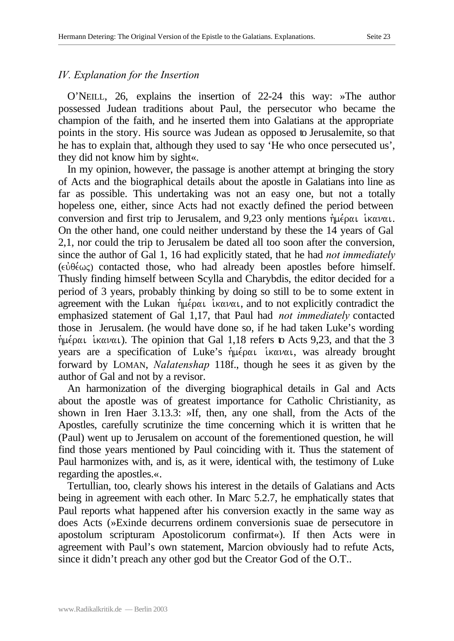## *IV. Explanation for the Insertion*

O'NEILL, 26, explains the insertion of 22-24 this way: »The author possessed Judean traditions about Paul, the persecutor who became the champion of the faith, and he inserted them into Galatians at the appropriate points in the story. His source was Judean as opposed to Jerusalemite, so that he has to explain that, although they used to say 'He who once persecuted us', they did not know him by sight«.

In my opinion, however, the passage is another attempt at bringing the story of Acts and the biographical details about the apostle in Galatians into line as far as possible. This undertaking was not an easy one, but not a totally hopeless one, either, since Acts had not exactly defined the period between conversion and first trip to Jerusalem, and 9,23 only mentions  $\eta\mu\epsilon\rho\alpha\iota$  in  $\alpha\nu\alpha\iota$ . On the other hand, one could neither understand by these the 14 years of Gal 2,1, nor could the trip to Jerusalem be dated all too soon after the conversion, since the author of Gal 1, 16 had explicitly stated, that he had *not immediately*  $(\epsilon \dot{\theta} \epsilon \omega \zeta)$  contacted those, who had already been apostles before himself. Thusly finding himself between Scylla and Charybdis, the editor decided for a period of 3 years, probably thinking by doing so still to be to some extent in agreement with the Lukan  $\hat{\eta} \mu \hat{\epsilon}$  is interval, and to not explicitly contradict the emphasized statement of Gal 1,17, that Paul had *not immediately* contacted those in Jerusalem. (he would have done so, if he had taken Luke's wording  $\eta\mu\epsilon\rho\alpha\iota$  ikavai). The opinion that Gal 1,18 refers to Acts 9,23, and that the 3 years are a specification of Luke's ήμέραι ικαναι, was already brought forward by LOMAN, *Nalatenshap* 118f., though he sees it as given by the author of Gal and not by a revisor.

An harmonization of the diverging biographical details in Gal and Acts about the apostle was of greatest importance for Catholic Christianity, as shown in Iren Haer 3.13.3: »If, then, any one shall, from the Acts of the Apostles, carefully scrutinize the time concerning which it is written that he (Paul) went up to Jerusalem on account of the forementioned question, he will find those years mentioned by Paul coinciding with it. Thus the statement of Paul harmonizes with, and is, as it were, identical with, the testimony of Luke regarding the apostles.«.

Tertullian, too, clearly shows his interest in the details of Galatians and Acts being in agreement with each other. In Marc 5.2.7, he emphatically states that Paul reports what happened after his conversion exactly in the same way as does Acts (»Exinde decurrens ordinem conversionis suae de persecutore in apostolum scripturam Apostolicorum confirmat«). If then Acts were in agreement with Paul's own statement, Marcion obviously had to refute Acts, since it didn't preach any other god but the Creator God of the O.T..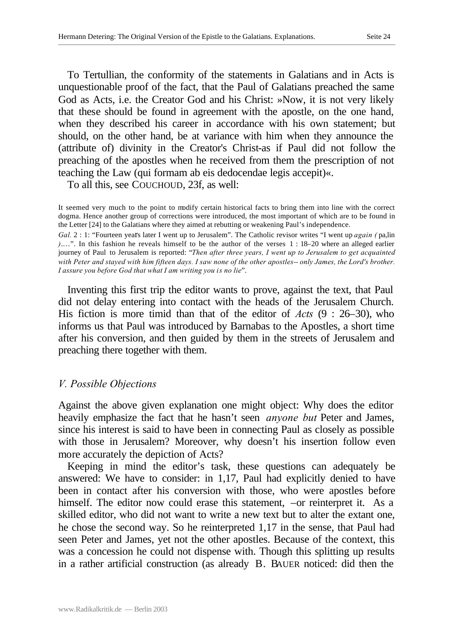To Tertullian, the conformity of the statements in Galatians and in Acts is unquestionable proof of the fact, that the Paul of Galatians preached the same God as Acts, i.e. the Creator God and his Christ: »Now, it is not very likely that these should be found in agreement with the apostle, on the one hand, when they described his career in accordance with his own statement; but should, on the other hand, be at variance with him when they announce the (attribute of) divinity in the Creator's Christ-as if Paul did not follow the preaching of the apostles when he received from them the prescription of not teaching the Law (qui formam ab eis dedocendae legis accepit)«.

To all this, see COUCHOUD, 23f, as well:

It seemed very much to the point to modify certain historical facts to bring them into line with the correct dogma. Hence another group of corrections were introduced, the most important of which are to be found in the Letter [24] to the Galatians where they aimed at rebutting or weakening Paul's independence.

*Gal.* 2 : 1: "Fourteen years later I went up to Jerusalem". The Catholic revisor writes "I went up *again (* pa,lin *)*.…". In this fashion he reveals himself to be the author of the verses 1 : 18–20 where an alleged earlier journey of Paul to Jerusalem is reported: "*Then after three years, I went up to Jerusalem to get acquainted*  with Peter and stayed with him fifteen days. I saw none of the other apostles-- only James, the Lord's brother. *I assure you before God that what I am writing you is no lie*".

Inventing this first trip the editor wants to prove, against the text, that Paul did not delay entering into contact with the heads of the Jerusalem Church. His fiction is more timid than that of the editor of *Acts* (9 : 26–30), who informs us that Paul was introduced by Barnabas to the Apostles, a short time after his conversion, and then guided by them in the streets of Jerusalem and preaching there together with them.

#### *V. Possible Objections*

Against the above given explanation one might object: Why does the editor heavily emphasize the fact that he hasn't seen *anyone but* Peter and James, since his interest is said to have been in connecting Paul as closely as possible with those in Jerusalem? Moreover, why doesn't his insertion follow even more accurately the depiction of Acts?

Keeping in mind the editor's task, these questions can adequately be answered: We have to consider: in 1,17, Paul had explicitly denied to have been in contact after his conversion with those, who were apostles before himself. The editor now could erase this statement,  $-$ or reinterpret it. As a skilled editor, who did not want to write a new text but to alter the extant one, he chose the second way. So he reinterpreted 1,17 in the sense, that Paul had seen Peter and James, yet not the other apostles. Because of the context, this was a concession he could not dispense with. Though this splitting up results in a rather artificial construction (as already B. BAUER noticed: did then the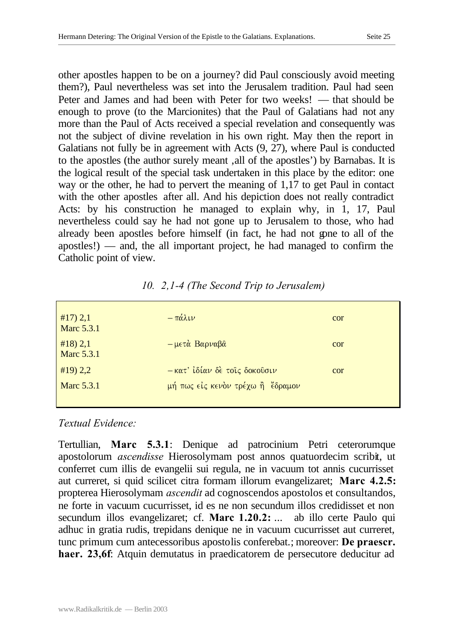other apostles happen to be on a journey? did Paul consciously avoid meeting them?), Paul nevertheless was set into the Jerusalem tradition. Paul had seen Peter and James and had been with Peter for two weeks! — that should be enough to prove (to the Marcionites) that the Paul of Galatians had not any more than the Paul of Acts received a special revelation and consequently was not the subject of divine revelation in his own right. May then the report in Galatians not fully be in agreement with Acts (9, 27), where Paul is conducted to the apostles (the author surely meant, all of the apostles') by Barnabas. It is the logical result of the special task undertaken in this place by the editor: one way or the other, he had to pervert the meaning of 1,17 to get Paul in contact with the other apostles after all. And his depiction does not really contradict Acts: by his construction he managed to explain why, in 1, 17, Paul nevertheless could say he had not gone up to Jerusalem to those, who had already been apostles before himself (in fact, he had not gone to all of the apostles!) — and, the all important project, he had managed to confirm the Catholic point of view.

| #17) 2,1<br><b>Marc 5.3.1</b> | $-\pi\acute{\alpha}\lambda\iota\nu$       | cor |
|-------------------------------|-------------------------------------------|-----|
| #18) 2,1<br>Marc 5.3.1        | $-\mu \epsilon \tau \dot{\alpha}$ Βαρναβά | cor |
| #19) 2,2                      | - κατ' ίδίαν δέ τοις δοκούσιν             | cor |
| Marc 5.3.1                    | μή πως είς κενόν τρέχω ή έδραμον          |     |

*10. 2,1-4 (The Second Trip to Jerusalem)*

## *Textual Evidence:*

Tertullian, **Marc 5.3.1**: Denique ad patrocinium Petri ceterorumque apostolorum *ascendisse* Hierosolymam post annos quatuordecim scribit, ut conferret cum illis de evangelii sui regula, ne in vacuum tot annis cucurrisset aut curreret, si quid scilicet citra formam illorum evangelizaret; **Marc 4.2.5:** propterea Hierosolymam *ascendit* ad cognoscendos apostolos et consultandos, ne forte in vacuum cucurrisset, id es ne non secundum illos credidisset et non secundum illos evangelizaret; cf. **Marc 1.20.2:** ... ab illo certe Paulo qui adhuc in gratia rudis, trepidans denique ne in vacuum cucurrisset aut curreret, tunc primum cum antecessoribus apostolis conferebat.; moreover: **De praescr. haer. 23,6f**: Atquin demutatus in praedicatorem de persecutore deducitur ad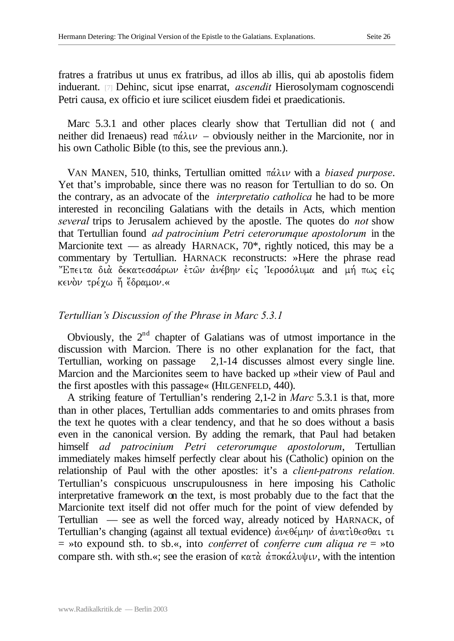fratres a fratribus ut unus ex fratribus, ad illos ab illis, qui ab apostolis fidem induerant. [7] Dehinc, sicut ipse enarrat, *ascendit* Hierosolymam cognoscendi Petri causa, ex officio et iure scilicet eiusdem fidei et praedicationis.

Marc 5.3.1 and other places clearly show that Tertullian did not ( and neither did Irenaeus) read  $\pi\alpha\lambda\mu$  – obviously neither in the Marcionite, nor in his own Catholic Bible (to this, see the previous ann.).

VAN MANEN, 510, thinks, Tertullian omitted  $\pi\acute{\alpha}\lambda\iota\nu$  with a *biased purpose*. Yet that's improbable, since there was no reason for Tertullian to do so. On the contrary, as an advocate of the *interpret*a*tio catholica* he had to be more interested in reconciling Galatians with the details in Acts, which mention *several* trips to Jerusalem achieved by the apostle. The quotes do *not* show that Tertullian found *ad patrocinium Petri ceterorumque apostolorum* in the Marcionite text — as already HARNACK,  $70^*$ , rightly noticed, this may be a commentary by Tertullian. HARNACK reconstructs: »Here the phrase read "Επειτα διά δεκατεσσάρων έτων άνέβην είς Ιεροσόλυμα and μή πως είς κενὸν τρέχω ἤ ἔδραμον.«

#### *Tertullian's Discussion of the Phrase in Marc 5.3.1*

Obviously, the  $2<sup>nd</sup>$  chapter of Galatians was of utmost importance in the discussion with Marcion. There is no other explanation for the fact, that Tertullian, working on passage 2,1-14 discusses almost every single line. Marcion and the Marcionites seem to have backed up »their view of Paul and the first apostles with this passage« (HILGENFELD, 440).

A striking feature of Tertullian's rendering 2,1-2 in *Marc* 5.3.1 is that, more than in other places, Tertullian adds commentaries to and omits phrases from the text he quotes with a clear tendency, and that he so does without a basis even in the canonical version. By adding the remark, that Paul had betaken himself *ad patrocinium Petri ceterorumque apostolorum*, Tertullian immediately makes himself perfectly clear about his (Catholic) opinion on the relationship of Paul with the other apostles: it's a *client-patrons relation.* Tertullian's conspicuous unscrupulousness in here imposing his Catholic interpretative framework on the text, is most probably due to the fact that the Marcionite text itself did not offer much for the point of view defended by Tertullian — see as well the forced way, already noticed by HARNACK, of Tertullian's changing (against all textual evidence)  $\alpha v \in \theta \in \mathcal{L}$  of  $\alpha v \alpha \tau \in \theta \in \theta \alpha$ = »to expound sth. to sb.«, into *conferret* of *conferre cum aliqua re* = »to compare sth. with sth.«; see the erasion of  $\kappa \alpha \tau \dot{\alpha}$   $\dot{\alpha} \pi \alpha \dot{\alpha} \lambda \nu \psi \nu$ , with the intention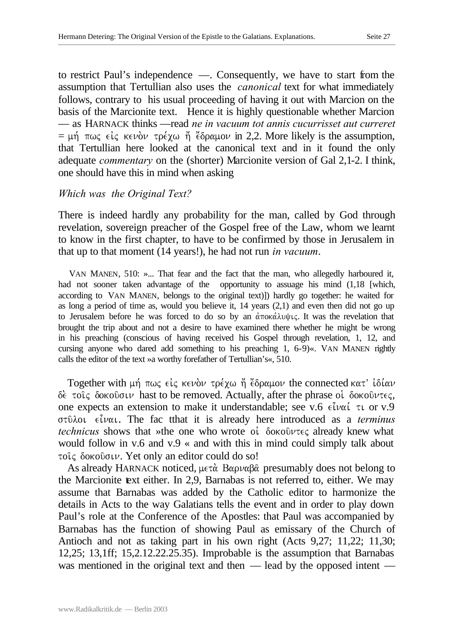to restrict Paul's independence —. Consequently, we have to start from the assumption that Tertullian also uses the *canonical* text for what immediately follows, contrary to his usual proceeding of having it out with Marcion on the basis of the Marcionite text. Hence it is highly questionable whether Marcion — as HARNACK thinks —read *ne in vacuum tot annis cucurrisset aut curreret* =  $\mu$ ή πως είς κενὸν τρέχω ἤ ἔδραμον in 2,2. More likely is the assumption, that Tertullian here looked at the canonical text and in it found the only adequate *commentary* on the (shorter) Marcionite version of Gal 2,1-2. I think, one should have this in mind when asking

#### *Which was the Original Text?*

There is indeed hardly any probability for the man, called by God through revelation, sovereign preacher of the Gospel free of the Law, whom we learnt to know in the first chapter, to have to be confirmed by those in Jerusalem in that up to that moment (14 years!), he had not run *in vacuum*.

VAN MANEN, 510: »... That fear and the fact that the man, who allegedly harboured it, had not sooner taken advantage of the opportunity to assuage his mind (1,18 [which, according to VAN MANEN, belongs to the original text)]) hardly go together: he waited for as long a period of time as, would you believe it, 14 years (2,1) and even then did not go up to Jerusalem before he was forced to do so by an  $\alpha \pi$  ok $\alpha \lambda$ u $\psi$ us the revelation that brought the trip about and not a desire to have examined there whether he might be wrong in his preaching (conscious of having received his Gospel through revelation, 1, 12, and cursing anyone who dared add something to his preaching 1, 6-9)«. VAN MANEN rightly calls the editor of the text »a worthy forefather of Tertullian's«, 510.

Together with μή πως είς κενόν τρέχω ή έδραμον the connected κατ' ιδίαν  $\delta$ è toiς δοκούσιν hast to be removed. Actually, after the phrase oi δοκούντες, one expects an extension to make it understandable; see v.6  $\epsilon \hat{i} \nu \alpha \hat{i}$   $\tau \iota$  or v.9 στύλοι είναι. The fac tthat it is already here introduced as a *terminus technicus* shows that »the one who wrote oi δοκούντες already knew what would follow in v.6 and v.9 « and with this in mind could simply talk about τοις δοκούσιν. Yet only an editor could do so!

As already HARNACK noticed,  $\mu \in \mathbb{R}$  Bapva $\beta\hat{\alpha}$  presumably does not belong to the Marcionite text either. In 2,9, Barnabas is not referred to, either. We may assume that Barnabas was added by the Catholic editor to harmonize the details in Acts to the way Galatians tells the event and in order to play down Paul's role at the Conference of the Apostles: that Paul was accompanied by Barnabas has the function of showing Paul as emissary of the Church of Antioch and not as taking part in his own right (Acts 9,27; 11,22; 11,30; 12,25; 13,1ff; 15,2.12.22.25.35). Improbable is the assumption that Barnabas was mentioned in the original text and then — lead by the opposed intent —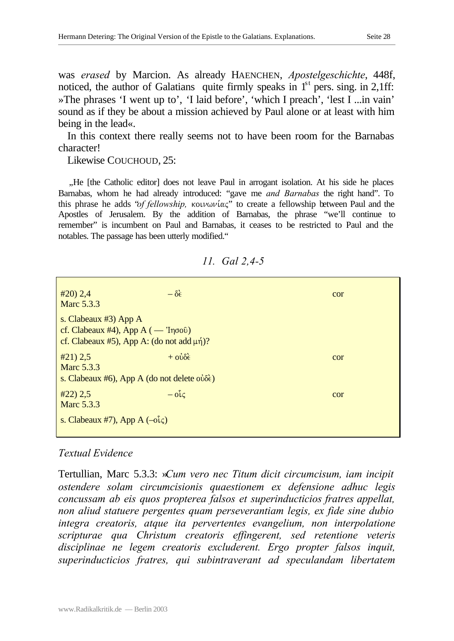was *erased* by Marcion. As already HAENCHEN, *Apostelgeschichte*, 448f, noticed, the author of Galatians quite firmly speaks in  $1<sup>st</sup>$  pers. sing. in 2,1ff: »The phrases 'I went up to', 'I laid before', 'which I preach', 'lest I ...in vain' sound as if they be about a mission achieved by Paul alone or at least with him being in the lead«.

In this context there really seems not to have been room for the Barnabas character!

Likewise COUCHOUD, 25:

..He [the Catholic editor] does not leave Paul in arrogant isolation. At his side he places Barnabas, whom he had already introduced: "gave me *and Barnabas* the right hand". To this phrase he adds "*of fellowship*, κοινωνίας" to create a fellowship between Paul and the Apostles of Jerusalem. By the addition of Barnabas, the phrase "we'll continue to remember" is incumbent on Paul and Barnabas, it ceases to be restricted to Paul and the notables. The passage has been utterly modified."

| $\#20$ ) 2,4<br>Marc 5.3.3                                                                                                     | $-\delta \xi$       | cor |
|--------------------------------------------------------------------------------------------------------------------------------|---------------------|-----|
| s. Clabeaux $#3$ ) App A<br>cf. Clabeaux #4), App $A(-i\eta\sigma\delta)$<br>cf. Clabeaux #5), App A: (do not add $\mu\eta$ )? |                     |     |
| #21) 2,5<br>Marc 5.3.3<br>s. Clabeaux #6), App A (do not delete $o\dot{\delta}\dot{\epsilon}$ )                                | $+$ $0\dot{\theta}$ | cor |
| #22) 2,5<br>Marc 5.3.3                                                                                                         | $-\delta \hat{l}$   | cor |
| s. Clabeaux #7), App A $(-o\hat{i}\varsigma)$                                                                                  |                     |     |

*11. Gal 2,4-5*

#### *Textual Evidence*

Tertullian, Marc 5.3.3: »*Cum vero nec Titum dicit circumcisum, iam incipit ostendere solam circumcisionis quaestionem ex defensione adhuc legis concussam ab eis quos propterea falsos et superinducticios fratres appellat, non aliud statuere pergentes quam perseverantiam legis, ex fide sine dubio integra creatoris, atque ita pervertentes evangelium, non interpolatione scripturae qua Christum creatoris effingerent, sed retentione veteris disciplinae ne legem creatoris excluderent. Ergo propter falsos inquit, superinducticios fratres, qui subintraverant ad speculandam libertatem*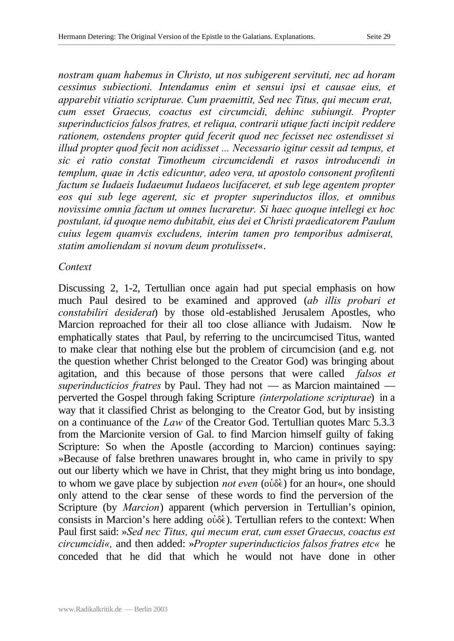*nostram quam habemus in Christo, ut nos subigerent servituti, nec ad horam cessimus subiectioni. Intendamus enim et sensui ipsi et causae eius, et apparebit vitiatio scripturae. Cum praemittit, Sed nec Titus, qui mecum erat, cum esset Graecus, coactus est circumcidi, dehinc subiungit. Propter superinducticios falsos fratres, et reliqua, contrarii utique facti incipit reddere rationem, ostendens propter quid fecerit quod nec fecisset nec ostendisset si illud propter quod fecit non acidisset ... Necessario igitur cessit ad tempus, et sic ei ratio constat Timotheum circumcidendi et rasos introducendi in templum, quae in Actis edicuntur, adeo vera, ut apostolo consonent profitenti factum se Iudaeis Iudaeumut Iudaeos lucifaceret, et sub lege agentem propter eos qui sub lege agerent, sic et propter superinductos illos, et omnibus novissime omnia factum ut omnes lucraretur. Si haec quoque intellegi ex hoc postulant, id quoque nemo dubitabit, eius dei et Christi praedicatorem Paulum cuius legem quamvis excludens, interim tamen pro temporibus admiserat, statim amoliendam si novum deum protulisset*«.

#### *Context*

Discussing 2, 1-2, Tertullian once again had put special emphasis on how much Paul desired to be examined and approved (*ab illis probari et constabiliri desiderat*) by those old-established Jerusalem Apostles, who Marcion reproached for their all too close alliance with Judaism. Now he emphatically states that Paul, by referring to the uncircumcised Titus, wanted to make clear that nothing else but the problem of circumcision (and e.g. not the question whether Christ belonged to the Creator God) was bringing about agitation, and this because of those persons that were called *falsos et superinducticios fratres* by Paul. They had not — as Marcion maintained perverted the Gospel through faking Scripture *(interpolatione scripturae*) in a way that it classified Christ as belonging to the Creator God, but by insisting on a continuance of the *Law* of the Creator God. Tertullian quotes Marc 5.3.3 from the Marcionite version of Gal. to find Marcion himself guilty of faking Scripture: So when the Apostle (according to Marcion) continues saying: »Because of false brethren unawares brought in, who came in privily to spy out our liberty which we have in Christ, that they might bring us into bondage, to whom we gave place by subjection *not even* (ούδε) for an hour«, one should only attend to the clear sense of these words to find the perversion of the Scripture (by *Marcion*) apparent (which perversion in Tertullian's opinion, consists in Marcion's here adding  $\omega\delta\hat{\epsilon}$ ). Tertullian refers to the context: When Paul first said: »*Sed nec Titus, qui mecum erat, cum esset Graecus, coactus est circumcidi«,* and then added: »*Propter superinducticios falsos fratres etc«* he conceded that he did that which he would not have done in other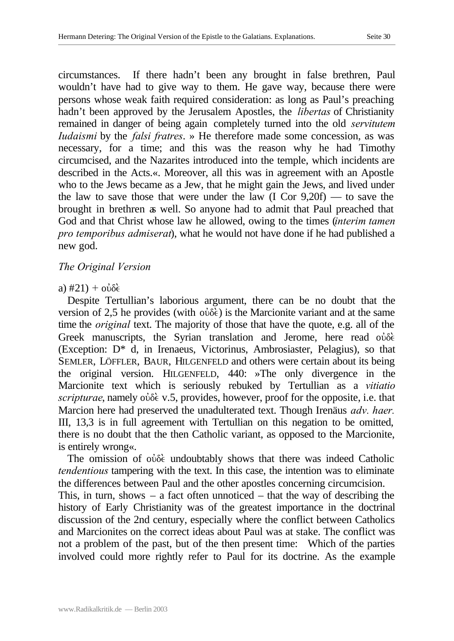circumstances. If there hadn't been any brought in false brethren, Paul wouldn't have had to give way to them. He gave way, because there were persons whose weak faith required consideration: as long as Paul's preaching hadn't been approved by the Jerusalem Apostles, the *libertas* of Christianity remained in danger of being again completely turned into the old *servitutem Iudaismi* by the *falsi fratres*. » He therefore made some concession, as was necessary, for a time; and this was the reason why he had Timothy circumcised, and the Nazarites introduced into the temple, which incidents are described in the Acts.«. Moreover, all this was in agreement with an Apostle who to the Jews became as a Jew, that he might gain the Jews, and lived under the law to save those that were under the law (I Cor 9,20f) — to save the brought in brethren as well. So anyone had to admit that Paul preached that God and that Christ whose law he allowed, owing to the times (*interim tamen pro temporibus admiserat*), what he would not have done if he had published a new god.

## *The Original Version*

#### a)  $\#21$ ) +  $\omega\delta\epsilon$

Despite Tertullian's laborious argument, there can be no doubt that the version of 2,5 he provides (with  $\vec{\omega}$ ) is the Marcionite variant and at the same time the *original* text. The majority of those that have the quote, e.g. all of the Greek manuscripts, the Syrian translation and Jerome, here read  $\omega \delta \hat{\epsilon}$ . (Exception: D\* d, in Irenaeus, Victorinus, Ambrosiaster, Pelagius), so that SEMLER, LÖFFLER, BAUR, HILGENFELD and others were certain about its being the original version. HILGENFELD, 440: »The only divergence in the Marcionite text which is seriously rebuked by Tertullian as a *vitiatio scripturae*, namely  $\omega \delta \hat{\epsilon}$  v.5, provides, however, proof for the opposite, i.e. that Marcion here had preserved the unadulterated text. Though Irenäus *adv. haer.* III, 13,3 is in full agreement with Tertullian on this negation to be omitted, there is no doubt that the then Catholic variant, as opposed to the Marcionite, is entirely wrong«.

The omission of  $\omega\delta\hat{\epsilon}$  undoubtably shows that there was indeed Catholic *tendentious* tampering with the text. In this case, the intention was to eliminate the differences between Paul and the other apostles concerning circumcision.

This, in turn, shows  $-$  a fact often unnoticed  $-$  that the way of describing the history of Early Christianity was of the greatest importance in the doctrinal discussion of the 2nd century, especially where the conflict between Catholics and Marcionites on the correct ideas about Paul was at stake. The conflict was not a problem of the past, but of the then present time: Which of the parties involved could more rightly refer to Paul for its doctrine. As the example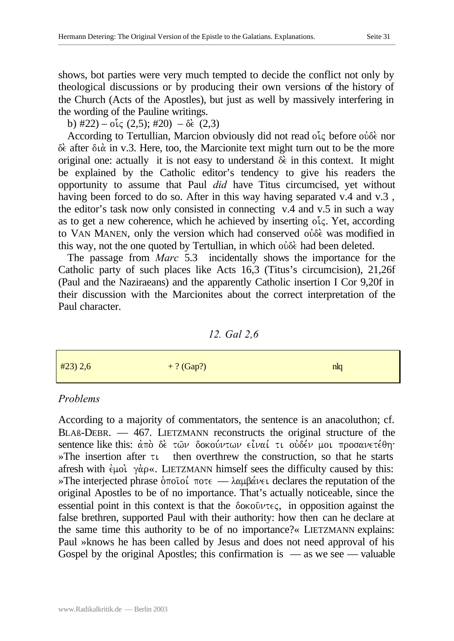shows, bot parties were very much tempted to decide the conflict not only by theological discussions or by producing their own versions of the history of the Church (Acts of the Apostles), but just as well by massively interfering in the wording of the Pauline writings.

b)  $\#22$ ) –  $\sigma \zeta$  (2,5);  $\#20$ ) –  $\delta \zeta$  (2,3)

According to Tertullian, Marcion obviously did not read of effore ovote nor  $\delta \epsilon$  after  $\delta \alpha$  in v.3. Here, too, the Marcionite text might turn out to be the more original one: actually it is not easy to understand  $\delta \epsilon$  in this context. It might be explained by the Catholic editor's tendency to give his readers the opportunity to assume that Paul *did* have Titus circumcised, yet without having been forced to do so. After in this way having separated v.4 and v.3 , the editor's task now only consisted in connecting v.4 and v.5 in such a way as to get a new coherence, which he achieved by inserting  $o<sup>i</sup>c$ . Yet, according to VAN MANEN, only the version which had conserved over was modified in this way, not the one quoted by Tertullian, in which  $\omega \delta \xi$  had been deleted.

The passage from *Marc* 5.3 incidentally shows the importance for the Catholic party of such places like Acts 16,3 (Titus's circumcision), 21,26f (Paul and the Naziraeans) and the apparently Catholic insertion I Cor 9,20f in their discussion with the Marcionites about the correct interpretation of the Paul character.

*12. Gal 2,6*

| #23) 2,6 | $+?$ (Gap?) | nlq |
|----------|-------------|-----|
|          |             |     |

# *Problems*

According to a majority of commentators, the sentence is an anacoluthon; cf. BLAß-DEBR. — 467. LIETZMANN reconstructs the original structure of the sentence like this: άπὸ δὲ τῶν δοκούντων εἶναί τι οὐδέν μοι προσανετέθη·  $\mathcal{P}$ The insertion after  $\tau \iota$  then overthrew the construction, so that he starts afresh with  $\epsilon \mu o \iota$   $\gamma \alpha \rho \kappa$ . LIETZMANN himself sees the difficulty caused by this: »The interjected phrase  $\delta \pi$ oioi,  $\pi \circ \epsilon$  —  $\lambda \alpha \mu \beta \alpha \nu \epsilon$ , declares the reputation of the original Apostles to be of no importance. That's actually noticeable, since the essential point in this context is that the  $\delta$  oko $\delta \nu \tau \in \zeta$ , in opposition against the false brethren, supported Paul with their authority: how then can he declare at the same time this authority to be of no importance?« LIETZMANN explains: Paul »knows he has been called by Jesus and does not need approval of his Gospel by the original Apostles; this confirmation is  $\frac{1}{1}$  as we see  $\frac{1}{1}$  valuable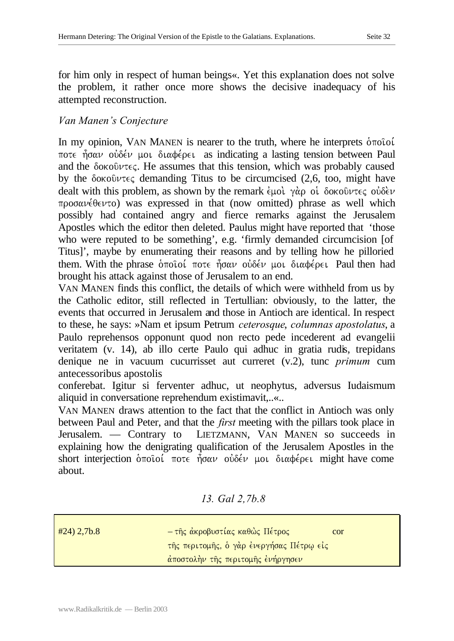for him only in respect of human beings«. Yet this explanation does not solve the problem, it rather once more shows the decisive inadequacy of his attempted reconstruction.

# *Van Manen's Conjecture*

In my opinion, VAN MANEN is nearer to the truth, where he interprets  $\delta \pi$ oiol  $\pi$ ote ήσαν ουδέν μοι διαφέρει as indicating a lasting tension between Paul and the  $\delta$  oko $\hat{v}$  v  $\epsilon$ . He assumes that this tension, which was probably caused by the  $\delta$  okou $\nu \in \mathcal{E}$  demanding Titus to be circumcised (2,6, too, might have dealt with this problem, as shown by the remark  $\epsilon \mu$  oi.  $\gamma \alpha \rho$  oi.  $\delta$  okou $\nu \tau \epsilon \rho$  ouvode.  $\pi$ po $\sigma$ a $\nu$  $\acute{\epsilon}$  $\theta$  $\epsilon$  $\nu$ to) was expressed in that (now omitted) phrase as well which possibly had contained angry and fierce remarks against the Jerusalem Apostles which the editor then deleted. Paulus might have reported that 'those who were reputed to be something', e.g. 'firmly demanded circumcision [of Titus]', maybe by enumerating their reasons and by telling how he pilloried them. With the phrase  $\delta\pi$ οιοί ποτε ήσαν ουδέν μοι διαφέρει Paul then had brought his attack against those of Jerusalem to an end.

VAN MANEN finds this conflict, the details of which were withheld from us by the Catholic editor, still reflected in Tertullian: obviously, to the latter, the events that occurred in Jerusalem and those in Antioch are identical. In respect to these, he says: »Nam et ipsum Petrum *ceterosque*, *columnas apostolatus*, a Paulo reprehensos opponunt quod non recto pede incederent ad evangelii veritatem (v. 14), ab illo certe Paulo qui adhuc in gratia rudis, trepidans denique ne in vacuum cucurrisset aut curreret (v.2), tunc *primum* cum antecessoribus apostolis

conferebat. Igitur si ferventer adhuc, ut neophytus, adversus Iudaismum aliquid in conversatione reprehendum existimavit,..«..

VAN MANEN draws attention to the fact that the conflict in Antioch was only between Paul and Peter, and that the *first* meeting with the pillars took place in Jerusalem. — Contrary to LIETZMANN, VAN MANEN so succeeds in explaining how the denigrating qualification of the Jerusalem Apostles in the short interjection  $\delta\pi$ oioi,  $\pi$ ote  $\hat{\eta}$ σαν ούδέν μοι διαφέρει might have come about.

## *13. Gal 2,7b.8*

| $\#24$ ) 2,7b.8 | - της άκροβυστίας καθώς Πέτρος           | cor |
|-----------------|------------------------------------------|-----|
|                 | της περιτομης, ο γάρ ένεργήσας Πέτρω είς |     |
|                 | άποστολήν της περιτομης ένήργησεν        |     |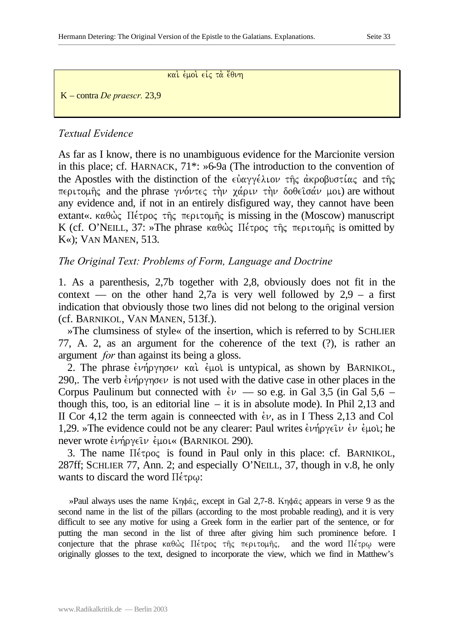#### και έμοι είς τα έθνη

K – contra *De praescr.* 23,9

## *Textual Evidence*

As far as I know, there is no unambiguous evidence for the Marcionite version in this place; cf. HARNACK, 71\*: »6-9a (The introduction to the convention of the Apostles with the distinction of the  $\epsilon \dot{\alpha} \alpha \gamma \gamma \dot{\epsilon} \lambda$ ιον της ακροβυστίας and της  $\pi$ εριτομής and the phrase γνόντες την χάριν την δοθείσάν μοι) are without any evidence and, if not in an entirely disfigured way, they cannot have been extant«.  $\kappa \alpha \theta \dot{\omega}$ ,  $\vec{\mu}$   $\epsilon$   $\vec{\mu}$   $\epsilon$ ,  $\vec{\mu}$   $\epsilon$   $\vec{\mu}$   $\epsilon$   $\vec{\mu}$  is missing in the (Moscow) manuscript K (cf. O'NEILL, 37: »The phrase καθώς Πέτρος της περιτομής is omitted by K«); VAN MANEN, 513.

## *The Original Text: Problems of Form, Language and Doctrine*

1. As a parenthesis, 2,7b together with 2,8, obviously does not fit in the context — on the other hand 2,7a is very well followed by  $2.9 - a$  first indication that obviously those two lines did not belong to the original version (cf. BARNIKOL, VAN MANEN, 513f.).

»The clumsiness of style« of the insertion, which is referred to by SCHLIER 77, A. 2, as an argument for the coherence of the text (?), is rather an argument *for* than against its being a gloss.

2. The phrase  $\epsilon \nu \eta \rho \gamma \eta \sigma \epsilon \nu$  kai.  $\epsilon \mu \rho \delta \nu$  is untypical, as shown by BARNIKOL, 290,. The verb  $\epsilon \nu \eta \rho \gamma \eta \sigma \epsilon \nu$  is not used with the dative case in other places in the Corpus Paulinum but connected with  $\dot{\epsilon}v$  — so e.g. in Gal 3,5 (in Gal 5,6 – though this, too, is an editorial line  $-$  it is in absolute mode). In Phil 2,13 and II Cor 4,12 the term again is conneected with  $\epsilon v$ , as in I Thess 2,13 and Col 1,29. »The evidence could not be any clearer: Paul writes  $\epsilon \nu \hat{\eta} \rho \gamma \epsilon \hat{\iota} \nu \epsilon \mu$   $\epsilon \nu$ ; he never wrote  $\epsilon \nu \eta \rho \gamma \epsilon \nu \epsilon \mu$  (BARNIKOL 290).

3. The name  $\Pi \in \text{Topo}$  is found in Paul only in this place: cf. BARNIKOL, 287ff; SCHLIER 77, Ann. 2; and especially O'NEILL, 37, though in v.8, he only wants to discard the word  $\Pi \leq \tau \rho \omega$ :

»Paul always uses the name  $K\eta\phi\hat{\alpha}\zeta$ , except in Gal 2,7-8.  $K\eta\phi\hat{\alpha}\zeta$  appears in verse 9 as the second name in the list of the pillars (according to the most probable reading), and it is very difficult to see any motive for using a Greek form in the earlier part of the sentence, or for putting the man second in the list of three after giving him such prominence before. I conjecture that the phrase  $\kappa \alpha \theta \dot{\omega}$   $\zeta$   $\Pi \epsilon \tau \rho \omega \epsilon$   $\eta$   $\zeta$   $\eta$   $\epsilon$   $\eta$  and the word  $\Pi \epsilon \tau \rho \omega$  were originally glosses to the text, designed to incorporate the view, which we find in Matthew's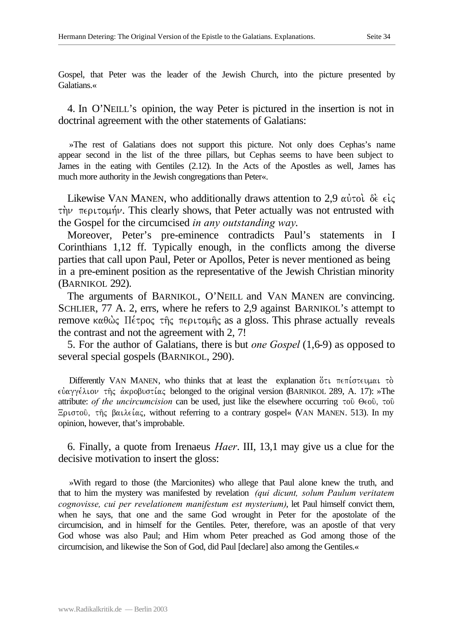Gospel, that Peter was the leader of the Jewish Church, into the picture presented by Galatians.«

4. In O'NEILL's opinion, the way Peter is pictured in the insertion is not in doctrinal agreement with the other statements of Galatians:

»The rest of Galatians does not support this picture. Not only does Cephas's name appear second in the list of the three pillars, but Cephas seems to have been subject to James in the eating with Gentiles (2.12). In the Acts of the Apostles as well, James has much more authority in the Jewish congregations than Peter«.

Likewise VAN MANEN, who additionally draws attention to 2,9  $\alpha\dot{\nu}$  to  $\delta\dot{\epsilon} \epsilon\dot{\iota}\zeta$  $\tau \dot{\gamma}$   $\nu$   $\tau \epsilon$  puto  $\mu \dot{\gamma}$ . This clearly shows, that Peter actually was not entrusted with the Gospel for the circumcised *in any outstanding way*.

Moreover, Peter's pre-eminence contradicts Paul's statements in I Corinthians 1,12 ff. Typically enough, in the conflicts among the diverse parties that call upon Paul, Peter or Apollos, Peter is never mentioned as being in a pre-eminent position as the representative of the Jewish Christian minority (BARNIKOL 292).

The arguments of BARNIKOL, O'NEILL and VAN MANEN are convincing. SCHLIER, 77 A. 2, errs, where he refers to 2,9 against BARNIKOL's attempt to remove  $\kappa \alpha \theta \dot{\omega}$  II  $\epsilon \tau \rho o \zeta$  the  $\tau \epsilon \rho \nu \tau o \mu \hat{\eta} \zeta$  as a gloss. This phrase actually reveals the contrast and not the agreement with 2, 7!

5. For the author of Galatians, there is but *one Gospel* (1,6-9) as opposed to several special gospels (BARNIKOL, 290).

Differently VAN MANEN, who thinks that at least the explanation  $\delta \tau \tau$   $\tau \tau$  ( $\sigma \tau \in \mathfrak{g}$ )  $\epsilon$ υαγγέλιον της ακροβυστίας belonged to the original version (BARNIKOL 289, A. 17): »The attribute: *of the uncircumcision* can be used, just like the elsewhere occurring  $\tau$ 00  $\Theta$  $\epsilon$ 00,  $\tau$ 00 Eριστού, της βαιλείας, without referring to a contrary gospel« (VAN MANEN. 513). In my opinion, however, that's improbable.

6. Finally, a quote from Irenaeus *Haer*. III, 13,1 may give us a clue for the decisive motivation to insert the gloss:

»With regard to those (the Marcionites) who allege that Paul alone knew the truth, and that to him the mystery was manifested by revelation *(qui dicunt, solum Paulum veritatem cognovisse, cui per revelationem manifestum est mysterium)*, let Paul himself convict them, when he says, that one and the same God wrought in Peter for the apostolate of the circumcision, and in himself for the Gentiles. Peter, therefore, was an apostle of that very God whose was also Paul; and Him whom Peter preached as God among those of the circumcision, and likewise the Son of God, did Paul [declare] also among the Gentiles.«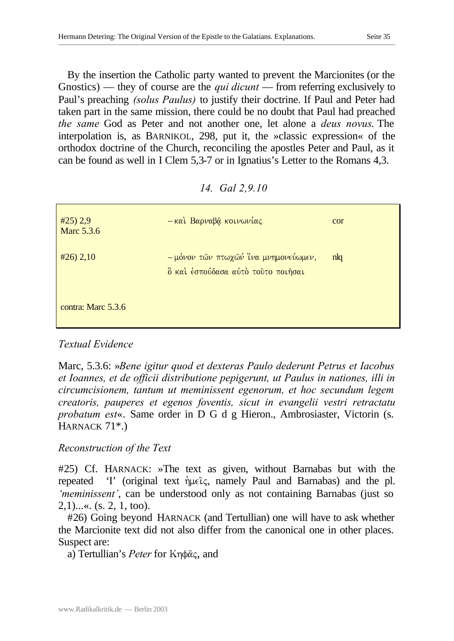By the insertion the Catholic party wanted to prevent the Marcionites (or the Gnostics) — they of course are the *qui dicunt* — from referring exclusively to Paul's preaching *(solus Paulus)* to justify their doctrine. If Paul and Peter had taken part in the same mission, there could be no doubt that Paul had preached *the same* God as Peter and not another one, let alone a *deus novus*. The interpolation is, as BARNIKOL, 298, put it, the »classic expression« of the orthodox doctrine of the Church, reconciling the apostles Peter and Paul, as it can be found as well in I Clem 5,3-7 or in Ignatius's Letter to the Romans 4,3.

#### *14. Gal 2,9.10*

| #25) 2,9<br><b>Marc 5.3.6</b> | - και Βαρναβά κοινωνίας                                                    | cor            |
|-------------------------------|----------------------------------------------------------------------------|----------------|
| $\#26$ ) 2,10                 | - μόνον τῶν πτωχῶν ἴνα μνημονεύωμεν,<br>δ και έσπούδασα αύτο τουτο ποιήσαι | n <sub>l</sub> |
| contra: Marc 5.3.6            |                                                                            |                |

# *Textual Evidence*

Marc, 5.3.6: »*Bene igitur quod et dexteras Paulo dederunt Petrus et Iacobus et Ioannes, et de officii distributione pepigerunt, ut Paulus in nationes, illi in circumcisionem, tantum ut meminissent egenorum, et hoc secundum legem creatoris, pauperes et egenos foventis, sicut in evangelii vestri retractatu probatum est*«. Same order in D G d g Hieron., Ambrosiaster, Victorin (s. HARNACK 71\*.)

# *Reconstruction of the Text*

#25) Cf. HARNACK: »The text as given, without Barnabas but with the repeated 'I' (original text  $\hat{\eta} \mu \in \hat{C}$ , namely Paul and Barnabas) and the pl. *'meminissent'*, can be understood only as not containing Barnabas (just so  $2,1)$ ...«. (s. 2, 1, too).

#26) Going beyond HARNACK (and Tertullian) one will have to ask whether the Marcionite text did not also differ from the canonical one in other places. Suspect are:

a) Tertullian's *Peter* for Κηφᾶς, and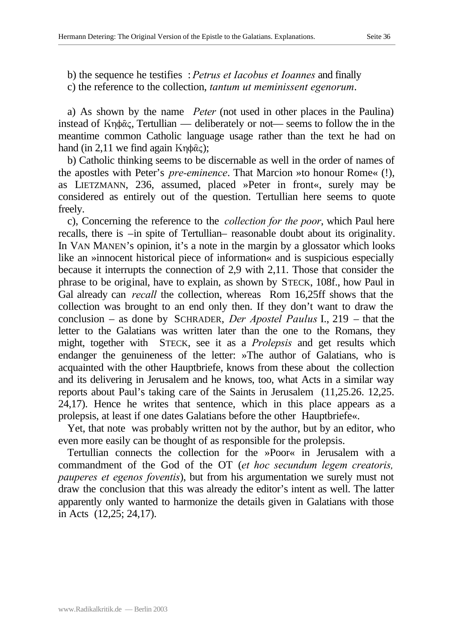b) the sequence he testifies : *Petrus et Iacobus et Ioannes* and finally c) the reference to the collection, *tantum ut meminissent egenorum*.

a) As shown by the name *Peter* (not used in other places in the Paulina) instead of  $Kn\phi\hat{\alpha}\zeta$ , Tertullian — deliberately or not— seems to follow the in the meantime common Catholic language usage rather than the text he had on hand (in 2,11 we find again  $Kn\phi\hat{\alpha}$ );

b) Catholic thinking seems to be discernable as well in the order of names of the apostles with Peter's *pre-eminence*. That Marcion »to honour Rome« (!), as LIETZMANN, 236, assumed, placed »Peter in front«, surely may be considered as entirely out of the question. Tertullian here seems to quote freely.

c), Concerning the reference to the *collection for the poor*, which Paul here recalls, there is –in spite of Tertullian– reasonable doubt about its originality. In VAN MANEN's opinion, it's a note in the margin by a glossator which looks like an »innocent historical piece of information« and is suspicious especially because it interrupts the connection of 2,9 with 2,11. Those that consider the phrase to be original, have to explain, as shown by STECK, 108f., how Paul in Gal already can *recall* the collection, whereas Rom 16,25ff shows that the collection was brought to an end only then. If they don't want to draw the conclusion – as done by SCHRADER, *Der Apostel Paulus* I., 219 – that the letter to the Galatians was written later than the one to the Romans, they might, together with STECK, see it as a *Prolepsis* and get results which endanger the genuineness of the letter: »The author of Galatians, who is acquainted with the other Hauptbriefe, knows from these about the collection and its delivering in Jerusalem and he knows, too, what Acts in a similar way reports about Paul's taking care of the Saints in Jerusalem (11,25.26. 12,25. 24,17). Hence he writes that sentence, which in this place appears as a prolepsis, at least if one dates Galatians before the other Hauptbriefe«.

Yet, that note was probably written not by the author, but by an editor, who even more easily can be thought of as responsible for the prolepsis.

Tertullian connects the collection for the »Poor« in Jerusalem with a commandment of the God of the OT (*et hoc secundum legem creatoris, pauperes et egenos foventis*), but from his argumentation we surely must not draw the conclusion that this was already the editor's intent as well. The latter apparently only wanted to harmonize the details given in Galatians with those in Acts (12,25; 24,17).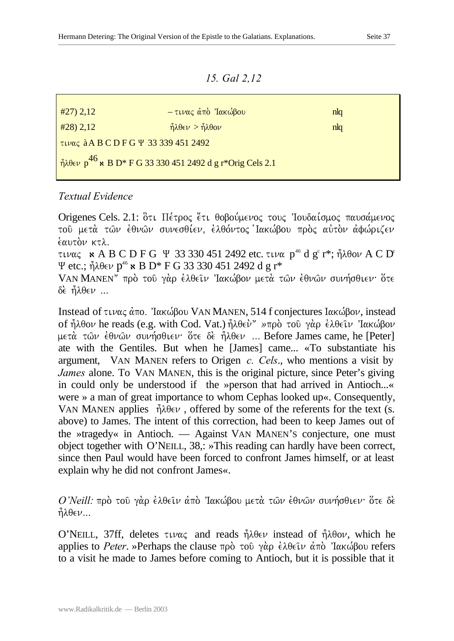*15. Gal 2,12*

| #27) 2,12                                                | - τινας άπό 'Ιακώβου                                                   | nlq |
|----------------------------------------------------------|------------------------------------------------------------------------|-----|
| $#28$ ) 2,12                                             | $\hat{\eta} \lambda \theta \in \nu > \hat{\eta} \lambda \theta \omega$ | nlq |
| τινας à A B C D F G Ψ 33 339 451 2492                    |                                                                        |     |
| $10^{46}$ κ B D* F G 33 330 451 2492 d g r*Orig Cels 2.1 |                                                                        |     |

## *Textual Evidence*

Origenes Cels. 2.1: δτι Πέτρος έτι θοβούμενος τους Ίουδαίσμος παυσάμενος του μετά των έθνων συνεσθίεν, έλθόντος Ιακώβου πρός αύτον άφώριζεν  $\epsilon$ *autor*  $\kappa \tau \lambda$ .

τινας κΑΒΟDFG Ψ 33 330 451 2492 etc. τινα p<sup>46</sup> d g<sup>c</sup> r\*; ἦλθον ΑΟD° Ψ etc.;  $\hat{\eta} \lambda \theta \in \nu$   $p^{46}$  & B D\* F G 33 330 451 2492 d g r\*

VAN MANEN" πρό του γάρ έλθειν Ίακώβον μετά των έθνων συνήσθιεν ότε  $\delta \epsilon$   $\hat{\eta} \lambda \theta \epsilon \nu$  ...

Instead of τινας άπο. <sup>'</sup>Ιακώβου VAN MANEN, 514 f conjectures Ιακώβον, instead of ήλθον he reads (e.g. with Cod. Vat.) ήλθεν<sup>"</sup> »προ του γαρ ελθειν Ίακώβον μετά των έθνων συνήσθιεν· ότε δε ήλθεν ... Before James came, he [Peter] ate with the Gentiles. But when he [James] came... «To substantiate his argument, VAN MANEN refers to Origen *c. Cels*., who mentions a visit by *James* alone. To VAN MANEN, this is the original picture, since Peter's giving in could only be understood if the »person that had arrived in Antioch...« were » a man of great importance to whom Cephas looked up«. Consequently, VAN MANEN applies  $\hat{\eta} \lambda \theta \in \nu$ , offered by some of the referents for the text (s. above) to James. The intent of this correction, had been to keep James out of the »tragedy« in Antioch. — Against VAN MANEN'S conjecture, one must object together with O'NEILL, 38,: »This reading can hardly have been correct, since then Paul would have been forced to confront James himself, or at least explain why he did not confront James«.

*O'Neill:* πρὸ τοῦ γὰρ ἐλθεῖν ἀπὸ Ἰακώβου μετὰ τῶν ἐθνῶν συνήσθιεν· ὅτε δὲ  $\hat{\eta} \lambda \theta \in \nu$ ...

O'NEILL, 37ff, deletes  $\tau \nu \alpha \zeta$  and reads  $\hat{\eta} \lambda \theta \epsilon \nu$  instead of  $\hat{\eta} \lambda \theta \sigma \nu$ , which he applies to *Peter*. »Perhaps the clause  $\pi \rho \dot{\rho}$  του γάρ  $\dot{\epsilon} \lambda \theta \epsilon \dot{\iota} \nu$  από 'Ιακώβου refers to a visit he made to James before coming to Antioch, but it is possible that it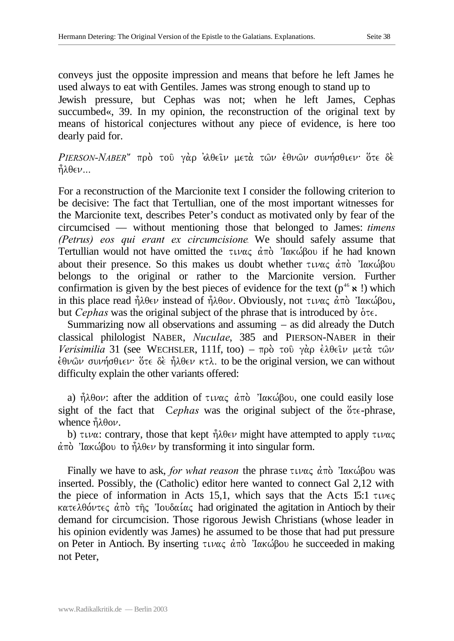conveys just the opposite impression and means that before he left James he used always to eat with Gentiles. James was strong enough to stand up to Jewish pressure, but Cephas was not; when he left James, Cephas succumbed«, 39. In my opinion, the reconstruction of the original text by means of historical conjectures without any piece of evidence, is here too dearly paid for.

*PIERSON-NABER*" πρὸ τοῦ γὰρ ἀθεῖν μετὰ τῶν ἐθνῶν συνήσθιεν· ὅτε δὲ  $\hat{\eta} \lambda \theta \in \nu \dots$ 

For a reconstruction of the Marcionite text I consider the following criterion to be decisive: The fact that Tertullian, one of the most important witnesses for the Marcionite text, describes Peter's conduct as motivated only by fear of the circumcised — without mentioning those that belonged to James: *timens (Petrus) eos qui erant ex circumcisione.* We should safely assume that Tertullian would not have omitted the  $\tau \nu \alpha \zeta \alpha \vec{\alpha}$  'lakogou if he had known about their presence. So this makes us doubt whether  $\tau \psi \alpha \zeta \alpha^2 \pi \dot{\alpha}$  'I $\alpha \kappa \dot{\omega}$ Bou belongs to the original or rather to the Marcionite version. Further confirmation is given by the best pieces of evidence for the text ( $p^{46} \times$ !) which in this place read  $\hat{\eta} \lambda \theta \in \nu$  instead of  $\hat{\eta} \lambda \theta \circ \nu$ . Obviously, not  $\tau \iota \nu \alpha \zeta$   $\alpha \pi \delta$  'Ιακώβου, but *Cephas* was the original subject of the phrase that is introduced by  $\delta \tau \epsilon$ .

Summarizing now all observations and assuming – as did already the Dutch classical philologist NABER, *Nuculae*, 385 and PIERSON-NABER in their *Verisimilia* 31 (see WECHSLER, 111f, too) – πρὸ τοῦ γὰρ ἐλθεῖν μετὰ τῶν  $\frac{\partial^2 u}{\partial x^2}$  συνήσθιεν ότε δε ήλθεν κτλ. to be the original version, we can without difficulty explain the other variants offered:

a)  $\hat{\eta} \lambda \theta o \nu$ : after the addition of  $\tau \nu \alpha \zeta$   $\hat{\alpha} \pi \delta$  'Ιακώβου, one could easily lose sight of the fact that Cephas was the original subject of the  $\delta \tau \epsilon$ -phrase, whence  $\hat{\eta} \lambda \theta o \nu$ .

b)  $\tau \nu \alpha$ : contrary, those that kept  $\hat{\eta} \lambda \theta \in \nu$  might have attempted to apply  $\tau \nu \alpha \zeta$  $\dot{\alpha}$ πό 'Ιακώβου to ήλθεν by transforming it into singular form.

Finally we have to ask, *for what reason* the phrase  $\tau \nu \alpha \zeta \dot{\alpha} \tau \dot{\alpha}$  'lak $\omega \beta$ ou was inserted. Possibly, the (Catholic) editor here wanted to connect Gal 2,12 with the piece of information in Acts 15,1, which says that the Acts 15:1  $\tau \nu \epsilon \varsigma$  $k\alpha\tau\epsilon\lambda\theta\acute{o}\nu\tau\epsilon\varsigma\acute{a}$  and  $\tau\hat{\eta}\varsigma$  'Iouδ $\alpha\acute{\iota}\alpha\varsigma$  had originated the agitation in Antioch by their demand for circumcision. Those rigorous Jewish Christians (whose leader in his opinion evidently was James) he assumed to be those that had put pressure on Peter in Antioch. By inserting  $\tau \psi \alpha \zeta \ d \pi \dot{\alpha}$  'I $\alpha \kappa \dot{\omega}$ Bou he succeeded in making not Peter,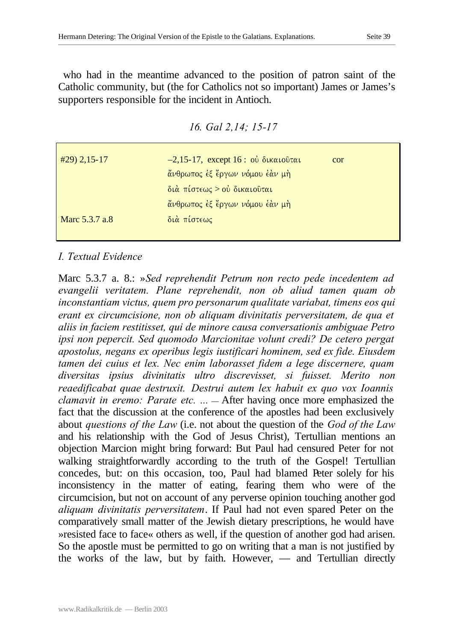who had in the meantime advanced to the position of patron saint of the Catholic community, but (the for Catholics not so important) James or James's supporters responsible for the incident in Antioch.

*16. Gal 2,14; 15-17* 

| $-2,15-17$ , except 16: ού δικαιούται<br>cor |
|----------------------------------------------|
| άνθρωπος έξ έργων νόμου έάν μή               |
| διά πίστεως > ού δικαιούται                  |
| άνθρωπος έξ έργων νόμου έάν μή               |
| διά πίστεως                                  |
|                                              |

## *I. Textual Evidence*

Marc 5.3.7 a. 8.: »*Sed reprehendit Petrum non recto pede incedentem ad evangelii veritatem. Plane reprehendit, non ob aliud tamen quam ob inconstantiam victus, quem pro personarum qualitate variabat, timens eos qui erant ex circumcisione, non ob aliquam divinitatis perversitatem, de qua et aliis in faciem restitisset, qui de minore causa conversationis ambiguae Petro ipsi non pepercit. Sed quomodo Marcionitae volunt credi? De cetero pergat apostolus, negans ex operibus legis iustificari hominem, sed ex fide. Eiusdem tamen dei cuius et lex. Nec enim laborasset fidem a lege discernere, quam diversitas ipsius divinitatis ultro discrevisset, si fuisset. Merito non reaedificabat quae destruxit. Destrui autem lex habuit ex quo vox Ioannis clamavit in eremo: Parate etc. ...* — After having once more emphasized the fact that the discussion at the conference of the apostles had been exclusively about *questions of the Law* (i.e. not about the question of the *God of the Law* and his relationship with the God of Jesus Christ), Tertullian mentions an objection Marcion might bring forward: But Paul had censured Peter for not walking straightforwardly according to the truth of the Gospel! Tertullian concedes, but: on this occasion, too, Paul had blamed Peter solely for his inconsistency in the matter of eating, fearing them who were of the circumcision, but not on account of any perverse opinion touching another god *aliquam divinitatis perversitatem*. If Paul had not even spared Peter on the comparatively small matter of the Jewish dietary prescriptions, he would have »resisted face to face« others as well, if the question of another god had arisen. So the apostle must be permitted to go on writing that a man is not justified by the works of the law, but by faith. However, — and Tertullian directly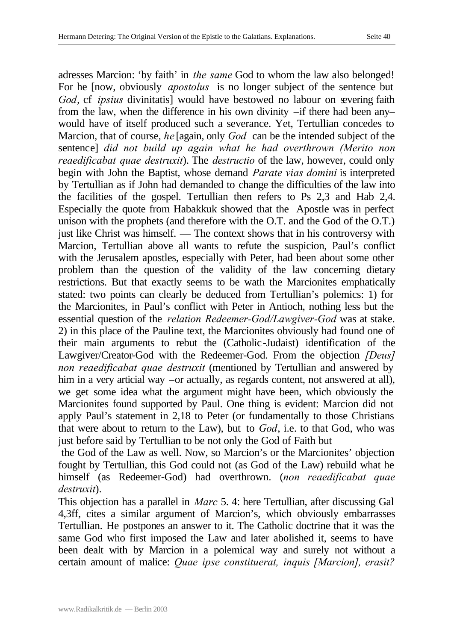adresses Marcion: 'by faith' in *the same* God to whom the law also belonged! For he [now, obviously *apostolus* is no longer subject of the sentence but *God*, cf *ipsius* divinitatis] would have bestowed no labour on severing faith from the law, when the difference in his own divinity –if there had been any– would have of itself produced such a severance. Yet, Tertullian concedes to Marcion, that of course, *he* [again, only *God* can be the intended subject of the sentence] *did not build up again what he had overthrown (Merito non reaedificabat quae destruxit*). The *destructio* of the law, however, could only begin with John the Baptist, whose demand *Parate vias domini* is interpreted by Tertullian as if John had demanded to change the difficulties of the law into the facilities of the gospel. Tertullian then refers to Ps 2,3 and Hab 2,4. Especially the quote from Habakkuk showed that the Apostle was in perfect unison with the prophets (and therefore with the O.T. and the God of the O.T.) just like Christ was himself. — The context shows that in his controversy with Marcion, Tertullian above all wants to refute the suspicion, Paul's conflict with the Jerusalem apostles, especially with Peter, had been about some other problem than the question of the validity of the law concerning dietary restrictions. But that exactly seems to be wath the Marcionites emphatically stated: two points can clearly be deduced from Tertullian's polemics: 1) for the Marcionites, in Paul's conflict with Peter in Antioch, nothing less but the essential question of the *relation Redeemer-God/Lawgiver-God* was at stake. 2) in this place of the Pauline text, the Marcionites obviously had found one of their main arguments to rebut the (Catholic-Judaist) identification of the Lawgiver/Creator-God with the Redeemer-God. From the objection *[Deus] non reaedificabat quae destruxit* (mentioned by Tertullian and answered by him in a very articial way –or actually, as regards content, not answered at all), we get some idea what the argument might have been, which obviously the Marcionites found supported by Paul. One thing is evident: Marcion did not apply Paul's statement in 2,18 to Peter (or fundamentally to those Christians that were about to return to the Law), but to *God*, i.e. to that God, who was just before said by Tertullian to be not only the God of Faith but

 the God of the Law as well. Now, so Marcion's or the Marcionites' objection fought by Tertullian, this God could not (as God of the Law) rebuild what he himself (as Redeemer-God) had overthrown. (*non reaedificabat quae destruxit*).

This objection has a parallel in *Marc* 5. 4: here Tertullian, after discussing Gal 4,3ff, cites a similar argument of Marcion's, which obviously embarrasses Tertullian. He postpones an answer to it. The Catholic doctrine that it was the same God who first imposed the Law and later abolished it, seems to have been dealt with by Marcion in a polemical way and surely not without a certain amount of malice: *Quae ipse constituerat, inquis [Marcion], erasit?*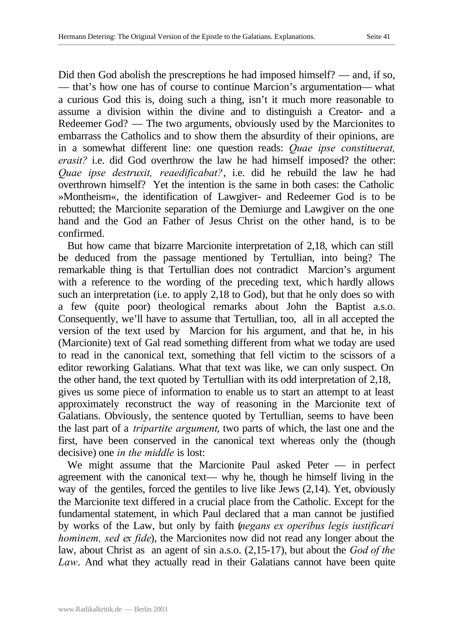Did then God abolish the prescreptions he had imposed himself? — and, if so, — that's how one has of course to continue Marcion's argumentation— what a curious God this is, doing such a thing, isn't it much more reasonable to assume a division within the divine and to distinguish a Creator- and a Redeemer God? — The two arguments, obviously used by the Marcionites to embarrass the Catholics and to show them the absurdity of their opinions, are in a somewhat different line: one question reads: *Quae ipse constituerat, erasit?* i.e. did God overthrow the law he had himself imposed? the other: *Quae ipse destruxit, reaedificabat?*, i.e. did he rebuild the law he had overthrown himself? Yet the intention is the same in both cases: the Catholic »Montheism«, the identification of Lawgiver- and Redeemer God is to be rebutted; the Marcionite separation of the Demiurge and Lawgiver on the one hand and the God an Father of Jesus Christ on the other hand, is to be confirmed.

But how came that bizarre Marcionite interpretation of 2,18, which can still be deduced from the passage mentioned by Tertullian, into being? The remarkable thing is that Tertullian does not contradict Marcion's argument with a reference to the wording of the preceding text, which hardly allows such an interpretation (i.e. to apply 2,18 to God), but that he only does so with a few (quite poor) theological remarks about John the Baptist a.s.o. Consequently, we'll have to assume that Tertullian, too, all in all accepted the version of the text used by Marcion for his argument, and that he, in his (Marcionite) text of Gal read something different from what we today are used to read in the canonical text, something that fell victim to the scissors of a editor reworking Galatians. What that text was like, we can only suspect. On the other hand, the text quoted by Tertullian with its odd interpretation of 2,18, gives us some piece of information to enable us to start an attempt to at least approximately reconstruct the way of reasoning in the Marcionite text of Galatians. Obviously, the sentence quoted by Tertullian, seems to have been the last part of a *tripartite argument*, two parts of which, the last one and the first, have been conserved in the canonical text whereas only the (though decisive) one *in the middle* is lost:

We might assume that the Marcionite Paul asked Peter — in perfect agreement with the canonical text— why he, though he himself living in the way of the gentiles, forced the gentiles to live like Jews (2,14). Yet, obviously the Marcionite text differed in a crucial place from the Catholic. Except for the fundamental statement, in which Paul declared that a man cannot be justified by works of the Law, but only by faith (*negans ex operibus legis iustificari hominem, sed ex fide*), the Marcionites now did not read any longer about the law, about Christ as an agent of sin a.s.o. (2,15-17), but about the *God of the Law*. And what they actually read in their Galatians cannot have been quite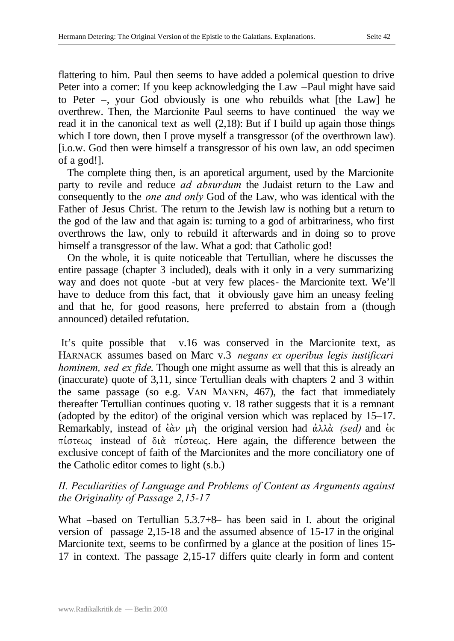flattering to him. Paul then seems to have added a polemical question to drive Peter into a corner: If you keep acknowledging the Law –Paul might have said to Peter –, your God obviously is one who rebuilds what [the Law] he overthrew. Then, the Marcionite Paul seems to have continued the way we read it in the canonical text as well (2,18): But if I build up again those things which I tore down, then I prove myself a transgressor (of the overthrown law). [i.o.w. God then were himself a transgressor of his own law, an odd specimen of a god!].

The complete thing then, is an aporetical argument, used by the Marcionite party to revile and reduce *ad absurdum* the Judaist return to the Law and consequently to the *one and only* God of the Law, who was identical with the Father of Jesus Christ. The return to the Jewish law is nothing but a return to the god of the law and that again is: turning to a god of arbitrariness, who first overthrows the law, only to rebuild it afterwards and in doing so to prove himself a transgressor of the law. What a god: that Catholic god!

On the whole, it is quite noticeable that Tertullian, where he discusses the entire passage (chapter 3 included), deals with it only in a very summarizing way and does not quote -but at very few places- the Marcionite text. We'll have to deduce from this fact, that it obviously gave him an uneasy feeling and that he, for good reasons, here preferred to abstain from a (though announced) detailed refutation.

 It's quite possible that v.16 was conserved in the Marcionite text, as HARNACK assumes based on Marc v.3 *negans ex operibus legis iustificari hominem, sed ex fide*. Though one might assume as well that this is already an (inaccurate) quote of 3,11, since Tertullian deals with chapters 2 and 3 within the same passage (so e.g. VAN MANEN, 467), the fact that immediately thereafter Tertullian continues quoting v. 18 rather suggests that it is a remnant (adopted by the editor) of the original version which was replaced by 15–17. Remarkably, instead of  $\epsilon \hat{\alpha} \nu$   $\mu$  the original version had  $\dot{\alpha} \lambda \lambda \hat{\alpha}$  *(sed)* and  $\dot{\epsilon} \kappa$  $\pi$ *i* otew<sub>s</sub> instead of  $\delta \alpha$   $\pi$ *i* otewe. Here again, the difference between the exclusive concept of faith of the Marcionites and the more conciliatory one of the Catholic editor comes to light (s.b.)

## *II. Peculiarities of Language and Problems of Content as Arguments against the Originality of Passage 2,15-17*

What –based on Tertullian 5.3.7+8– has been said in I. about the original version of passage 2,15-18 and the assumed absence of 15-17 in the original Marcionite text, seems to be confirmed by a glance at the position of lines 15- 17 in context. The passage 2,15-17 differs quite clearly in form and content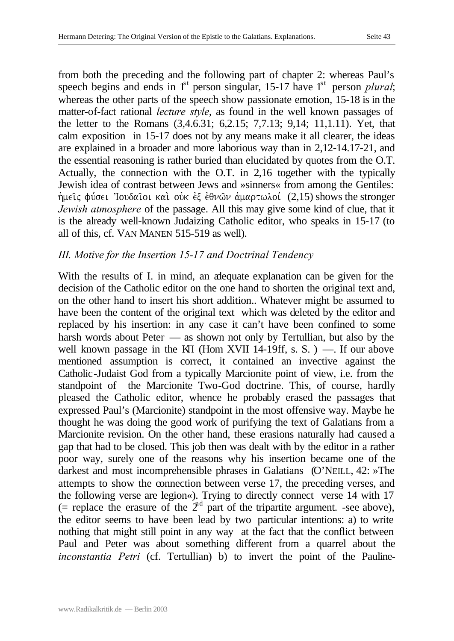from both the preceding and the following part of chapter 2: whereas Paul's speech begins and ends in  $1<sup>st</sup>$  person singular, 15-17 have  $1<sup>st</sup>$  person *plural*; whereas the other parts of the speech show passionate emotion, 15-18 is in the matter-of-fact rational *lecture style*, as found in the well known passages of the letter to the Romans (3,4.6.31; 6,2.15; 7,7.13; 9,14; 11,1.11). Yet, that calm exposition in 15-17 does not by any means make it all clearer, the ideas are explained in a broader and more laborious way than in 2,12-14.17-21, and the essential reasoning is rather buried than elucidated by quotes from the O.T. Actually, the connection with the O.T. in 2,16 together with the typically Jewish idea of contrast between Jews and »sinners« from among the Gentiles:  $\hat{\eta}$ μείς φύσει 'Ιουδαίοι και ούκ εξ έθνων αλμαρτωλοί (2,15) shows the stronger *Jewish atmosphere* of the passage. All this may give some kind of clue, that it is the already well-known Judaizing Catholic editor, who speaks in 15-17 (to all of this, cf. VAN MANEN 515-519 as well).

#### *III. Motive for the Insertion 15-17 and Doctrinal Tendency*

With the results of I. in mind, an adequate explanation can be given for the decision of the Catholic editor on the one hand to shorten the original text and, on the other hand to insert his short addition.. Whatever might be assumed to have been the content of the original text which was deleted by the editor and replaced by his insertion: in any case it can't have been confined to some harsh words about Peter — as shown not only by Tertullian, but also by the well known passage in the KI (Hom XVII 14-19ff, s. S. ) —. If our above mentioned assumption is correct, it contained an invective against the Catholic-Judaist God from a typically Marcionite point of view, i.e. from the standpoint of the Marcionite Two-God doctrine. This, of course, hardly pleased the Catholic editor, whence he probably erased the passages that expressed Paul's (Marcionite) standpoint in the most offensive way. Maybe he thought he was doing the good work of purifying the text of Galatians from a Marcionite revision. On the other hand, these erasions naturally had caused a gap that had to be closed. This job then was dealt with by the editor in a rather poor way, surely one of the reasons why his insertion became one of the darkest and most incomprehensible phrases in Galatians (O'NEILL, 42: »The attempts to show the connection between verse 17, the preceding verses, and the following verse are legion«). Trying to directly connect verse 14 with 17 (= replace the erasure of the  $2<sup>nd</sup>$  part of the tripartite argument. -see above), the editor seems to have been lead by two particular intentions: a) to write nothing that might still point in any way at the fact that the conflict between Paul and Peter was about something different from a quarrel about the *inconstantia Petri* (cf. Tertullian) b) to invert the point of the Pauline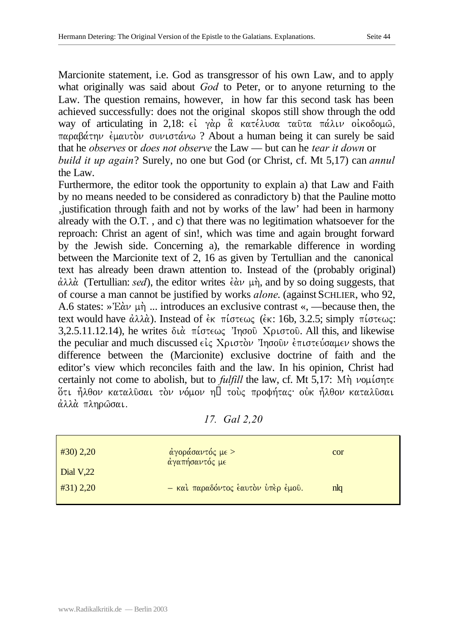Marcionite statement, i.e. God as transgressor of his own Law, and to apply what originally was said about *God* to Peter, or to anyone returning to the Law. The question remains, however, in how far this second task has been achieved successfully: does not the original skopos still show through the odd way of articulating in 2,18: εί γάρ α κατέλυσα ταῦτα πάλιν οἰκοδομω,  $\pi \alpha \beta \alpha$   $\beta \alpha \tau \eta \nu$  *e*  $\mu \alpha \nu \tau \delta \nu$  over the ? About a human being it can surely be said that he *observes* or *does not observe* the Law — but can he *tear it down* or *build it up again*? Surely, no one but God (or Christ, cf. Mt 5,17) can *annul*  the Law.

Furthermore, the editor took the opportunity to explain a) that Law and Faith by no means needed to be considered as conradictory b) that the Pauline motto 'justification through faith and not by works of the law' had been in harmony already with the O.T. , and c) that there was no legitimation whatsoever for the reproach: Christ an agent of sin!, which was time and again brought forward by the Jewish side. Concerning a), the remarkable difference in wording between the Marcionite text of 2, 16 as given by Tertullian and the canonical text has already been drawn attention to. Instead of the (probably original)  $\dot{\alpha}\lambda\lambda\dot{\alpha}$  (Tertullian: *sed*), the editor writes  $\dot{\epsilon}\dot{\alpha}\nu$   $\mu\dot{\eta}$ , and by so doing suggests, that of course a man cannot be justified by works *alone*. (against SCHLIER, who 92, A.6 states:  $\partial E \alpha \nu \mu \eta$  ... introduces an exclusive contrast «, —because then, the text would have  $\dot{\alpha}\lambda\lambda\dot{\alpha}$ ). Instead of  $\dot{\epsilon}\kappa$   $\pi\acute{\iota}\sigma\epsilon\omega\varsigma$  ( $\dot{\epsilon}\kappa$ : 16b, 3.2.5; simply  $\pi\acute{\iota}\sigma\epsilon\omega\varsigma$ : 3,2.5.11.12.14), he writes dia. pi,stewj VIhsou/ Cristou/. All this, and likewise the peculiar and much discussed  $\epsilon \zeta$   $X$  $\rho \iota \sigma \tau \delta \nu$  'Ingo  $\delta \nu \epsilon \tau \iota \sigma \tau \epsilon \iota \delta \alpha \mu \epsilon \nu$  shows the difference between the (Marcionite) exclusive doctrine of faith and the editor's view which reconciles faith and the law. In his opinion, Christ had certainly not come to abolish, but to *fulfill* the law, cf. Mt 5,17: M $\eta$   $\nu$ o $\mu$ ίσητε ότι ήλθον καταλύσαι τον νόμον η' τους προφήτας· ούκ ήλθον καταλύσαι άλλά πληρώσαι.

*17. Gal 2,20*

| $#30)$ 2,20      | άγοράσαντός με ><br>αγαπήσαντός με | cor |
|------------------|------------------------------------|-----|
| <b>Dial V,22</b> |                                    |     |
| #31) 2,20        | - και παραδόντος έαυτον υπέρ έμου. | nlq |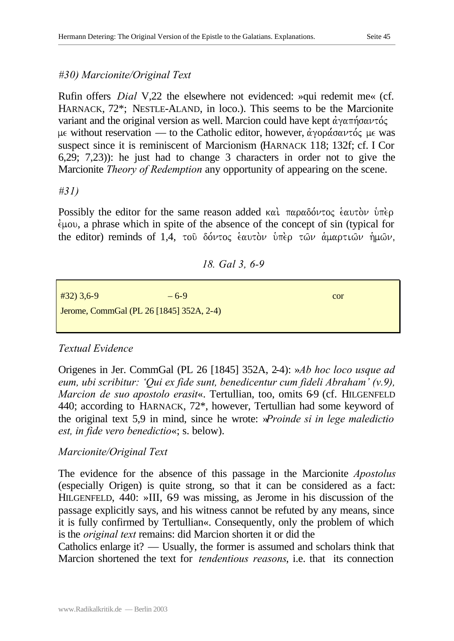## *#30) Marcionite/Original Text*

Rufin offers *Dial* V,22 the elsewhere not evidenced: »qui redemit me« (cf. HARNACK, 72\*; NESTLE-ALAND, in loco.). This seems to be the Marcionite variant and the original version as well. Marcion could have kept  $\alpha\gamma\alpha\pi\gamma\sigma\alpha\nu\tau\alpha\zeta$ με without reservation — to the Catholic editor, however, άγοράσαντός με was suspect since it is reminiscent of Marcionism (HARNACK 118; 132f; cf. I Cor 6,29; 7,23)): he just had to change 3 characters in order not to give the Marcionite *Theory of Redemption* any opportunity of appearing on the scene.

#### *#31)*

Possibly the editor for the same reason added  $\kappa \alpha \iota$   $\pi \alpha \rho \alpha \delta \phi \nu \tau o \varsigma$  έαυτον υπέρ.  $\epsilon\mu\text{ou}$ , a phrase which in spite of the absence of the concept of sin (typical for the editor) reminds of 1,4, to  $\delta \omega \tau o c$  έαυτον υπέρ των αμαρτιων ήμων,

## *18. Gal 3, 6-9*

| $#32)$ 3,6-9 | $-6-9$                                   | cor |
|--------------|------------------------------------------|-----|
|              | Jerome, CommGal (PL 26 [1845] 352A, 2-4) |     |
|              |                                          |     |

## *Textual Evidence*

Origenes in Jer. CommGal (PL 26 [1845] 352A, 2-4): »*Ab hoc loco usque ad eum, ubi scribitur: 'Qui ex fide sunt, benedicentur cum fideli Abraham' (v.9), Marcion de suo apostolo erasit«.* Tertullian, too, omits 69 (cf. HILGENFELD 440; according to HARNACK, 72\*, however, Tertullian had some keyword of the original text 5,9 in mind, since he wrote: »*Proinde si in lege maledictio est, in fide vero benedictio*«; s. below).

## *Marcionite/Original Text*

The evidence for the absence of this passage in the Marcionite *Apostolus* (especially Origen) is quite strong, so that it can be considered as a fact: HILGENFELD,  $440:$  »III,  $69$  was missing, as Jerome in his discussion of the passage explicitly says, and his witness cannot be refuted by any means, since it is fully confirmed by Tertullian«. Consequently, only the problem of which is the *original text* remains: did Marcion shorten it or did the

Catholics enlarge it? — Usually, the former is assumed and scholars think that Marcion shortened the text for *tendentious reasons*, i.e. that its connection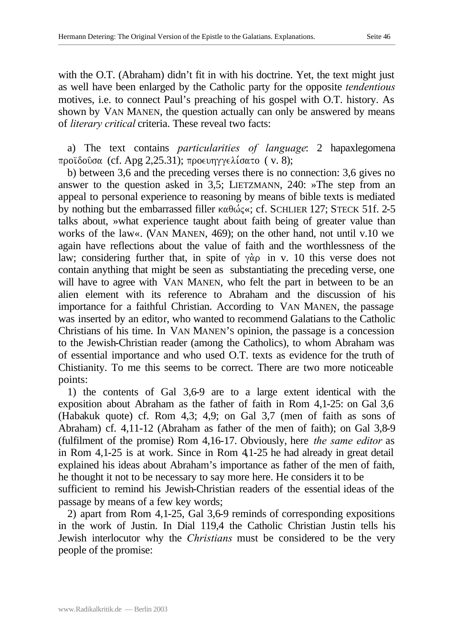with the O.T. (Abraham) didn't fit in with his doctrine. Yet, the text might just as well have been enlarged by the Catholic party for the opposite *tendentious*  motives, i.e. to connect Paul's preaching of his gospel with O.T. history. As shown by VAN MANEN, the question actually can only be answered by means of *literary critical* criteria. These reveal two facts:

a) The text contains *particularities of language*: 2 hapaxlegomena προϊδούσα (cf. Apg 2,25.31); προευηγγελίσατο ( v. 8);

b) between 3,6 and the preceding verses there is no connection: 3,6 gives no answer to the question asked in 3,5; LIETZMANN, 240: »The step from an appeal to personal experience to reasoning by means of bible texts is mediated by nothing but the embarrassed filler  $\kappa \alpha \theta \omega \zeta \ll$ ; cf. SCHLIER 127; STECK 51f. 2-5 talks about, »what experience taught about faith being of greater value than works of the law«. (VAN MANEN, 469); on the other hand, not until v.10 we again have reflections about the value of faith and the worthlessness of the law; considering further that, in spite of  $\gamma \dot{\alpha}$  in v. 10 this verse does not contain anything that might be seen as substantiating the preceding verse, one will have to agree with VAN MANEN, who felt the part in between to be an alien element with its reference to Abraham and the discussion of his importance for a faithful Christian. According to VAN MANEN, the passage was inserted by an editor, who wanted to recommend Galatians to the Catholic Christians of his time. In VAN MANEN'S opinion, the passage is a concession to the Jewish-Christian reader (among the Catholics), to whom Abraham was of essential importance and who used O.T. texts as evidence for the truth of Chistianity. To me this seems to be correct. There are two more noticeable points:

1) the contents of Gal 3,6-9 are to a large extent identical with the exposition about Abraham as the father of faith in Rom 4,1-25: on Gal 3,6 (Habakuk quote) cf. Rom 4,3; 4,9; on Gal 3,7 (men of faith as sons of Abraham) cf. 4,11-12 (Abraham as father of the men of faith); on Gal 3,8-9 (fulfilment of the promise) Rom 4,16-17. Obviously, here *the same editor* as in Rom 4,1-25 is at work. Since in Rom 4,1-25 he had already in great detail explained his ideas about Abraham's importance as father of the men of faith, he thought it not to be necessary to say more here. He considers it to be sufficient to remind his Jewish-Christian readers of the essential ideas of the

2) apart from Rom 4,1-25, Gal 3,6-9 reminds of corresponding expositions in the work of Justin. In Dial 119,4 the Catholic Christian Justin tells his Jewish interlocutor why the *Christians* must be considered to be the very people of the promise:

passage by means of a few key words;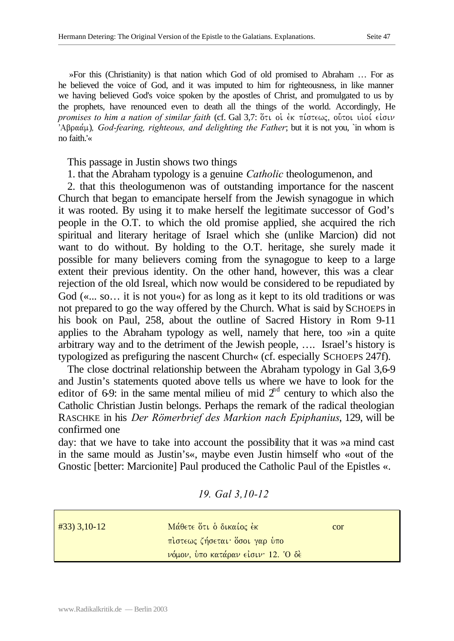»For this (Christianity) is that nation which God of old promised to Abraham … For as he believed the voice of God, and it was imputed to him for righteousness, in like manner we having believed God's voice spoken by the apostles of Christ, and promulgated to us by the prophets, have renounced even to death all the things of the world. Accordingly, He *promises to him a nation of similar faith* (cf. Gal 3,7: ὅτι οἱ ἐκ πίστεως, οὖτοι υἱοί εἰσιν  $\partial^2 A \beta \rho \alpha \dot{\alpha} \mu$ ), God-fearing, righteous, and delighting the Father; but it is not you, `in whom is no faith.'«

This passage in Justin shows two things

1. that the Abraham typology is a genuine *Catholic* theologumenon, and

2. that this theologumenon was of outstanding importance for the nascent Church that began to emancipate herself from the Jewish synagogue in which it was rooted. By using it to make herself the legitimate successor of God's people in the O.T. to which the old promise applied, she acquired the rich spiritual and literary heritage of Israel which she (unlike Marcion) did not want to do without. By holding to the O.T. heritage, she surely made it possible for many believers coming from the synagogue to keep to a large extent their previous identity. On the other hand, however, this was a clear rejection of the old Isreal, which now would be considered to be repudiated by God («... so... it is not you«) for as long as it kept to its old traditions or was not prepared to go the way offered by the Church. What is said by SCHOEPS in his book on Paul, 258, about the outline of Sacred History in Rom 9-11 applies to the Abraham typology as well, namely that here, too »in a quite arbitrary way and to the detriment of the Jewish people, …. Israel's history is typologized as prefiguring the nascent Church« (cf. especially SCHOEPS 247f).

The close doctrinal relationship between the Abraham typology in Gal 3,6-9 and Justin's statements quoted above tells us where we have to look for the editor of 6-9: in the same mental milieu of mid  $2<sup>nd</sup>$  century to which also the Catholic Christian Justin belongs. Perhaps the remark of the radical theologian RASCHKE in his *Der Römerbrief des Markion nach Epiphanius*, 129, will be confirmed one

day: that we have to take into account the possibility that it was »a mind cast in the same mould as Justin's«, maybe even Justin himself who «out of the Gnostic [better: Marcionite] Paul produced the Catholic Paul of the Epistles «.

*19. Gal 3,10-12*

| $\#33$ ) 3,10-12 | Μάθετε ότι ο δικαίος έκ            | cor |
|------------------|------------------------------------|-----|
|                  | πιστεως ζήσεται δσοι γαρ ύπο       |     |
|                  | νόμον, ύπο κατάραν είσιν· 12. Ο δέ |     |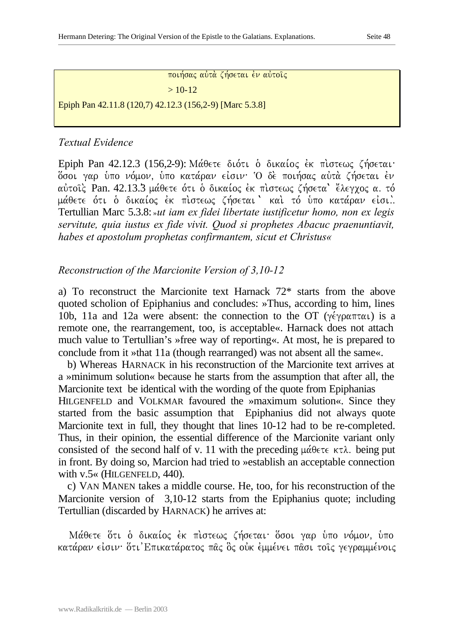ποιήσας αύτα ζήσεται έν αύτοις  $> 10-12$ 

Epiph Pan 42.11.8 (120,7) 42.12.3 (156,2-9) [Marc 5.3.8]

## *Textual Evidence*

Epiph Pan 42.12.3 (156.2-9): Μάθετε διότι ο δικαίος έκ πιστεως ζήσεται· όσοι γαρ ύπο νόμον, ύπο κατάραν είσιν· Ο δε ποιήσας αύτα ζήσεται έν αύτοις Pan. 42.13.3 μάθετε ότι ο δικαίος έκ πιστεως ζήσετα ελεγχος α. τό μάθετε ότι ο δικαίος έκ πιστεως ζήσεται ' και τό υπο κατάραν είσι.. Tertullian Marc 5.3.8: »*ut iam ex fidei libertate iustificetur homo, non ex legis servitute, quia iustus ex fide vivit. Quod si prophetes Abacuc praenuntiavit, habes et apostolum prophetas confirmantem, sicut et Christus«*

*Reconstruction of the Marcionite Version of 3,10-12*

a) To reconstruct the Marcionite text Harnack 72\* starts from the above quoted scholion of Epiphanius and concludes: »Thus, according to him, lines 10b, 11a and 12a were absent: the connection to the OT ( $\gamma \epsilon \gamma \rho \alpha \pi \tau \alpha \iota$ ) is a remote one, the rearrangement, too, is acceptable«. Harnack does not attach much value to Tertullian's »free way of reporting«. At most, he is prepared to conclude from it »that 11a (though rearranged) was not absent all the same«.

b) Whereas HARNACK in his reconstruction of the Marcionite text arrives at a »minimum solution« because he starts from the assumption that after all, the Marcionite text be identical with the wording of the quote from Epiphanias HILGENFELD and VOLKMAR favoured the »maximum solution«. Since they started from the basic assumption that Epiphanius did not always quote Marcionite text in full, they thought that lines 10-12 had to be re-completed. Thus, in their opinion, the essential difference of the Marcionite variant only consisted of the second half of v. 11 with the preceding  $\mu\acute{\alpha}$   $\theta \in \tau \in \mathcal{K}$ . being put in front. By doing so, Marcion had tried to »establish an acceptable connection with v.5« (HILGENFELD, 440).

c) VAN MANEN takes a middle course. He, too, for his reconstruction of the Marcionite version of 3,10-12 starts from the Epiphanius quote; including Tertullian (discarded by HARNACK) he arrives at:

Μάθετε ότι ο δικαίος έκ πιστεως ζήσεται όσοι γαρ ύπο νόμον, ύπο κατάραν είσιν· ότι Επικατάρατος πας ός ούκ εμμένει πασι τοις γεγραμμένοις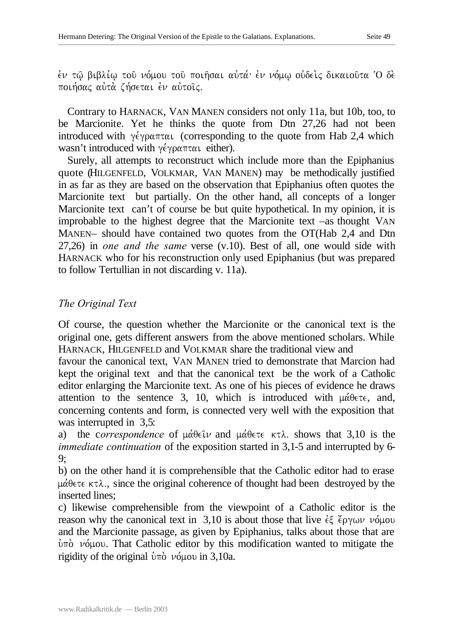$\dot{\epsilon}$ ν τ $\hat{\omega}$  βιβλί $\omega$  τοῦ νόμου τοῦ ποιῆσαι αὐτά· ἐν νόμ $\omega$  οὐδεὶς δικαιοῦτα Ό δὲ ποιήσας αύτά ζήσεται έν αύτοις.

Contrary to HARNACK, VAN MANEN considers not only 11a, but 10b, too, to be Marcionite. Yet he thinks the quote from Dtn 27,26 had not been introduced with  $\gamma \epsilon \gamma \rho \alpha \pi \tau \alpha \iota$  (corresponding to the quote from Hab 2,4 which wasn't introduced with  $\gamma \epsilon \gamma \rho \alpha \pi \tau \alpha \iota$  either).

Surely, all attempts to reconstruct which include more than the Epiphanius quote (HILGENFELD, VOLKMAR, VAN MANEN) may be methodically justified in as far as they are based on the observation that Epiphanius often quotes the Marcionite text but partially. On the other hand, all concepts of a longer Marcionite text can't of course be but quite hypothetical. In my opinion, it is improbable to the highest degree that the Marcionite text –as thought VAN MANEN– should have contained two quotes from the OT(Hab 2,4 and Dtn 27,26) in *one and the same* verse (v.10). Best of all, one would side with HARNACK who for his reconstruction only used Epiphanius (but was prepared to follow Tertullian in not discarding v. 11a).

## *The Original Text*

Of course, the question whether the Marcionite or the canonical text is the original one, gets different answers from the above mentioned scholars. While HARNACK, HILGENFELD and VOLKMAR share the traditional view and

favour the canonical text, VAN MANEN tried to demonstrate that Marcion had kept the original text and that the canonical text be the work of a Catholic editor enlarging the Marcionite text. As one of his pieces of evidence he draws attention to the sentence 3, 10, which is introduced with  $\mu\acute{\alpha}$ θετε, and, concerning contents and form, is connected very well with the exposition that was interrupted in 3,5:

a) the correspondence of  $\mu\acute{\alpha}$  $\theta \in \hat{\mathcal{U}}$  and  $\mu\acute{\alpha}$  $\theta \in \tau \in \mathcal{K}$  shows that 3,10 is the *immediate continuation* of the exposition started in 3,1-5 and interrupted by 6- 9;

b) on the other hand it is comprehensible that the Catholic editor had to erase  $\mu\acute{\alpha}$ θετε κτλ., since the original coherence of thought had been destroyed by the inserted lines;

c) likewise comprehensible from the viewpoint of a Catholic editor is the reason why the canonical text in 3,10 is about those that live  $\epsilon \xi$   $\zeta$   $\gamma \omega \nu$   $\nu \omega$ and the Marcionite passage, as given by Epiphanius, talks about those that are  $\dot{v}$ πό νόμου. That Catholic editor by this modification wanted to mitigate the rigidity of the original  $\dot{v}$   $\pi \dot{\phi}$   $\nu \dot{\phi}$   $\mu$  ou in 3,10a.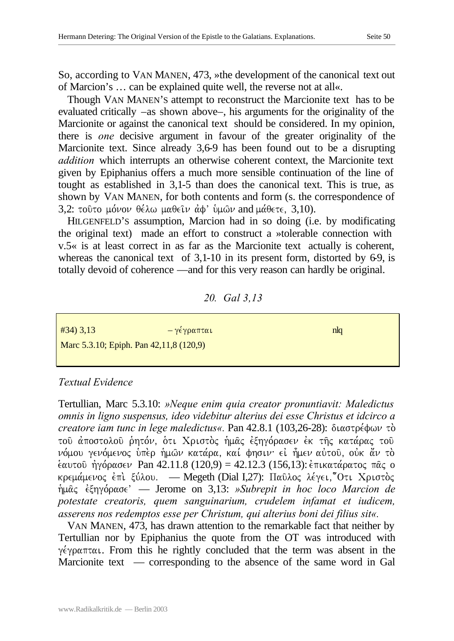So, according to VAN MANEN, 473, »the development of the canonical text out of Marcion's … can be explained quite well, the reverse not at all«.

Though VAN MANEN'S attempt to reconstruct the Marcionite text has to be evaluated critically –as shown above–, his arguments for the originality of the Marcionite or against the canonical text should be considered. In my opinion, there is *one* decisive argument in favour of the greater originality of the Marcionite text. Since already 3,6-9 has been found out to be a disrupting *addition* which interrupts an otherwise coherent context, the Marcionite text given by Epiphanius offers a much more sensible continuation of the line of tought as established in 3,1-5 than does the canonical text. This is true, as shown by VAN MANEN, for both contents and form (s. the correspondence of 3,2: τούτο μόνον θέλω μαθείν αφ' ύμων and μάθετε, 3,10).

HILGENFELD'S assumption, Marcion had in so doing (i.e. by modificating the original text) made an effort to construct a »tolerable connection with v.5« is at least correct in as far as the Marcionite text actually is coherent, whereas the canonical text of  $3,1-10$  in its present form, distorted by 6-9, is totally devoid of coherence —and for this very reason can hardly be original.

## *20. Gal 3,13*

| $#34)$ 3,13                             | – γέγραπται | nlq |
|-----------------------------------------|-------------|-----|
| Marc 5.3.10; Epiph. Pan 42,11,8 (120,9) |             |     |

## *Textual Evidence*

Tertullian, Marc 5.3.10: *»Neque enim quia creator pronuntiavit: Maledictus omnis in ligno suspensus, ideo videbitur alterius dei esse Christus et idcirco a creatore iam tunc in lege maledictus«.* Pan 42.8.1 (103,26-28): διαστρέφων τὸ του άποστολου ρητόν, ότι Χριστος ήμας έξηγόρασεν έκ της κατάρας του νόμου γενόμενος ύπερ ήμων κατάρα, καί φησιν· εί ήμεν αύτου, ούκ άν το  $\frac{\partial \alpha}{\partial x}$  ήγόρασεν Pan 42.11.8 (120,9) = 42.12.3 (156,13):  $\frac{\partial \alpha}{\partial x}$  (πατάρατος πας ο  $k$ velká pevog et letálou. — Megeth (Dial I,27): Παῦλος λέγει, Ότι Χριστός  $\hat{\eta}$ μας *έξηγόρασε*<sup>'</sup> — Jerome on 3,13: *»Subrepit in hoc loco Marcion de potestate creatoris, quem sanguinarium, crudelem infamat et iudicem, asserens nos redemptos esse per Christum, qui alterius boni dei filius sit«.*

VAN MANEN, 473, has drawn attention to the remarkable fact that neither by Tertullian nor by Epiphanius the quote from the OT was introduced with  $\gamma \epsilon \gamma \rho \alpha \pi \tau \alpha$ . From this he rightly concluded that the term was absent in the Marcionite text — corresponding to the absence of the same word in Gal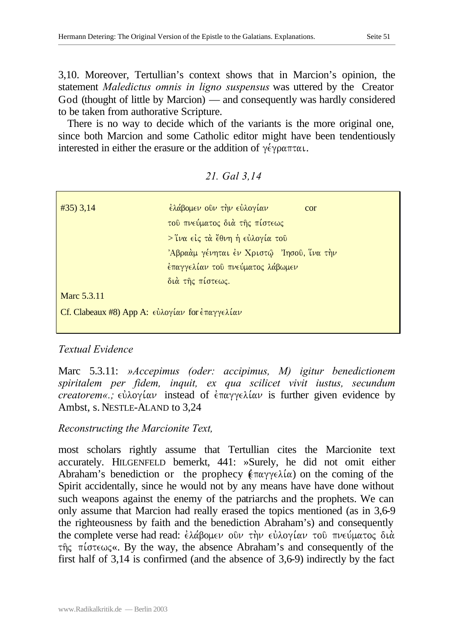3,10. Moreover, Tertullian's context shows that in Marcion's opinion, the statement *Maledictus omnis in ligno suspensus* was uttered by the Creator God (thought of little by Marcion) — and consequently was hardly considered to be taken from authorative Scripture.

There is no way to decide which of the variants is the more original one, since both Marcion and some Catholic editor might have been tendentiously interested in either the erasure or the addition of  $\gamma \epsilon \gamma \rho \alpha \pi \tau \alpha \iota$ .

| $\#35$ ) 3,14                                                                             | ελάβομεν οῦν τὴν εὐλογίαν<br>cor        |
|-------------------------------------------------------------------------------------------|-----------------------------------------|
|                                                                                           | του πνεύματος διά της πίστεως           |
|                                                                                           | > Ύνα είς τὰ ἔθνη ἡ εὐλογία τοῦ         |
|                                                                                           | Άβραάμ γένηται έν Χριστώ Ιησού, ίνα την |
|                                                                                           | έπαγγελίαν του πνεύματος λάβωμεν        |
|                                                                                           | διά της πίστεως.                        |
| Marc 5.3.11                                                                               |                                         |
| Cf. Clabeaux #8) App A: $\epsilon \dot{\nu} \lambda$ ογίαν for $\dot{\epsilon}$ παγγελίαν |                                         |

#### *21. Gal 3,14*

## *Textual Evidence*

Marc 5.3.11: *»Accepimus (oder: accipimus, M) igitur benedictionem spiritalem per fidem, inquit, ex qua scilicet vivit iustus, secundum creatorem«.;*  $\epsilon \dot{\omega} \lambda o \gamma \dot{\omega}$  instead of  $\epsilon \pi \alpha \gamma \gamma \epsilon \lambda \dot{\omega}$  is further given evidence by Ambst, s. NESTLE-ALAND to 3,24

## *Reconstructing the Marcionite Text,*

most scholars rightly assume that Tertullian cites the Marcionite text accurately. HILGENFELD bemerkt, 441: »Surely, he did not omit either Abraham's benediction or the prophecy  $(\epsilon \pi \alpha \gamma \gamma \epsilon \lambda \alpha)$  on the coming of the Spirit accidentally, since he would not by any means have have done without such weapons against the enemy of the patriarchs and the prophets. We can only assume that Marcion had really erased the topics mentioned (as in 3,6-9 the righteousness by faith and the benediction Abraham's) and consequently the complete verse had read:  $\epsilon \lambda \alpha \beta$ ομεν οῦν τὴν εὐλογίαν τοῦ πνεύματος διὰ  $\tau$  $\hat{\eta}$  $\zeta$   $\pi$ *i* $\sigma$  $\tau \infty$  $\ll$ . By the way, the absence Abraham's and consequently of the first half of 3,14 is confirmed (and the absence of 3,6-9) indirectly by the fact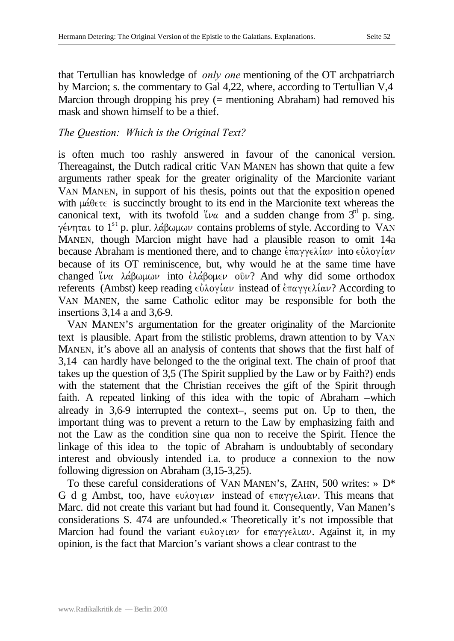that Tertullian has knowledge of *only one* mentioning of the OT archpatriarch by Marcion; s. the commentary to Gal 4,22, where, according to Tertullian V,4 Marcion through dropping his prey (= mentioning Abraham) had removed his mask and shown himself to be a thief.

## *The Question: Which is the Original Text?*

is often much too rashly answered in favour of the canonical version. Thereagainst, the Dutch radical critic VAN MANEN has shown that quite a few arguments rather speak for the greater originality of the Marcionite variant VAN MANEN, in support of his thesis, points out that the exposition opened with  $\mu\acute{\alpha}\theta\epsilon\tau\epsilon$  is succinctly brought to its end in the Marcionite text whereas the canonical text, with its twofold  $\mu\alpha$  and a sudden change from  $3^d$  p. sing. γένηται to 1<sup>st</sup> p. plur. λάβωμων contains problems of style. According to VAN MANEN, though Marcion might have had a plausible reason to omit 14a because Abraham is mentioned there, and to change  $\epsilon \pi \alpha \gamma \gamma \epsilon \lambda \alpha \nu$  into  $\epsilon \dot{\nu} \lambda \alpha \gamma \alpha \nu$ because of its OT reminiscence, but, why would he at the same time have changed  $\mu\alpha$   $\lambda\alpha\beta\omega\mu\omega\nu$  into  $\epsilon\lambda\alpha\beta\omega\mu\epsilon\nu$  ov? And why did some orthodox referents (Ambst) keep reading  $\epsilon \dot{\nu} \lambda$ oyίαν instead of  $\epsilon \pi \alpha \gamma \gamma \epsilon \lambda \dot{\alpha} \nu$ ? According to VAN MANEN, the same Catholic editor may be responsible for both the insertions 3,14 a and 3,6-9.

VAN MANEN'S argumentation for the greater originality of the Marcionite text is plausible. Apart from the stilistic problems, drawn attention to by VAN MANEN, it's above all an analysis of contents that shows that the first half of 3,14 can hardly have belonged to the the original text. The chain of proof that takes up the question of 3,5 (The Spirit supplied by the Law or by Faith?) ends with the statement that the Christian receives the gift of the Spirit through faith. A repeated linking of this idea with the topic of Abraham –which already in 3,6-9 interrupted the context–, seems put on. Up to then, the important thing was to prevent a return to the Law by emphasizing faith and not the Law as the condition sine qua non to receive the Spirit. Hence the linkage of this idea to the topic of Abraham is undoubtably of secondary interest and obviously intended i.a. to produce a connexion to the now following digression on Abraham (3,15-3,25).

To these careful considerations of VAN MANEN'S, ZAHN, 500 writes: » D\* G d g Ambst, too, have  $\epsilon v \lambda o \gamma u \alpha \nu$  instead of  $\epsilon \pi \alpha \gamma \gamma \epsilon \lambda u \alpha \nu$ . This means that Marc. did not create this variant but had found it. Consequently, Van Manen's considerations S. 474 are unfounded.« Theoretically it's not impossible that Marcion had found the variant  $\epsilon v \lambda o \gamma \iota \alpha \nu$  for  $\epsilon \pi \alpha \gamma \gamma \epsilon \lambda \iota \alpha \nu$ . Against it, in my opinion, is the fact that Marcion's variant shows a clear contrast to the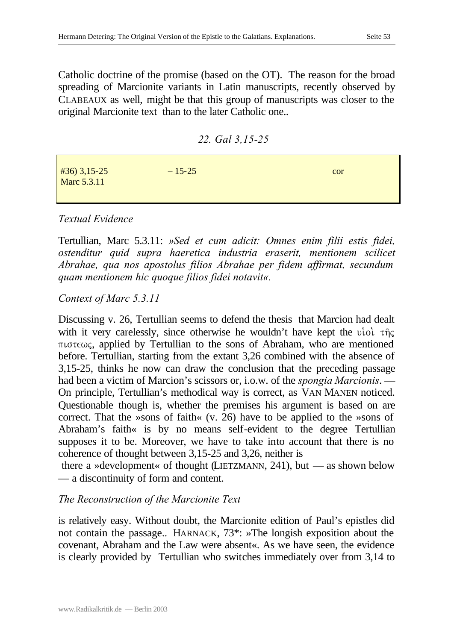Catholic doctrine of the promise (based on the OT). The reason for the broad spreading of Marcionite variants in Latin manuscripts, recently observed by CLABEAUX as well, might be that this group of manuscripts was closer to the original Marcionite text than to the later Catholic one..

*22. Gal 3,15-25*

| $#36$ ) 3,15-25<br><b>Marc 5.3.11</b> | $-15-25$ | cor |
|---------------------------------------|----------|-----|
|                                       |          |     |

# *Textual Evidence*

Tertullian, Marc 5.3.11: *»Sed et cum adicit: Omnes enim filii estis fidei, ostenditur quid supra haeretica industria eraserit, mentionem scilicet Abrahae, qua nos apostolus filios Abrahae per fidem affirmat, secundum quam mentionem hic quoque filios fidei notavit«.*

# *Context of Marc 5.3.11*

Discussing v. 26, Tertullian seems to defend the thesis that Marcion had dealt with it very carelessly, since otherwise he wouldn't have kept the uiol  $\tau \hat{\eta}$  $\pi$  is the sons of Abraham, who are mentioned  $\pi$ before. Tertullian, starting from the extant 3,26 combined with the absence of 3,15-25, thinks he now can draw the conclusion that the preceding passage had been a victim of Marcion's scissors or, i.o.w. of the *spongia Marcionis*. — On principle, Tertullian's methodical way is correct, as VAN MANEN noticed. Questionable though is, whether the premises his argument is based on are correct. That the »sons of faith« (v. 26) have to be applied to the »sons of Abraham's faith« is by no means self-evident to the degree Tertullian supposes it to be. Moreover, we have to take into account that there is no coherence of thought between 3,15-25 and 3,26, neither is

there a »development« of thought (LIETZMANN, 241), but — as shown below — a discontinuity of form and content.

# *The Reconstruction of the Marcionite Text*

is relatively easy. Without doubt, the Marcionite edition of Paul's epistles did not contain the passage.. HARNACK, 73\*: »The longish exposition about the covenant, Abraham and the Law were absent«. As we have seen, the evidence is clearly provided by Tertullian who switches immediately over from 3,14 to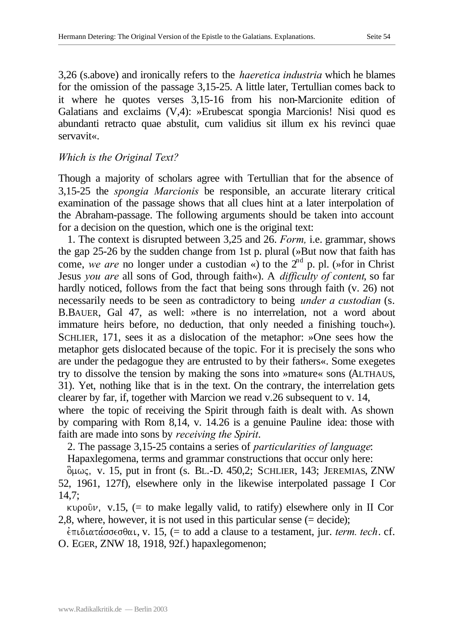3,26 (s.above) and ironically refers to the *haeretica industria* which he blames for the omission of the passage 3,15-25. A little later, Tertullian comes back to it where he quotes verses 3,15-16 from his non-Marcionite edition of Galatians and exclaims (V,4): »Erubescat spongia Marcionis! Nisi quod es abundanti retracto quae abstulit, cum validius sit illum ex his revinci quae servavit«.

## *Which is the Original Text?*

Though a majority of scholars agree with Tertullian that for the absence of 3,15-25 the *spongia Marcionis* be responsible, an accurate literary critical examination of the passage shows that all clues hint at a later interpolation of the Abraham-passage. The following arguments should be taken into account for a decision on the question, which one is the original text:

1. The context is disrupted between 3,25 and 26. *Form,* i.e. grammar, shows the gap 25-26 by the sudden change from 1st p. plural (»But now that faith has come, we are no longer under a custodian «) to the 2<sup>nd</sup> p. pl. (»for in Christ Jesus *you are* all sons of God, through faith«). A *difficulty of content*, so far hardly noticed, follows from the fact that being sons through faith (v. 26) not necessarily needs to be seen as contradictory to being *under a custodian* (s. B.BAUER, Gal 47, as well: »there is no interrelation, not a word about immature heirs before, no deduction, that only needed a finishing touch«). SCHLIER, 171, sees it as a dislocation of the metaphor: »One sees how the metaphor gets dislocated because of the topic. For it is precisely the sons who are under the pedagogue they are entrusted to by their fathers«. Some exegetes try to dissolve the tension by making the sons into »mature« sons (ALTHAUS, 31). Yet, nothing like that is in the text. On the contrary, the interrelation gets clearer by far, if, together with Marcion we read v.26 subsequent to v. 14,

where the topic of receiving the Spirit through faith is dealt with. As shown by comparing with Rom 8,14, v. 14.26 is a genuine Pauline idea: those with faith are made into sons by *receiving the Spirit*.

2. The passage 3,15-25 contains a series of *particularities of language*: Hapaxlegomena, terms and grammar constructions that occur only here:

 $\delta \mu \omega \zeta$ , v. 15, put in front (s. BL.-D. 450,2; SCHLIER, 143; JEREMIAS, ZNW 52, 1961, 127f), elsewhere only in the likewise interpolated passage I Cor 14,7;

 $kupo0v$ , v.15, (= to make legally valid, to ratify) elsewhere only in II Cor 2,8, where, however, it is not used in this particular sense (= decide);

 $\epsilon$ πιδιατάσσεσθαι, v. 15, (= to add a clause to a testament, jur. *term. tech.* cf. O. EGER, ZNW 18, 1918, 92f.) hapaxlegomenon;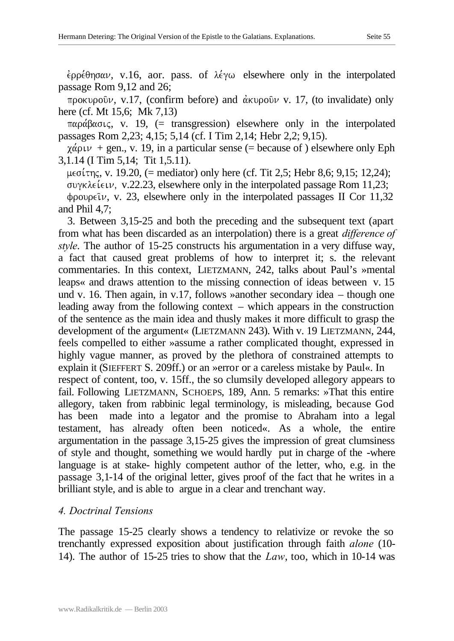$\epsilon$ po $\epsilon$  $\theta$ ησαν, v.16, aor. pass. of  $\lambda \epsilon$ γω elsewhere only in the interpolated passage Rom 9,12 and 26;

προκυροῦ $ν$ , v.17, (confirm before) and άκυροῦ $ν$  v. 17, (to invalidate) only here (cf. Mt 15,6; Mk 7,13)

 $\pi\alpha\rho\alpha\beta\alpha\sigma\iota\varsigma$ , v. 19, (= transgression) elsewhere only in the interpolated passages Rom 2,23; 4,15; 5,14 (cf. I Tim 2,14; Hebr 2,2; 9,15).

 $\chi \dot{\alpha}$  plu + gen., v. 19, in a particular sense (= because of ) elsewhere only Eph 3,1.14 (I Tim 5,14; Tit 1,5.11).

 $\mu \in \sigma(\tau)$ , v. 19.20, (= mediator) only here (cf. Tit 2,5; Hebr 8,6; 9,15; 12,24);  $\sigma$  over  $\lambda \epsilon$  is extended passage Rom 11,23;  $\phi$ ρουρείν, v. 23, elsewhere only in the interpolated passages II Cor 11,32 and Phil 4,7;

3. Between 3,15-25 and both the preceding and the subsequent text (apart from what has been discarded as an interpolation) there is a great *difference of style*. The author of 15-25 constructs his argumentation in a very diffuse way, a fact that caused great problems of how to interpret it; s. the relevant commentaries. In this context, LIETZMANN, 242, talks about Paul's »mental leaps« and draws attention to the missing connection of ideas between v. 15 und v. 16. Then again, in v.17, follows »another secondary idea – though one leading away from the following context – which appears in the construction of the sentence as the main idea and thusly makes it more difficult to grasp the development of the argument« (LIETZMANN 243). With v. 19 LIETZMANN, 244, feels compelled to either »assume a rather complicated thought, expressed in highly vague manner, as proved by the plethora of constrained attempts to explain it (SIEFFERT S. 209ff.) or an »error or a careless mistake by Paul«. In respect of content, too, v. 15ff., the so clumsily developed allegory appears to fail. Following LIETZMANN, SCHOEPS, 189, Ann. 5 remarks: »That this entire allegory, taken from rabbinic legal terminology, is misleading, because God has been made into a legator and the promise to Abraham into a legal testament, has already often been noticed«. As a whole, the entire argumentation in the passage 3,15-25 gives the impression of great clumsiness of style and thought, something we would hardly put in charge of the -where language is at stake- highly competent author of the letter, who, e.g. in the passage 3,1-14 of the original letter, gives proof of the fact that he writes in a brilliant style, and is able to argue in a clear and trenchant way.

## *4. Doctrinal Tensions*

The passage 15-25 clearly shows a tendency to relativize or revoke the so trenchantly expressed exposition about justification through faith *alone* (10- 14). The author of 15-25 tries to show that the *Law*, too, which in 10-14 was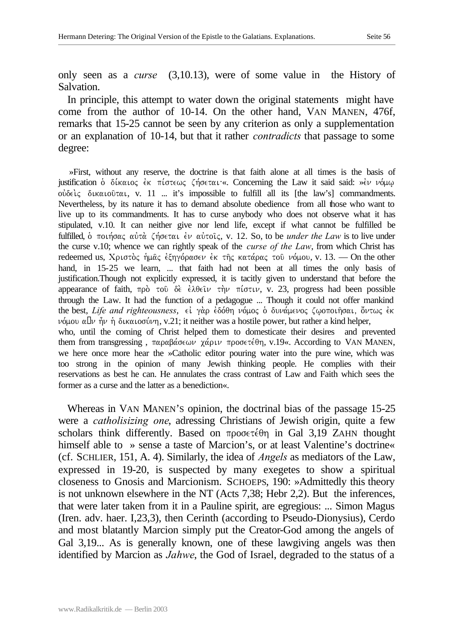only seen as a *curse* (3,10.13), were of some value in the History of Salvation.

In principle, this attempt to water down the original statements might have come from the author of 10-14. On the other hand, VAN MANEN, 476f, remarks that 15-25 cannot be seen by any criterion as only a supplementation or an explanation of 10-14, but that it rather *contradicts* that passage to some degree:

»First, without any reserve, the doctrine is that faith alone at all times is the basis of justification  $\delta$   $\delta$ ίκαιος έκ πίστεως ζήσεται «. Concerning the Law it said said: »εν νόμω ούδελς δικαιούται, v. 11 ... it's impossible to fulfill all its [the law's] commandments. Nevertheless, by its nature it has to demand absolute obedience from all those who want to live up to its commandments. It has to curse anybody who does not observe what it has stipulated, v.10. It can neither give nor lend life, except if what cannot be fulfilled be fulfilled, δ ποιήσας αύτὰ ζήσεται έν αύτοις, v. 12. So, to be *under the Law* is to live under the curse v.10; whence we can rightly speak of the *curse of the Law*, from which Christ has redeemed us, Χριστὸς ἡμᾶς ἐξηγόρασεν ἐκ τῆς κατάρας τοῦ νόμου, v. 13. — On the other hand, in 15-25 we learn, ... that faith had not been at all times the only basis of justification.Though not explicitly expressed, it is tacitly given to understand that before the appearance of faith,  $\pi \rho \dot{\rho}$  to  $\delta \dot{\epsilon}$   $\dot{\epsilon} \lambda \theta \dot{\epsilon} \nu$  the  $\pi i \sigma \tau \nu$ , v. 23, progress had been possible through the Law. It had the function of a pedagogue ... Though it could not offer mankind the best, *Life and righteousness*, εί γάρ έδόθη νόμος ο δυνάμενος ζωοποιήσαι, ὄντως έκ  $ν$ όμου α'ν ήν ή δικαιοσύνη, v.21; it neither was a hostile power, but rather a kind helper, who, until the coming of Christ helped them to domesticate their desires and prevented them from transgressing, παραβάσεων χάριν προσετέθη, v.19«. According to VAN MANEN, we here once more hear the »Catholic editor pouring water into the pure wine, which was too strong in the opinion of many Jewish thinking people. He complies with their reservations as best he can. He annulates the crass contrast of Law and Faith which sees the former as a curse and the latter as a benediction«.

Whereas in VAN MANEN'S opinion, the doctrinal bias of the passage 15-25 were a *catholisizing one*, adressing Christians of Jewish origin, quite a few scholars think differently. Based on  $\pi \rho$  or  $\epsilon \theta$  in Gal 3,19 ZAHN thought himself able to » sense a taste of Marcion's, or at least Valentine's doctrine« (cf. SCHLIER, 151, A. 4). Similarly, the idea of *Angels* as mediators of the Law, expressed in 19-20, is suspected by many exegetes to show a spiritual closeness to Gnosis and Marcionism. SCHOEPS, 190: »Admittedly this theory is not unknown elsewhere in the NT (Acts 7,38; Hebr 2,2). But the inferences, that were later taken from it in a Pauline spirit, are egregious: ... Simon Magus (Iren. adv. haer. I,23,3), then Cerinth (according to Pseudo-Dionysius), Cerdo and most blatantly Marcion simply put the Creator-God among the angels of Gal 3,19... As is generally known, one of these lawgiving angels was then identified by Marcion as *Jahwe*, the God of Israel, degraded to the status of a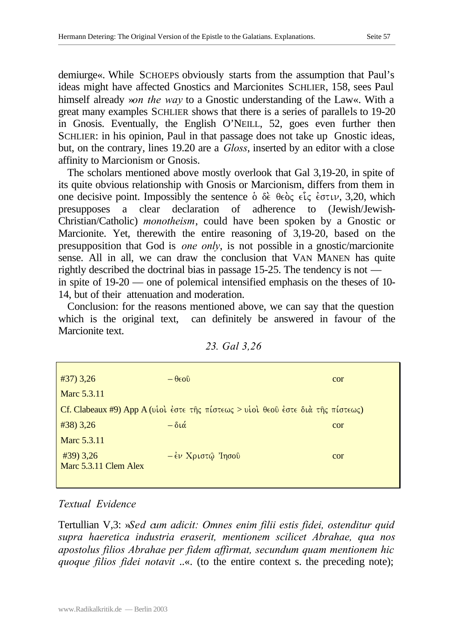demiurge«. While SCHOEPS obviously starts from the assumption that Paul's ideas might have affected Gnostics and Marcionites SCHLIER, 158, sees Paul himself already »*on the way* to a Gnostic understanding of the Law«. With a great many examples SCHLIER shows that there is a series of parallels to 19-20 in Gnosis. Eventually, the English O'NEILL, 52, goes even further then SCHLIER: in his opinion, Paul in that passage does not take up Gnostic ideas, but, on the contrary, lines 19.20 are a *Gloss*, inserted by an editor with a close affinity to Marcionism or Gnosis.

The scholars mentioned above mostly overlook that Gal 3,19-20, in spite of its quite obvious relationship with Gnosis or Marcionism, differs from them in one decisive point. Impossibly the sentence  $\dot{\delta}$   $\delta \dot{\epsilon}$   $\theta \epsilon \dot{\delta}$   $\epsilon$ ,  $\epsilon \dot{\epsilon}$  evalued  $\dot{\delta}$ , which presupposes a clear declaration of adherence to (Jewish/Jewish-Christian/Catholic) *monotheism*, could have been spoken by a Gnostic or Marcionite. Yet, therewith the entire reasoning of 3,19-20, based on the presupposition that God is *one only*, is not possible in a gnostic/marcionite sense. All in all, we can draw the conclusion that VAN MANEN has quite rightly described the doctrinal bias in passage 15-25. The tendency is not in spite of 19-20 — one of polemical intensified emphasis on the theses of 10- 14, but of their attenuation and moderation.

Conclusion: for the reasons mentioned above, we can say that the question which is the original text, can definitely be answered in favour of the Marcionite text.

| $#37)$ 3,26           | $-\theta \infty$                                                                | cor |
|-----------------------|---------------------------------------------------------------------------------|-----|
| Marc 5.3.11           |                                                                                 |     |
|                       | Cf. Clabeaux #9) App A (viol έστε της πίστεως > νίοι θεού έστε διά της πίστεως) |     |
| $\#38$ ) 3,26         | $-\delta\iota\acute{\alpha}$                                                    | cor |
| Marc 5.3.11           |                                                                                 |     |
| $\#39$ ) 3,26         | $-\epsilon \nu$ Χριστώ Ίησου                                                    | cor |
| Marc 5.3.11 Clem Alex |                                                                                 |     |
|                       |                                                                                 |     |

| 23. Gal 3,26 |  |
|--------------|--|
|              |  |

## *Textual Evidence*

Tertullian V,3: »*Sed cum adicit: Omnes enim filii estis fidei, ostenditur quid supra haeretica industria eraserit, mentionem scilicet Abrahae, qua nos apostolus filios Abrahae per fidem affirmat, secundum quam mentionem hic quoque filios fidei notavit* ..«. (to the entire context s. the preceding note);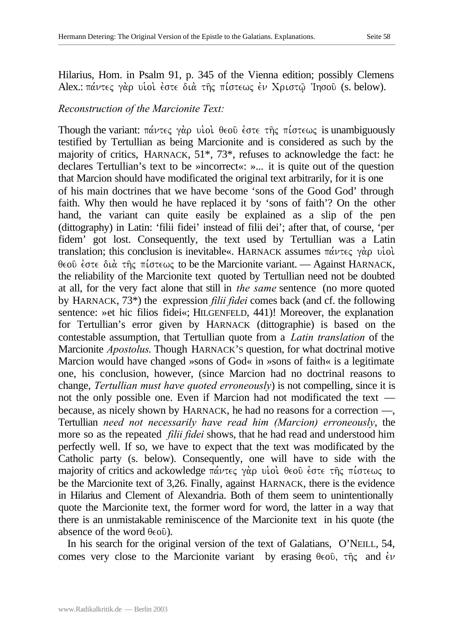Hilarius, Hom. in Psalm 91, p. 345 of the Vienna edition; possibly Clemens Alex.:  $\pi\acute{\alpha}\nu\tau\epsilon\varsigma$  γάρ υιοι έστε διά της πίστεως έν Χριστώ 'Ingoυ (s. below).

#### *Reconstruction of the Marcionite Text:*

Though the variant:  $\pi\alpha\nu\tau\epsilon\varsigma$  γάρ υιοί θεού έστε της πίστεως is unambiguously testified by Tertullian as being Marcionite and is considered as such by the majority of critics, HARNACK, 51\*, 73\*, refuses to acknowledge the fact: he declares Tertullian's text to be »incorrect«: »... it is quite out of the question that Marcion should have modificated the original text arbitrarily, for it is one of his main doctrines that we have become 'sons of the Good God' through faith. Why then would he have replaced it by 'sons of faith'? On the other hand, the variant can quite easily be explained as a slip of the pen (dittography) in Latin: 'filii fidei' instead of filii dei'; after that, of course, 'per fidem' got lost. Consequently, the text used by Tertullian was a Latin translation; this conclusion is inevitable«. HARNACK assumes  $\pi\acute{\alpha}\nu\tau\epsilon\varsigma$   $\gamma\grave{\alpha}\rho$  viol.  $\theta \in \mathcal{O}$  evalue  $\theta$   $\theta$  is the variant of the Marcionite variant. — Against HARNACK, the reliability of the Marcionite text quoted by Tertullian need not be doubted at all, for the very fact alone that still in *the same* sentence (no more quoted by HARNACK, 73\*) the expression *filii fidei* comes back (and cf. the following sentence: »et hic filios fidei«; HILGENFELD, 441)! Moreover, the explanation for Tertullian's error given by HARNACK (dittographie) is based on the contestable assumption, that Tertullian quote from a *Latin translation* of the Marcionite *Apostolus*. Though HARNACK'S question, for what doctrinal motive Marcion would have changed »sons of God« in »sons of faith« is a legitimate one, his conclusion, however, (since Marcion had no doctrinal reasons to change, *Tertullian must have quoted erroneously*) is not compelling, since it is not the only possible one. Even if Marcion had not modificated the text because, as nicely shown by HARNACK, he had no reasons for a correction —, Tertullian *need not necessarily have read him (Marcion) erroneously*, the more so as the repeated *filii fidei* shows, that he had read and understood him perfectly well. If so, we have to expect that the text was modificated by the Catholic party (s. below). Consequently, one will have to side with the majority of critics and ackowledge πάντες γάρ υιοί θεού έστε της πίστεως to be the Marcionite text of 3,26. Finally, against HARNACK, there is the evidence in Hilarius and Clement of Alexandria. Both of them seem to unintentionally quote the Marcionite text, the former word for word, the latter in a way that there is an unmistakable reminiscence of the Marcionite text in his quote (the absence of the word  $\theta \in \{0\}$ .

In his search for the original version of the text of Galatians, O'NEILL, 54, comes very close to the Marcionite variant by erasing  $\theta \in \infty$ ,  $\tau \hat{\eta} \in \Omega$  and  $\dot{\epsilon} \nu$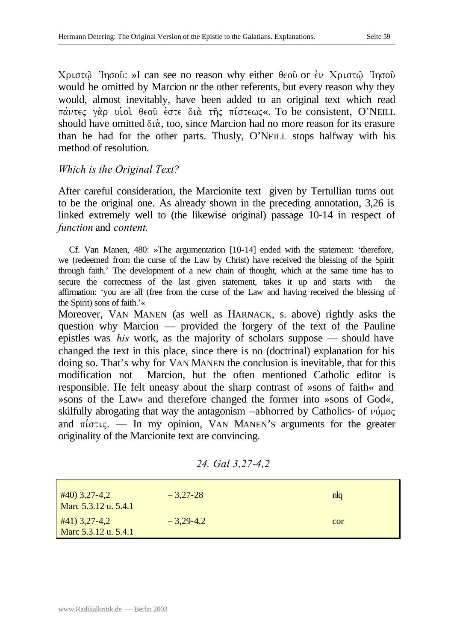$X$ ριστώ 'Iησοῦ: »I can see no reason why either θεοῦ or ἐν Χριστώ 'Iησοῦ would be omitted by Marcion or the other referents, but every reason why they would, almost inevitably, have been added to an original text which read  $\pi\acute{\alpha}\nu\tau\epsilon\varsigma$  γάρ υίοί θεού έστε διά της πίστεως«. To be consistent, O'NEILL should have omitted  $\delta \alpha$ , too, since Marcion had no more reason for its erasure than he had for the other parts. Thusly, O'NEILL stops halfway with his method of resolution.

## *Which is the Original Text?*

After careful consideration, the Marcionite text given by Tertullian turns out to be the original one. As already shown in the preceding annotation, 3,26 is linked extremely well to (the likewise original) passage 10-14 in respect of *function* and *content*.

Cf. Van Manen, 480: »The argumentation [10-14] ended with the statement: 'therefore, we (redeemed from the curse of the Law by Christ) have received the blessing of the Spirit through faith.' The development of a new chain of thought, which at the same time has to secure the correctness of the last given statement, takes it up and starts with the affirmation: 'you are all (free from the curse of the Law and having received the blessing of the Spirit) sons of faith.'«

Moreover, VAN MANEN (as well as HARNACK, s. above) rightly asks the question why Marcion — provided the forgery of the text of the Pauline epistles was *his* work, as the majority of scholars suppose — should have changed the text in this place, since there is no (doctrinal) explanation for his doing so. That's why for VAN MANEN the conclusion is inevitable, that for this modification not Marcion, but the often mentioned Catholic editor is responsible. He felt uneasy about the sharp contrast of »sons of faith« and »sons of the Law« and therefore changed the former into »sons of God«, skilfully abrogating that way the antagonism –abhorred by Catholics- of  $\nu\acute{o} \mu$ and  $\pi i \sigma \tau \iota \zeta$ . — In my opinion, VAN MANEN's arguments for the greater originality of the Marcionite text are convincing.

| 24. Gal 3,27-4,2 |  |  |
|------------------|--|--|
|                  |  |  |

| $\#40$ ) 3,27-4,2<br>Marc 5.3.12 u. 5.4.1 | $-3,27-28$  | nlq |
|-------------------------------------------|-------------|-----|
| #41) 3,27-4,2<br>Marc 5.3.12 u. 5.4.1     | $-3,29-4,2$ | cor |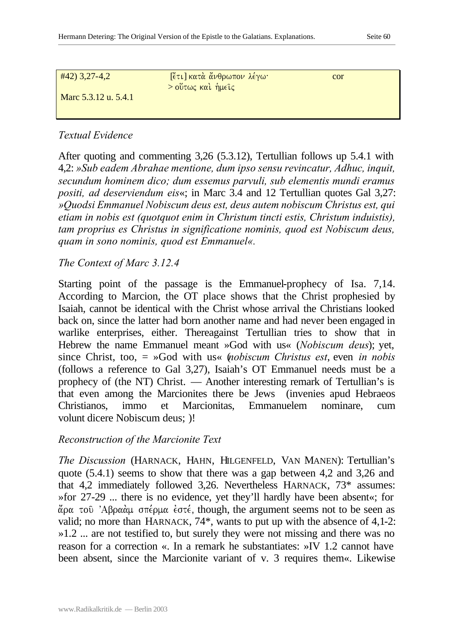| $#42$ ) 3,27-4,2     | κι] κατά άνθρωπον λέγω· | cor |  |
|----------------------|-------------------------|-----|--|
| Marc 5.3.12 u. 5.4.1 | $>$ ούτως και ήμεις     |     |  |
|                      |                         |     |  |

After quoting and commenting 3,26 (5.3.12), Tertullian follows up 5.4.1 with 4,2: *»Sub eadem Abrahae mentione, dum ipso sensu revincatur, Adhuc, inquit, secundum hominem dico; dum essemus parvuli, sub elementis mundi eramus positi, ad deserviendum eis*«; in Marc 3.4 and 12 Tertullian quotes Gal 3,27: *»Quodsi Emmanuel Nobiscum deus est, deus autem nobiscum Christus est, qui etiam in nobis est (quotquot enim in Christum tincti estis, Christum induistis), tam proprius es Christus in significatione nominis, quod est Nobiscum deus, quam in sono nominis, quod est Emmanuel«.*

*The Context of Marc 3.12.4*

Starting point of the passage is the Emmanuel-prophecy of Isa. 7,14. According to Marcion, the OT place shows that the Christ prophesied by Isaiah, cannot be identical with the Christ whose arrival the Christians looked back on, since the latter had born another name and had never been engaged in warlike enterprises, either. Thereagainst Tertullian tries to show that in Hebrew the name Emmanuel meant »God with us« (*Nobiscum deus*); yet, since Christ, too, = »God with us« (*nobiscum Christus est*, even *in nobis* (follows a reference to Gal 3,27), Isaiah's OT Emmanuel needs must be a prophecy of (the NT) Christ. — Another interesting remark of Tertullian's is that even among the Marcionites there be Jews (invenies apud Hebraeos Christianos, immo et Marcionitas, Emmanuelem nominare, cum volunt dicere Nobiscum deus; )!

## *Reconstruction of the Marcionite Text*

*The Discussion* (HARNACK, HAHN, HILGENFELD, VAN MANEN): Tertullian's quote (5.4.1) seems to show that there was a gap between 4,2 and 3,26 and that 4,2 immediately followed 3,26. Nevertheless HARNACK, 73\* assumes: »for 27-29 ... there is no evidence, yet they'll hardly have been absent«; for άρα του 'Αβραάμ σπέρμα έστέ, though, the argument seems not to be seen as valid; no more than HARNACK, 74\*, wants to put up with the absence of 4,1-2: »1.2 ... are not testified to, but surely they were not missing and there was no reason for a correction «. In a remark he substantiates: »IV 1.2 cannot have been absent, since the Marcionite variant of v. 3 requires them«. Likewise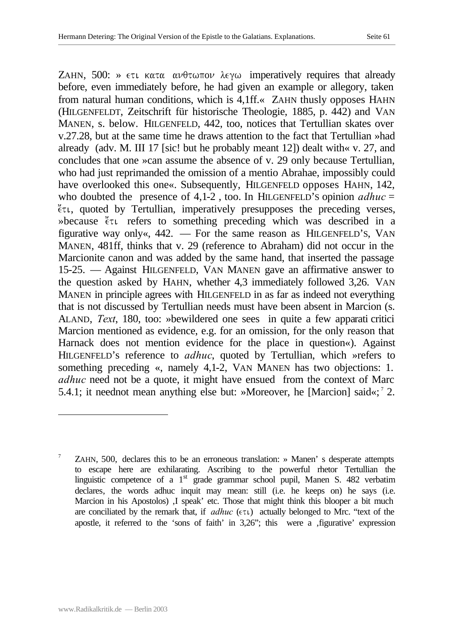ZAHN,  $500$ : »  $\epsilon \tau \iota$  κατα ανθτωπον λεγω imperatively requires that already before, even immediately before, he had given an example or allegory, taken from natural human conditions, which is 4,1ff.« ZAHN thusly opposes HAHN (HILGENFELDT, Zeitschrift für historische Theologie, 1885, p. 442) and VAN MANEN, s. below. HILGENFELD, 442, too, notices that Tertullian skates over v.27.28, but at the same time he draws attention to the fact that Tertullian »had already (adv. M. III 17 [sic! but he probably meant 12]) dealt with« v. 27, and concludes that one »can assume the absence of v. 29 only because Tertullian, who had just reprimanded the omission of a mentio Abrahae, impossibly could have overlooked this one«. Subsequently, HILGENFELD opposes HAHN, 142, who doubted the presence of  $4,1-2$ , too. In HILGENFELD's opinion  $\alpha$ *dhuc* =  $\zeta$  t., quoted by Tertullian, imperatively presupposes the preceding verses, »because  $\zeta$ <sup>t</sup> $\tau$  refers to something preceding which was described in a figurative way only«, 442. — For the same reason as HILGENFELD'S, VAN MANEN, 481ff, thinks that v. 29 (reference to Abraham) did not occur in the Marcionite canon and was added by the same hand, that inserted the passage 15-25. — Against HILGENFELD, VAN MANEN gave an affirmative answer to the question asked by HAHN, whether 4,3 immediately followed 3,26. VAN MANEN in principle agrees with HILGENFELD in as far as indeed not everything that is not discussed by Tertullian needs must have been absent in Marcion (s. ALAND, *Text*, 180, too: »bewildered one sees in quite a few apparati critici Marcion mentioned as evidence, e.g. for an omission, for the only reason that Harnack does not mention evidence for the place in question«). Against HILGENFELD's reference to *adhuc*, quoted by Tertullian, which »refers to something preceding «, namely 4,1-2, VAN MANEN has two objections: 1. *adhuc* need not be a quote, it might have ensued from the context of Marc 5.4.1; it neednot mean anything else but: »Moreover, he [Marcion] said«;<sup>7</sup> 2.

l

<sup>7</sup> ZAHN, 500, declares this to be an erroneous translation: » Manen' s desperate attempts to escape here are exhilarating. Ascribing to the powerful rhetor Tertullian the linguistic competence of a 1<sup>st</sup> grade grammar school pupil, Manen S. 482 verbatim declares, the words adhuc inquit may mean: still (i.e. he keeps on) he says (i.e. Marcion in his Apostolos) I speak' etc. Those that might think this blooper a bit much are conciliated by the remark that, if  $\alpha d$ *huc* ( $\epsilon \tau \nu$ ) actually belonged to Mrc. "text of the apostle, it referred to the 'sons of faith' in  $3.26$ "; this were a  $\alpha$ , figurative' expression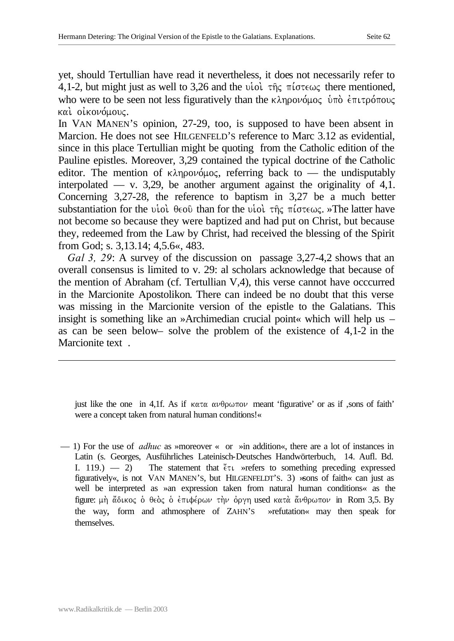yet, should Tertullian have read it nevertheless, it does not necessarily refer to 4,1-2, but might just as well to 3,26 and the viol  $\tau \hat{\eta}$   $\tau$  for  $\epsilon \omega \zeta$  there mentioned, who were to be seen not less figuratively than the  $\kappa\lambda\eta\rho o\nu\phi\mu o\zeta$  under  $\epsilon\pi\iota\tau\rho\phi\tau o\nu\zeta$ και οικονόμους.

In VAN MANEN'S opinion, 27-29, too, is supposed to have been absent in Marcion. He does not see HILGENFELD'S reference to Marc 3.12 as evidential, since in this place Tertullian might be quoting from the Catholic edition of the Pauline epistles. Moreover, 3,29 contained the typical doctrine of the Catholic editor. The mention of  $\kappa\lambda\eta\rho\delta\mu\delta\zeta$ , referring back to — the undisputably interpolated — v. 3,29, be another argument against the originality of  $4,1$ . Concerning 3,27-28, the reference to baptism in 3,27 be a much better substantiation for the viol  $\theta \in \partial \tilde{v}$  than for the viol  $\tau \tilde{\eta}$   $\zeta$   $\pi$ *i*  $\sigma \tau \in \omega$ ,  $\zeta$ . The latter have not become so because they were baptized and had put on Christ, but because they, redeemed from the Law by Christ, had received the blessing of the Spirit from God; s. 3,13.14; 4,5.6«, 483.

*Gal 3, 29*: A survey of the discussion on passage 3,27-4,2 shows that an overall consensus is limited to v. 29: al scholars acknowledge that because of the mention of Abraham (cf. Tertullian V,4), this verse cannot have occcurred in the Marcionite Apostolikon. There can indeed be no doubt that this verse was missing in the Marcionite version of the epistle to the Galatians. This insight is something like an »Archimedian crucial point« which will help us – as can be seen below– solve the problem of the existence of 4,1-2 in the Marcionite text.

just like the one in 4,1f. As if  $\kappa \alpha \tau \alpha \alpha \nu \theta \rho \omega \tau \omega \nu$  meant 'figurative' or as if , sons of faith' were a concept taken from natural human conditions!«

— 1) For the use of *adhuc* as »moreover « or »in addition«, there are a lot of instances in Latin (s. Georges, Ausführliches Lateinisch-Deutsches Handwörterbuch, 14. Aufl. Bd. I. 119.) — 2) The statement that  $\zeta \tau$  »refers to something preceding expressed figuratively«, is not VAN MANEN'S, but HILGENFELDT'S. 3) »sons of faith« can just as well be interpreted as »an expression taken from natural human conditions« as the figure: μη άδικος ο θεός ο επιφέρων την όργη used κατα άνθρωπον in Rom 3,5. By the way, form and athmosphere of ZAHN'S »refutation« may then speak for themselves.

l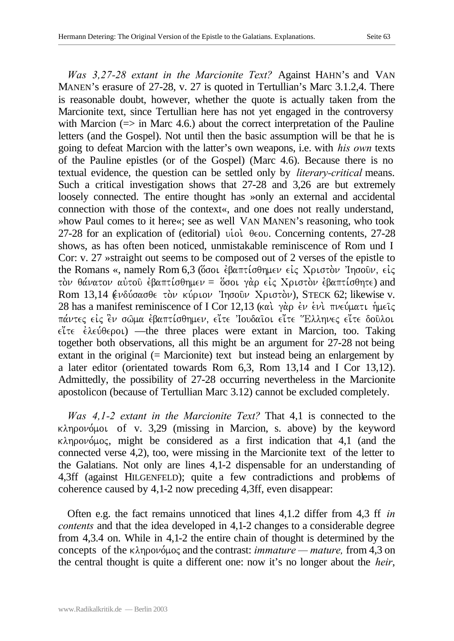*Was 3,27-28 extant in the Marcionite Text?* Against HAHN's and VAN MANEN's erasure of 27-28, v. 27 is quoted in Tertullian's Marc 3.1.2,4. There is reasonable doubt, however, whether the quote is actually taken from the Marcionite text, since Tertullian here has not yet engaged in the controversy with Marcion  $(=>$  in Marc 4.6.) about the correct interpretation of the Pauline letters (and the Gospel). Not until then the basic assumption will be that he is going to defeat Marcion with the latter's own weapons, i.e. with *his own* texts of the Pauline epistles (or of the Gospel) (Marc 4.6). Because there is no textual evidence, the question can be settled only by *literary-critical* means. Such a critical investigation shows that 27-28 and 3,26 are but extremely loosely connected. The entire thought has »only an external and accidental connection with those of the context«, and one does not really understand, »how Paul comes to it here«; see as well VAN MANEN's reasoning, who took 27-28 for an explication of (editorial) viol  $\theta \infty$ . Concerning contents, 27-28 shows, as has often been noticed, unmistakable reminiscence of Rom und I Cor: v. 27 »straight out seems to be composed out of 2 verses of the epistle to the Romans «, namely Rom 6,3 (ὄσοι έβαπτίσθημεν είς Χριστον Ίησοῦν, είς  $\tau$ όν θάνατον αύτοῦ (βαπτίσθημεν = όσοι γὰρ είς Χριστὸν (βαπτίσθητε) and Rom 13,14 (ενδύσασθε τον κύριον Ίησοῦν Χριστον), STECK 62; likewise v. 28 has a manifest reminiscence of I Cor 12,13 (και γάρ έν ενι πνεύματι ήμεις πάντες είς έν σώμα έβαπτίσθημεν, είτε Ίουδαιοι είτε Έλληνες είτε δουλοι  $\epsilon\zeta\tau\epsilon$   $\epsilon\lambda\epsilon\psi\theta\epsilon\rho o\iota$ ) —the three places were extant in Marcion, too. Taking together both observations, all this might be an argument for 27-28 not being extant in the original (= Marcionite) text but instead being an enlargement by a later editor (orientated towards Rom 6,3, Rom 13,14 and I Cor 13,12). Admittedly, the possibility of 27-28 occurring nevertheless in the Marcionite apostolicon (because of Tertullian Marc 3.12) cannot be excluded completely.

*Was 4,1-2 extant in the Marcionite Text?* That 4,1 is connected to the  $\kappa\lambda$ ηρονόμοι of v. 3,29 (missing in Marcion, s. above) by the keyword  $\kappa\lambda$ ηρονόμος, might be considered as a first indication that 4,1 (and the connected verse 4,2), too, were missing in the Marcionite text of the letter to the Galatians. Not only are lines 4,1-2 dispensable for an understanding of 4,3ff (against HILGENFELD); quite a few contradictions and problems of coherence caused by 4,1-2 now preceding 4,3ff, even disappear:

Often e.g. the fact remains unnoticed that lines 4,1.2 differ from 4,3 ff *in contents* and that the idea developed in 4,1-2 changes to a considerable degree from 4,3.4 on. While in 4,1-2 the entire chain of thought is determined by the concepts of the κληρονόμος and the contrast: *immature — mature*, from 4,3 on the central thought is quite a different one: now it's no longer about the *heir*,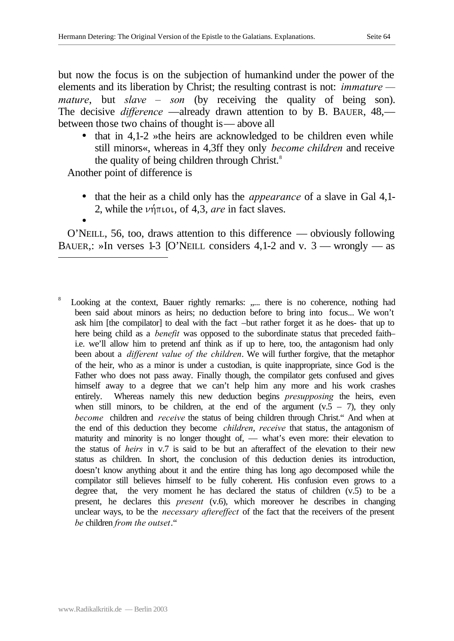but now the focus is on the subjection of humankind under the power of the elements and its liberation by Christ; the resulting contrast is not: *immature mature*, but *slave – son* (by receiving the quality of being son). The decisive *difference* —already drawn attention to by B. BAUER, 48, between those two chains of thought is— above all

• that in  $4,1-2$  »the heirs are acknowledged to be children even while still minors«, whereas in 4,3ff they only *become children* and receive the quality of being children through Christ.<sup>8</sup>

Another point of difference is

- that the heir as a child only has the *appearance* of a slave in Gal 4,1- 2, while the  $\nu \eta \pi \iota \circ \iota$ , of 4,3, *are* in fact slaves.
- •

l

O'NEILL, 56, too, draws attention to this difference — obviously following BAUER,: »In verses 1-3 [O'NEILL considers 4,1-2 and v.  $3$  — wrongly — as

<sup>8</sup> Looking at the context, Bauer rightly remarks: ..... there is no coherence, nothing had been said about minors as heirs; no deduction before to bring into focus... We won't ask him [the compilator] to deal with the fact –but rather forget it as he does- that up to here being child as a *benefit* was opposed to the subordinate status that preceded faith– i.e. we'll allow him to pretend anf think as if up to here, too, the antagonism had only been about a *different value of the children*. We will further forgive, that the metaphor of the heir, who as a minor is under a custodian, is quite inappropriate, since God is the Father who does not pass away. Finally though, the compilator gets confused and gives himself away to a degree that we can't help him any more and his work crashes entirely. Whereas namely this new deduction begins *presupposing* the heirs, even when still minors, to be children, at the end of the argument  $(v.5 - 7)$ , they only *become* children and *receive* the status of being children through Christ." And when at the end of this deduction they become *children*, *receive* that status, the antagonism of maturity and minority is no longer thought of, — what's even more: their elevation to the status of *heirs* in v.7 is said to be but an afteraffect of the elevation to their new status as children. In short, the conclusion of this deduction denies its introduction, doesn't know anything about it and the entire thing has long ago decomposed while the compilator still believes himself to be fully coherent. His confusion even grows to a degree that, the very moment he has declared the status of children  $(v.5)$  to be a present, he declares this *present* (v.6), which moreover he describes in changing unclear ways, to be the *necessary aftereffect* of the fact that the receivers of the present *be* children *from the outset*."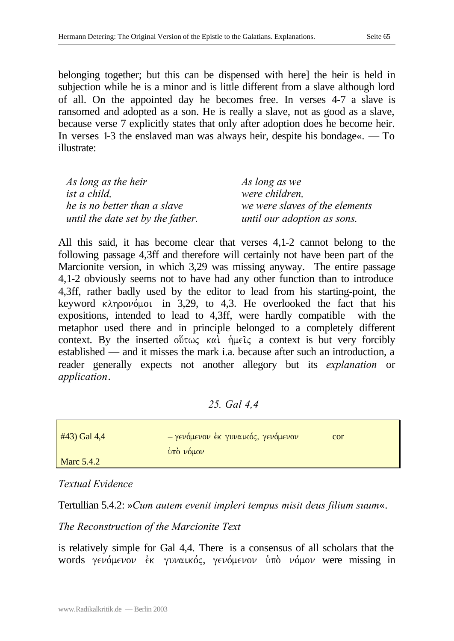belonging together; but this can be dispensed with here] the heir is held in subjection while he is a minor and is little different from a slave although lord of all. On the appointed day he becomes free. In verses 4-7 a slave is ransomed and adopted as a son. He is really a slave, not as good as a slave, because verse 7 explicitly states that only after adoption does he become heir. In verses 1-3 the enslaved man was always heir, despite his bondage«. — To illustrate:

| As long as the heir               | As long as we                  |
|-----------------------------------|--------------------------------|
| ist a child,                      | were children,                 |
| he is no better than a slave      | we were slaves of the elements |
| until the date set by the father. | until our adoption as sons.    |

All this said, it has become clear that verses 4,1-2 cannot belong to the following passage 4,3ff and therefore will certainly not have been part of the Marcionite version, in which 3,29 was missing anyway. The entire passage 4,1-2 obviously seems not to have had any other function than to introduce 4,3ff, rather badly used by the editor to lead from his starting-point, the keyword  $\kappa \lambda \eta \rho o \nu o \mu o \iota$  in 3,29, to 4,3. He overlooked the fact that his expositions, intended to lead to 4,3ff, were hardly compatible with the metaphor used there and in principle belonged to a completely different context. By the inserted ov $\overline{v}$  kai.  $\overline{v}$  hust a context is but very forcibly established — and it misses the mark i.a. because after such an introduction, a reader generally expects not another allegory but its *explanation* or *application*.

## *25. Gal 4,4*

| #43) Gal 4,4      | Ι - γενόμενον έκ γυναικός, γενόμενον | cor |
|-------------------|--------------------------------------|-----|
|                   | υπό νόμον                            |     |
| <b>Marc 5.4.2</b> |                                      |     |

#### *Textual Evidence*

Tertullian 5.4.2: »*Cum autem evenit impleri tempus misit deus filium suum*«.

## *The Reconstruction of the Marcionite Text*

is relatively simple for Gal 4,4. There is a consensus of all scholars that the words γενόμενον έκ γυναικός, γενόμενον ύπὸ νόμον were missing in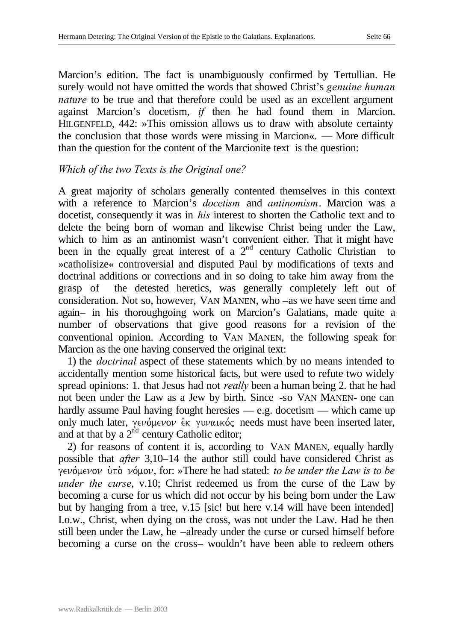Marcion's edition. The fact is unambiguously confirmed by Tertullian. He surely would not have omitted the words that showed Christ's *genuine human nature* to be true and that therefore could be used as an excellent argument against Marcion's docetism, *if* then he had found them in Marcion. HILGENFELD, 442: »This omission allows us to draw with absolute certainty the conclusion that those words were missing in Marcion«. — More difficult than the question for the content of the Marcionite text is the question:

## *Which of the two Texts is the Original one?*

A great majority of scholars generally contented themselves in this context with a reference to Marcion's *docetism* and *antinomism*. Marcion was a docetist, consequently it was in *his* interest to shorten the Catholic text and to delete the being born of woman and likewise Christ being under the Law, which to him as an antinomist wasn't convenient either. That it might have been in the equally great interest of a  $2<sup>nd</sup>$  century Catholic Christian to »catholisize« controversial and disputed Paul by modifications of texts and doctrinal additions or corrections and in so doing to take him away from the grasp of the detested heretics, was generally completely left out of consideration. Not so, however, VAN MANEN, who –as we have seen time and again– in his thoroughgoing work on Marcion's Galatians, made quite a number of observations that give good reasons for a revision of the conventional opinion. According to VAN MANEN, the following speak for Marcion as the one having conserved the original text:

1) the *doctrinal* aspect of these statements which by no means intended to accidentally mention some historical facts, but were used to refute two widely spread opinions: 1. that Jesus had not *really* been a human being 2. that he had not been under the Law as a Jew by birth. Since -so VAN MANEN- one can hardly assume Paul having fought here sies — e.g. docetism — which came up only much later,  $\gamma \in \nu \circ \mu \in \nu$  even evaluated evaluated evaluated later, and at that by a  $2^{nd}$  century Catholic editor;

2) for reasons of content it is, according to VAN MANEN, equally hardly possible that *after* 3,10–14 the author still could have considered Christ as geno,menon u`po. no,mon, for: »There he had stated: *to be under the Law is to be under the curse*, v.10; Christ redeemed us from the curse of the Law by becoming a curse for us which did not occur by his being born under the Law but by hanging from a tree, v.15 [sic! but here v.14 will have been intended] I.o.w., Christ, when dying on the cross, was not under the Law. Had he then still been under the Law, he –already under the curse or cursed himself before becoming a curse on the cross– wouldn't have been able to redeem others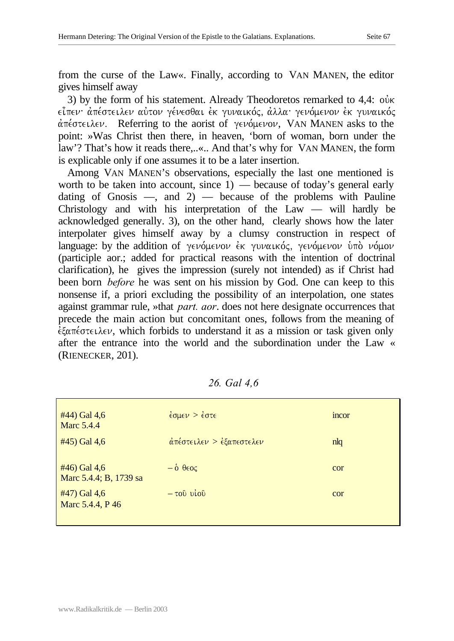from the curse of the Law«. Finally, according to VAN MANEN, the editor gives himself away

3) by the form of his statement. Already Theodoretos remarked to  $4.4$ : ouver  $\epsilon$ ίπεν απέστειλεν αύτον γένεσθαι έκ γυναικός, αλλα γενόμενον εκ γυναικός  $\alpha$ <sup>T</sup> ( $\alpha$ <sup>t</sup>)  $\alpha$  are  $\alpha$  and  $\alpha$  are  $\alpha$  of  $\gamma$  ( $\alpha$ )  $\beta$  ( $\gamma$ )  $\alpha$  ( $\gamma$ )  $\alpha$  ( $\alpha$ )  $\alpha$ ) asks to the point: »Was Christ then there, in heaven, 'born of woman, born under the law'? That's how it reads there,..«.. And that's why for VAN MANEN, the form is explicable only if one assumes it to be a later insertion.

Among VAN MANEN'S observations, especially the last one mentioned is worth to be taken into account, since  $1$ ) — because of today's general early dating of Gnosis  $-$ , and 2)  $-$  because of the problems with Pauline Christology and with his interpretation of the Law — will hardly be acknowledged generally. 3), on the other hand, clearly shows how the later interpolater gives himself away by a clumsy construction in respect of language: by the addition of γενόμενον έκ γυναικός, γενόμενον υπό νόμον (participle aor.; added for practical reasons with the intention of doctrinal clarification), he gives the impression (surely not intended) as if Christ had been born *before* he was sent on his mission by God. One can keep to this nonsense if, a priori excluding the possibility of an interpolation, one states against grammar rule, »that *part. aor*. does not here designate occurrences that precede the main action but concomitant ones, follows from the meaning of  $\epsilon$   $\epsilon$   $\alpha$   $\pi$  $\epsilon$   $\alpha$   $\epsilon$   $\nu$ , which forbids to understand it as a mission or task given only after the entrance into the world and the subordination under the Law « (RIENECKER, 201).

| #44) Gal 4,6<br><b>Marc 5.4.4</b>         | $\frac{2}{5}$ $\cos \theta$ $> \frac{2}{5}$ $\cos \theta$ | incor          |
|-------------------------------------------|-----------------------------------------------------------|----------------|
| $#45)$ Gal 4,6                            | άπέστειλεν > εξαπεστελεν                                  | n <sub>l</sub> |
| $#46$ ) Gal 4,6<br>Marc 5.4.4; B, 1739 sa | $-\dot{\delta} \theta \epsilon o \zeta$                   | cor            |
| #47) Gal 4,6<br>Marc 5.4.4, P 46          | $-\tau 0$ $\nu$ $\omega$                                  | cor            |

| 26. Gal 4,6 |  |
|-------------|--|
|             |  |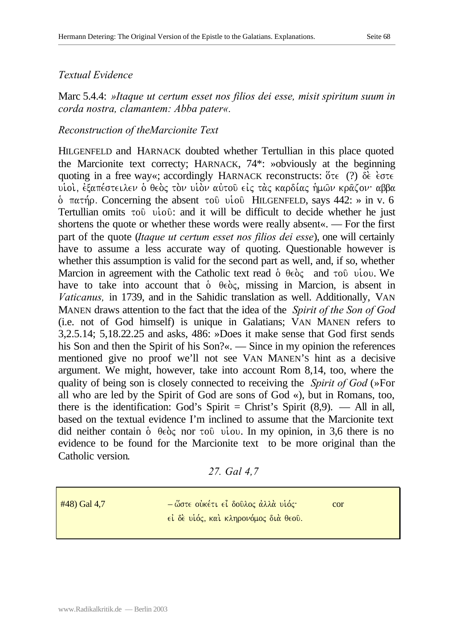Marc 5.4.4: *»Itaque ut certum esset nos filios dei esse, misit spiritum suum in corda nostra, clamantem: Abba pater«.*

### *Reconstruction of theMarcionite Text*

HILGENFELD and HARNACK doubted whether Tertullian in this place quoted the Marcionite text correcty; HARNACK, 74\*: »obviously at the beginning quoting in a free way«; accordingly HARNACK reconstructs:  $\delta \tau \in (?)$   $\delta \epsilon$   $\epsilon$ viol, έξαπέστειλεν ο θεος τον υίον αύτου είς τας καρδίας ήμων κραζον· αββα  $\delta$  πατήρ. Concerning the absent του υίου HILGENFELD, says 442: » in v. 6 Tertullian omits  $\tau$ <sup>0</sup> ui<sup>o</sup>  $\ddot{\theta}$ : and it will be difficult to decide whether he just shortens the quote or whether these words were really absent«. — For the first part of the quote (*Itaque ut certum esset nos filios dei esse*), one will certainly have to assume a less accurate way of quoting. Questionable however is whether this assumption is valid for the second part as well, and, if so, whether Marcion in agreement with the Catholic text read  $\dot{\theta}$   $\theta \epsilon \dot{\theta} \zeta$  and  $\tau \dot{\theta}$  uiou. We have to take into account that  $\dot{\theta}$   $\theta \epsilon \dot{\theta}$ , missing in Marcion, is absent in *Vaticanus,* in 1739, and in the Sahidic translation as well. Additionally, VAN MANEN draws attention to the fact that the idea of the *Spirit of the Son of God*  (i.e. not of God himself) is unique in Galatians; VAN MANEN refers to 3,2.5.14; 5,18.22.25 and asks, 486: »Does it make sense that God first sends his Son and then the Spirit of his Son?«. — Since in my opinion the references mentioned give no proof we'll not see VAN MANEN'S hint as a decisive argument. We might, however, take into account Rom 8,14, too, where the quality of being son is closely connected to receiving the *Spirit of God* (»For all who are led by the Spirit of God are sons of God «), but in Romans, too, there is the identification: God's Spirit = Christ's Spirit  $(8,9)$ . — All in all, based on the textual evidence I'm inclined to assume that the Marcionite text did neither contain  $\delta$   $\theta \in \delta \zeta$  nor to  $\theta$  viou. In my opinion, in 3,6 there is no evidence to be found for the Marcionite text to be more original than the Catholic version.

#### *27. Gal 4,7*

 $#48$ ) Gal 4,7 – ω $-$  ώστε οὐκέτι εἶ δοῦλος ἀλλὰ υἱός· ο του ei δε υίός, και κληρονόμος διά θεού.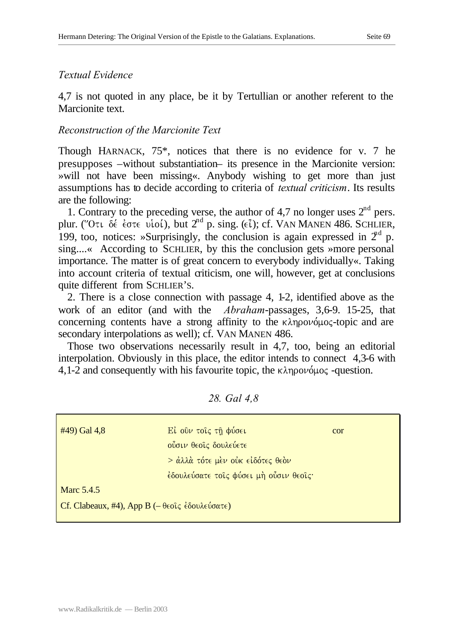4,7 is not quoted in any place, be it by Tertullian or another referent to the Marcionite text.

## *Reconstruction of the Marcionite Text*

Though HARNACK, 75\*, notices that there is no evidence for v. 7 he presupposes –without substantiation– its presence in the Marcionite version: »will not have been missing«. Anybody wishing to get more than just assumptions has to decide according to criteria of *textual criticism*. Its results are the following:

1. Contrary to the preceding verse, the author of 4,7 no longer uses  $2<sup>nd</sup>$  pers. plur. (''Oti  $\delta \epsilon$  é $\sigma$ te vioi,), but  $2^{nd}$  p. sing. ( $\epsilon \tilde{\iota}$ ); cf. VAN MANEN 486. SCHLIER, 199, too, notices: »Surprisingly, the conclusion is again expressed in  $2<sup>nd</sup>$  p. sing....« According to SCHLIER, by this the conclusion gets »more personal importance. The matter is of great concern to everybody individually«. Taking into account criteria of textual criticism, one will, however, get at conclusions quite different from SCHLIER'S.

2. There is a close connection with passage 4, 1-2, identified above as the work of an editor (and with the *Abraham*-passages, 3,6-9. 15-25, that concerning contents have a strong affinity to the  $\kappa\lambda$ ηρονόμος-topic and are secondary interpolations as well); cf. VAN MANEN 486.

Those two observations necessarily result in 4,7, too, being an editorial interpolation. Obviously in this place, the editor intends to connect 4,3-6 with 4,1-2 and consequently with his favourite topic, the  $\kappa\lambda$ ηρονόμος -question.

| $#49)$ Gal 4,8                                                                                       | Εί ούν τοις τη φύσει<br>ούσιν θεοίς δουλεύετε | cor |
|------------------------------------------------------------------------------------------------------|-----------------------------------------------|-----|
|                                                                                                      | $>$ άλλά τότε μέν ούκ είδότες θεόν            |     |
|                                                                                                      | έδουλεύσατε τοις φύσει μή ούσιν θεοις·        |     |
| Marc 5.4.5                                                                                           |                                               |     |
| Cf. Clabeaux, #4), App B ( $-\theta \in \partial \zeta \in \partial \omega \wedge \omega \in \Theta$ |                                               |     |

#### *28. Gal 4,8*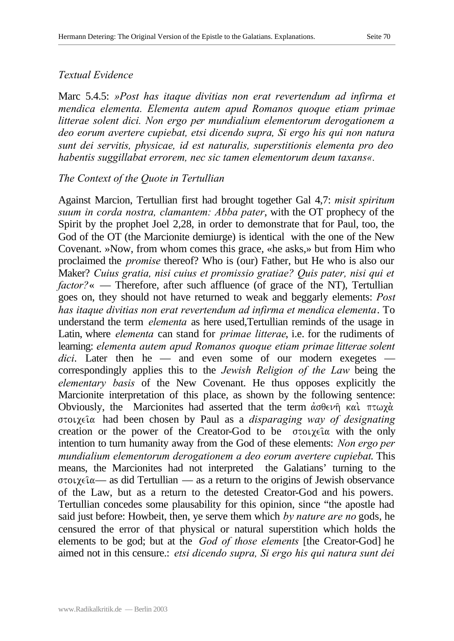Marc 5.4.5: *»Post has itaque divitias non erat revertendum ad infirma et mendica elementa. Elementa autem apud Romanos quoque etiam primae litterae solent dici. Non ergo per mundialium elementorum derogationem a deo eorum avertere cupiebat, etsi dicendo supra, Si ergo his qui non natura sunt dei servitis, physicae, id est naturalis, superstitionis elementa pro deo habentis suggillabat errorem, nec sic tamen elementorum deum taxans«.*

#### *The Context of the Quote in Tertullian*

Against Marcion, Tertullian first had brought together Gal 4,7: *misit spiritum suum in corda nostra, clamantem: Abba pater*, with the OT prophecy of the Spirit by the prophet Joel 2,28, in order to demonstrate that for Paul, too, the God of the OT (the Marcionite demiurge) is identical with the one of the New Covenant. »Now, from whom comes this grace, «he asks,» but from Him who proclaimed the *promise* thereof? Who is (our) Father, but He who is also our Maker? *Cuius gratia, nisi cuius et promissio gratiae? Quis pater, nisi qui et factor?*« — Therefore, after such affluence (of grace of the NT), Tertullian goes on, they should not have returned to weak and beggarly elements: *Post has itaque divitias non erat revertendum ad infirma et mendica elementa*. To understand the term *elementa* as here used,Tertullian reminds of the usage in Latin, where *elementa* can stand for *primae litterae*, i.e. for the rudiments of learning: *elementa autem apud Romanos quoque etiam primae litterae solent dici*. Later then he — and even some of our modern exegetes correspondingly applies this to the *Jewish Religion of the Law* being the *elementary basis* of the New Covenant. He thus opposes explicitly the Marcionite interpretation of this place, as shown by the following sentence: Obviously, the Marcionites had asserted that the term  $\dot{\alpha} \partial \theta \in \nu \hat{\eta}$  και πτωχά stoicei/a had been chosen by Paul as a *disparaging way of designating* creation or the power of the Creator-God to be  $\sigma$ toiceing with the only intention to turn humanity away from the God of these elements: *Non ergo per mundialium elementorum derogationem a deo eorum avertere cupiebat*. This means, the Marcionites had not interpreted the Galatians' turning to the  $\sigma$ tou $\chi \in \hat{\alpha}$ — as did Tertullian — as a return to the origins of Jewish observance of the Law, but as a return to the detested Creator-God and his powers. Tertullian concedes some plausability for this opinion, since "the apostle had said just before: Howbeit, then, ye serve them which *by nature are no* gods, he censured the error of that physical or natural superstition which holds the elements to be god; but at the *God of those elements* [the Creator-God] he aimed not in this censure.: *etsi dicendo supra, Si ergo his qui natura sunt dei*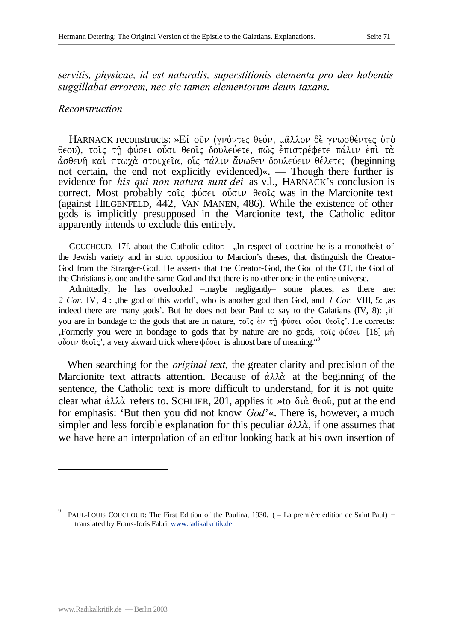*servitis, physicae, id est naturalis, superstitionis elementa pro deo habentis suggillabat errorem, nec sic tamen elementorum deum taxans*.

#### *Reconstruction*

HARNACK reconstructs: »Εί οῦν (γνόντες θεόν, μᾶλλον δε γνωσθέντες ὑπὸ θεου), τοις τη φύσει οὖσι θεοις δουλεύετε, πως επιστρέφετε πάλιν επι τα άσθενή και πτωχά στοιχεία, οις πάλιν άνωθεν δουλεύειν θέλετε; (beginning not certain, the end not explicitly evidenced)«. — Though there further is evidence for *his qui non natura sunt dei* as v.l., HARNACK's conclusion is correct. Most probably  $\tau$ οις φύσει ούσιν θεοις was in the Marcionite text (against HILGENFELD, 442, VAN MANEN, 486). While the existence of other gods is implicitly presupposed in the Marcionite text, the Catholic editor apparently intends to exclude this entirely.

COUCHOUD, 17f, about the Catholic editor: "In respect of doctrine he is a monotheist of the Jewish variety and in strict opposition to Marcion's theses, that distinguish the Creator-God from the Stranger-God. He asserts that the Creator-God, the God of the OT, the God of the Christians is one and the same God and that there is no other one in the entire universe.

Admittedly, he has overlooked –maybe negligently– some places, as there are: 2 Cor. IV, 4 : the god of this world', who is another god than God, and *1 Cor.* VIII, 5: as indeed there are many gods'. But he does not bear Paul to say to the Galatians  $(IV, 8)$ :  $, if$ you are in bondage to the gods that are in nature, τοις έν τη φύσει ούσι θεοις'. He corrects: , Formerly you were in bondage to gods that by nature are no gods,  $\tau$ oi $\zeta$   $\phi$ ύσει [18]  $\mu$ η oὖσιν θεοῖς', a very akward trick where φύσει is almost bare of meaning."

When searching for the *original text,* the greater clarity and precision of the Marcionite text attracts attention. Because of  $\dot{\alpha}\lambda\lambda\dot{\alpha}$  at the beginning of the sentence, the Catholic text is more difficult to understand, for it is not quite clear what  $\dot{\alpha}\lambda\lambda\dot{\alpha}$  refers to. SCHLIER, 201, applies it »to  $\delta\alpha\dot{\alpha}$   $\theta\epsilon\dot{\alpha}$ , put at the end for emphasis: 'But then you did not know *God*'«. There is, however, a much simpler and less forcible explanation for this peculiar  $\dot{\alpha}\lambda\lambda\dot{\alpha}$ , if one assumes that we have here an interpolation of an editor looking back at his own insertion of

l

<sup>9</sup> PAUL-LOUIS COUCHOUD: The First Edition of the Paulina, 1930. ( = La première édition de Saint Paul) – translated by Frans-Joris Fabri, www.radikalkritik.de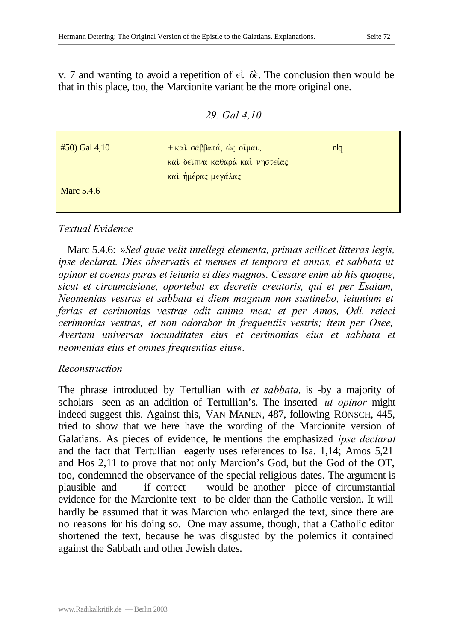v. 7 and wanting to avoid a repetition of  $\epsilon \in \delta \epsilon$ . The conclusion then would be that in this place, too, the Marcionite variant be the more original one.

*29. Gal 4,10*

| $#50$ Gal 4,10    | + και σάββατά, ώς οίμαι,       | nlq |  |
|-------------------|--------------------------------|-----|--|
|                   | καί δείπνα καθαρά καί νηστείας |     |  |
|                   | και ήμέρας μεγάλας             |     |  |
| <b>Marc</b> 5.4.6 |                                |     |  |
|                   |                                |     |  |

## *Textual Evidence*

Marc 5.4.6: *»Sed quae velit intellegi elementa, primas scilicet litteras legis, ipse declarat. Dies observatis et menses et tempora et annos, et sabbata ut opinor et coenas puras et ieiunia et dies magnos. Cessare enim ab his quoque, sicut et circumcisione, oportebat ex decretis creatoris, qui et per Esaiam, Neomenias vestras et sabbata et diem magnum non sustinebo, ieiunium et ferias et cerimonias vestras odit anima mea; et per Amos, Odi, reieci cerimonias vestras, et non odorabor in frequentiis vestris; item per Osee, Avertam universas iocunditates eius et cerimonias eius et sabbata et neomenias eius et omnes frequentias eius«.*

#### *Reconstruction*

The phrase introduced by Tertullian with *et sabbata,* is -by a majority of scholars- seen as an addition of Tertullian's. The inserted *ut opinor* might indeed suggest this. Against this, VAN MANEN, 487, following RÖNSCH, 445, tried to show that we here have the wording of the Marcionite version of Galatians. As pieces of evidence, he mentions the emphasized *ipse declarat* and the fact that Tertullian eagerly uses references to Isa. 1,14; Amos 5,21 and Hos 2,11 to prove that not only Marcion's God, but the God of the OT, too, condemned the observance of the special religious dates. The argument is plausible and — if correct — would be another piece of circumstantial evidence for the Marcionite text to be older than the Catholic version. It will hardly be assumed that it was Marcion who enlarged the text, since there are no reasons for his doing so. One may assume, though, that a Catholic editor shortened the text, because he was disgusted by the polemics it contained against the Sabbath and other Jewish dates.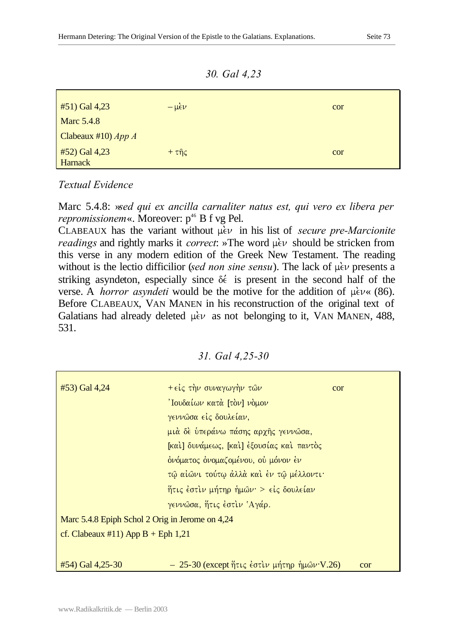*30. Gal 4,23*

| $#51)$ Gal 4,23                 | $-\mu \epsilon \nu$           | cor |
|---------------------------------|-------------------------------|-----|
| <b>Marc 5.4.8</b>               |                               |     |
| Clabeaux #10) $App A$           |                               |     |
| #52) Gal 4,23<br><b>Harnack</b> | $+ \tau \hat{\eta} \varsigma$ | cor |

*Textual Evidence*

Marc 5.4.8: »*sed qui ex ancilla carnaliter natus est, qui vero ex libera per repromissionem*«. Moreover:  $p^{46}$  B f vg Pel.

 $CLABEAUX$  has the variant without  $\mu$ <sup>i</sup> in his list of *secure pre-Marcionite readings* and rightly marks it *correct*: »The word  $\mu$ <sub>c</sub> should be stricken from this verse in any modern edition of the Greek New Testament. The reading without is the lectio difficilior (*sed non sine sensu*). The lack of  $\mu$ *èv* presents a striking asyndeton, especially since  $\delta \epsilon$  is present in the second half of the verse. A *horror asyndeti* would be the motive for the addition of  $\mu \in V \times (86)$ . Before CLABEAUX, VAN MANEN in his reconstruction of the original text of Galatians had already deleted  $\mu$ <sub>c</sub> $\nu$  as not belonging to it, VAN MANEN, 488, 531.

|  |  |  | 31. Gal 4,25-30 |
|--|--|--|-----------------|
|--|--|--|-----------------|

| #53) Gal 4,24                                   | $+ \epsilon \zeta \tau \eta \nu \sigma \nu \alpha \gamma \omega \gamma \eta \nu \tau \omega \nu$ | cor |
|-------------------------------------------------|--------------------------------------------------------------------------------------------------|-----|
|                                                 | 'Ιουδαίων κατά [τὸν] νὸμον                                                                       |     |
|                                                 | γεννώσα είς δουλείαν,                                                                            |     |
|                                                 | μιά δε υπεράνω πάσης αρχής γεννώσα,                                                              |     |
|                                                 | [καὶ] δυνάμεως, [καὶ] ἐξουσίας καὶ παντὸς                                                        |     |
|                                                 | ονόματος ονομαζομένου, ού μόνον έν                                                               |     |
|                                                 | τώ αίώνι τούτω άλλά και έν τω μέλλοντι·                                                          |     |
|                                                 | ήτις έστιν μήτηρ ήμων > είς δουλείαν                                                             |     |
|                                                 | γεννώσα, ήτις έστιν Άγάρ.                                                                        |     |
| Marc 5.4.8 Epiph Schol 2 Orig in Jerome on 4,24 |                                                                                                  |     |
| cf. Clabeaux #11) App $B$ + Eph 1,21            |                                                                                                  |     |
|                                                 |                                                                                                  |     |
| #54) Gal 4,25-30                                | $-25-30$ (except ήτις έστιν μήτηρ ήμων V.26)                                                     | cor |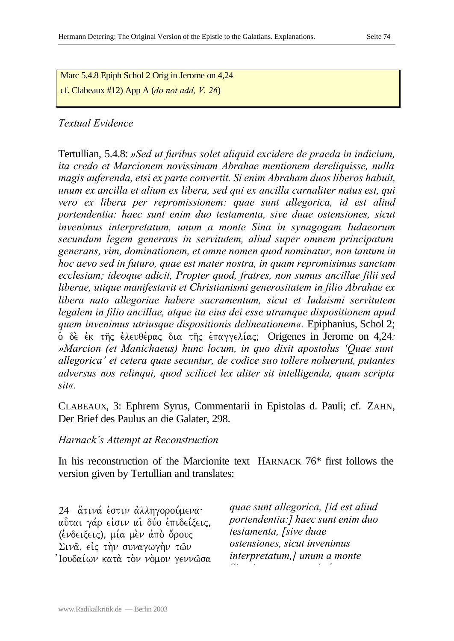Marc 5.4.8 Epiph Schol 2 Orig in Jerome on 4,24 cf. Clabeaux #12) App A (*do not add, V. 26*)

## *Textual Evidence*

Tertullian, 5.4.8: *»Sed ut furibus solet aliquid excidere de praeda in indicium, ita credo et Marcionem novissimam Abrahae mentionem dereliquisse, nulla magis auferenda, etsi ex parte convertit. Si enim Abraham duos liberos habuit, unum ex ancilla et alium ex libera, sed qui ex ancilla carnaliter natus est, qui vero ex libera per repromissionem: quae sunt allegorica, id est aliud portendentia: haec sunt enim duo testamenta, sive duae ostensiones, sicut invenimus interpretatum, unum a monte Sina in synagogam Iudaeorum secundum legem generans in servitutem, aliud super omnem principatum generans, vim, dominationem, et omne nomen quod nominatur, non tantum in hoc aevo sed in futuro, quae est mater nostra, in quam repromisimus sanctam ecclesiam; ideoque adicit, Propter quod, fratres, non sumus ancillae filii sed liberae, utique manifestavit et Christianismi generositatem in filio Abrahae ex libera nato allegoriae habere sacramentum, sicut et Iudaismi servitutem legalem in filio ancillae, atque ita eius dei esse utramque dispositionem apud quem invenimus utriusque dispositionis delineationem«.* Epiphanius, Schol 2;  $\delta$  δε έκ της έλευθέρας δια της επαγγελίας; Origenes in Jerome on 4,24*: »Marcion (et Manichaeus) hunc locum, in quo dixit apostolus 'Quae sunt allegorica' et cetera quae secuntur, de codice suo tollere noluerunt, putantes adversus nos relinqui, quod scilicet lex aliter sit intelligenda, quam scripta sit«.*

CLABEAUX, 3: Ephrem Syrus, Commentarii in Epistolas d. Pauli; cf. ZAHN, Der Brief des Paulus an die Galater, 298.

## *Harnack's Attempt at Reconstruction*

In his reconstruction of the Marcionite text HARNACK 76\* first follows the version given by Tertullian and translates:

24 άτινά έστιν άλληγορούμενα· αύται γάρ είσιν αί δύο επιδείξεις, (ενδειξεις), μία μεν από όρους Σινα είς την συναγωγήν των Ίουδαίων κατὰ τὸν νὸμον γεννῶσα *quae sunt allegorica, [id est aliud portendentia:] haec sunt enim duo testamenta, [sive duae ostensiones, sicut invenimus interpretatum,] unum a monte Sina in synagogam Iudaeorum*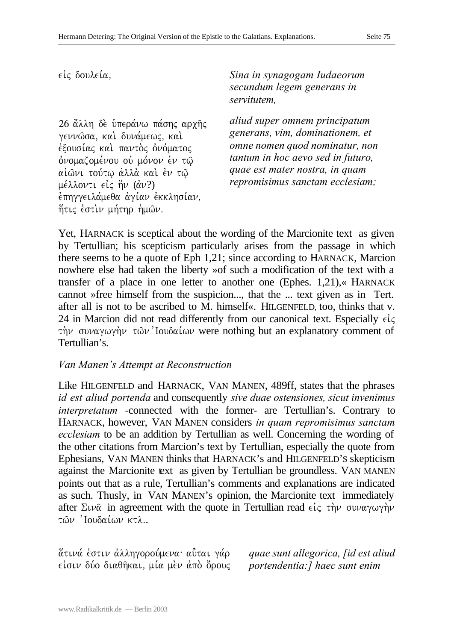26 άλλη δε υπεράνω πάσης αρχής γεννώσα, καί δυνάμεως, καί έξουσίας και παντος ονόματος όνομαζομένου οὐ μόνον ἐν τῷ αίωνι τούτω άλλά και έν τω μέλλοντι εἰς ἥν (ἀν?) έπηγγειλάμεθα αγίαν εκκλησίαν. ήτις έστιν μήτηρ ήμων.

 $ε$ *iς δουλεία,*<br>Sina in synagogam Iudaeorum *secundum legem generans in servitutem,*

> *aliud super omnem principatum generans, vim, dominationem, et omne nomen quod nominatur, non tantum in hoc aevo sed in futuro, quae est mater nostra, in quam repromisimus sanctam ecclesiam;*

Yet, HARNACK is sceptical about the wording of the Marcionite text as given by Tertullian; his scepticism particularly arises from the passage in which there seems to be a quote of Eph 1,21; since according to HARNACK, Marcion nowhere else had taken the liberty »of such a modification of the text with a transfer of a place in one letter to another one (Ephes. 1,21),« HARNACK cannot »free himself from the suspicion..., that the ... text given as in Tert. after all is not to be ascribed to M. himself«. HILGENFELD, too, thinks that v. 24 in Marcion did not read differently from our canonical text. Especially  $\epsilon \zeta$ την συναγωγήν τῶν Ιουδαίων were nothing but an explanatory comment of Tertullian's.

#### *Van Manen's Attempt at Reconstruction*

Like HILGENFELD and HARNACK, VAN MANEN, 489ff, states that the phrases *id est aliud portenda* and consequently *sive duae ostensiones, sicut invenimus interpretatum* -connected with the former- are Tertullian's. Contrary to HARNACK, however, VAN MANEN considers *in quam repromisimus sanctam ecclesiam* to be an addition by Tertullian as well. Concerning the wording of the other citations from Marcion's text by Tertullian, especially the quote from Ephesians, VAN MANEN thinks that HARNACK's and HILGENFELD'S skepticism against the Marcionite text as given by Tertullian be groundless. VAN MANEN points out that as a rule, Tertullian's comments and explanations are indicated as such. Thusly, in VAN MANEN's opinion, the Marcionite text immediately after  $\Sigma \nu \hat{\alpha}$  in agreement with the quote in Tertullian read  $\epsilon \dot{\iota} \zeta$  την συναγωγήν  $\tau$ ών 'Ιουδαίων κτλ..

<u>άτινά έστιν άλληγορούμενα· α</u>ύται γάρ είσιν δύο διαθήκαι, μία μεν άπο όρους *quae sunt allegorica, [id est aliud portendentia:] haec sunt enim*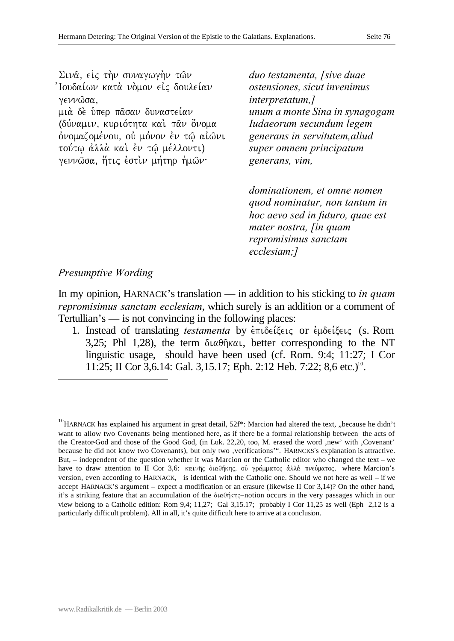Σινα, είς την συναγωγήν των Ίουδαίων κατὰ νὸμον εἰς δουλείαν γεννώσα, μιά δέ ύπερ πάσαν δυναστείαν (δύναμιν, κυριότητα καί παν όνομα ονομαζομένου, ού μόνον εν τω αίωνι τούτω άλλά καὶ ἐν τῷ μέλλοντι) γεννώσα, ήτις έστιν μήτηρ ήμων·

*duo testamenta, [sive duae ostensiones, sicut invenimus interpretatum,] unum a monte Sina in synagogam Iudaeorum secundum legem generans in servitutem,aliud super omnem principatum generans, vim,* 

*dominationem, et omne nomen quod nominatur, non tantum in hoc aevo sed in futuro, quae est mater nostra, [in quam repromisimus sanctam ecclesiam;]*

# *Presumptive Wording*

l

In my opinion, HARNACK's translation — in addition to his sticking to *in quam repromisimus sanctam ecclesiam*, which surely is an addition or a comment of Tertullian's — is not convincing in the following places:

1. Instead of translating *testamenta* by  $\epsilon \pi \iota \delta \epsilon \iota \xi \epsilon \iota \zeta$  or  $\epsilon \mu \delta \epsilon \iota \xi \epsilon \iota \zeta$  (s. Rom 3,25; Phl 1,28), the term  $\delta \alpha \theta \hat{\eta} \kappa \alpha \iota$ , better corresponding to the NT linguistic usage, should have been used (cf. Rom. 9:4; 11:27; I Cor 11:25; II Cor 3,6.14: Gal. 3,15.17; Eph. 2:12 Heb. 7:22; 8,6 etc.)<sup>10</sup>.

<sup>&</sup>lt;sup>10</sup>HARNACK has explained his argument in great detail,  $52f^*$ : Marcion had altered the text, "because he didn't want to allow two Covenants being mentioned here, as if there be a formal relationship between the acts of the Creator-God and those of the Good God, (in Luk. 22,20, too, M. erased the word ,new' with ,Covenant' because he did not know two Covenants), but only two ,verifications'". HARNCKS's explanation is attractive. But, – independent of the question whether it was Marcion or the Catholic editor who changed the text – we have to draw attention to II Cor 3,6: καινής διαθήκης, ού γράμματος άλλά πνεύματος, where Marcion's version, even according to HARNACK, is identical with the Catholic one. Should we not here as well – if we accept HARNACK'S argument – expect a modification or an erasure (likewise II Cor 3,14)? On the other hand, it's a striking feature that an accumulation of the  $\delta \mu \alpha \theta \eta$  ( $\eta$ ) and  $\sigma$  in the very passages which in our view belong to a Catholic edition: Rom 9,4; 11,27; Gal 3,15.17; probably I Cor 11,25 as well (Eph 2,12 is a particularly difficult problem). All in all, it's quite difficult here to arrive at a conclusion.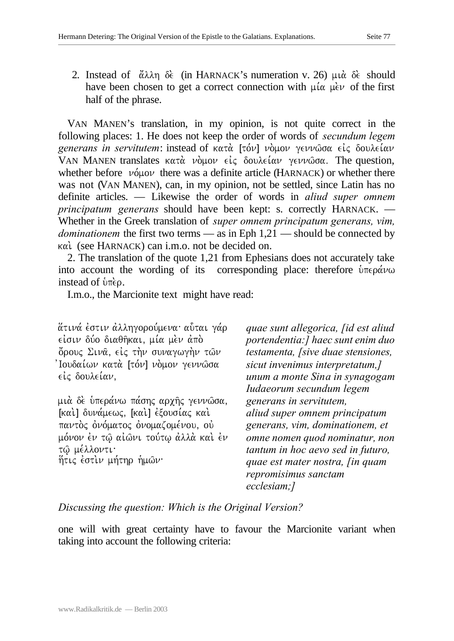2. Instead of  $\alpha\lambda\eta$  de. (in HARNACK's numeration v. 26)  $\mu\alpha$  de. should have been chosen to get a correct connection with  $\mu\alpha \mu e \nu$  of the first half of the phrase.

VAN MANEN's translation, in my opinion, is not quite correct in the following places: 1. He does not keep the order of words of *secundum legem generans in servitutem*: instead of κατά [τόν] νὸμον γεννῶσα εἰς δουλείαν VAN MANEN translates  $\kappa \alpha \tau \alpha$   $\nu \partial \mu \partial \nu$   $\epsilon \iota \zeta$  δουλείαν γεννώσα. The question, whether before  $\nu \acute{o} \mu \acute{o} \nu$  there was a definite article (HARNACK) or whether there was not (VAN MANEN), can, in my opinion, not be settled, since Latin has no definite articles. — Likewise the order of words in *aliud super omnem principatum generans* should have been kept: s. correctly HARNACK. — Whether in the Greek translation of *super omnem principatum generans, vim, dominationem* the first two terms — as in Eph 1,21 — should be connected by kai. (see HARNACK) can i.m.o. not be decided on.

2. The translation of the quote 1,21 from Ephesians does not accurately take into account the wording of its corresponding place: therefore  $\dot{v}$   $\pi \epsilon \rho \dot{\alpha} \nu \omega$ instead of  $\hat{v}$ <sub>n</sub> $\hat{e}$  $\rho$ .

I.m.o., the Marcionite text might have read:

<u>άτινά έστιν άλληγορούμενα· α</u>ύται γάρ είσιν δύο διαθήκαι, μία μεν άπό όρους Σινα, είς την συναγωγήν των 'Ιουδαίων κατὰ [τόν] νὸμον γεννῶσα είς δουλείαν,

μιὰ δὲ ὑπεράνω πάσης αρχῆς γεννῶσα, [καί] δυνάμεως, [καί] έξουσίας και παντός ονόματος ονομαζομένου, ού μόνον έν τω αίωνι τούτω άλλά και έν τώ μέλλοντι· ήτις έστιν μήτηρ ήμων·

*quae sunt allegorica, [id est aliud portendentia:] haec sunt enim duo testamenta, [sive duae stensiones, sicut invenimus interpretatum,] unum a monte Sina in synagogam Iudaeorum secundum legem generans in servitutem, aliud super omnem principatum generans, vim, dominationem, et omne nomen quod nominatur, non tantum in hoc aevo sed in futuro, quae est mater nostra, [in quam repromisimus sanctam ecclesiam;]*

# *Discussing the question: Which is the Original Version?*

one will with great certainty have to favour the Marcionite variant when taking into account the following criteria: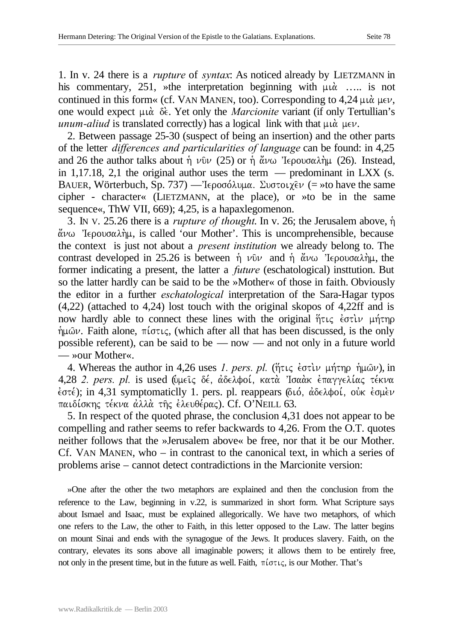1. In v. 24 there is a *rupture* of *syntax*: As noticed already by LIETZMANN in his commentary, 251, »the interpretation beginning with  $\mu \alpha$ .... is not continued in this form« (cf. VAN MANEN, too). Corresponding to  $4,24 \mu\alpha \mu\epsilon \nu$ , one would expect  $\mu \alpha$   $\delta \epsilon$ . Yet only the *Marcionite* variant (if only Tertullian's *unum-aliud* is translated correctly) has a logical link with that  $\mu \alpha$   $\mu \epsilon \nu$ .

2. Between passage 25-30 (suspect of being an insertion) and the other parts of the letter *differences and particularities of language* can be found: in 4,25 and 26 the author talks about  $\dot{\eta}$   $\nu\hat{v}\nu$  (25) or  $\dot{\eta}$   $\ddot{\alpha}\nu\omega$  'Iepovo $\alpha\lambda\dot{\eta}\mu$  (26). Instead, in 1,17.18, 2,1 the original author uses the term — predominant in LXX (s. BAUER, Wörterbuch, Sp. 737) —  $I\epsilon \rho$ οσόλυμα. Συστοιχ $\epsilon \nu$  (= »to have the same cipher - character« (LIETZMANN, at the place), or »to be in the same sequence«, ThW VII, 669); 4,25, is a hapaxlegomenon.

3. IN V. 25.26 there is a *rupture of thought*. In v. 26; the Jerusalem above, h`  $\ddot{\alpha}\nu\omega$  'I $\epsilon$ ρουσαλήμ, is called 'our Mother'. This is uncomprehensible, because the context is just not about a *present institution* we already belong to. The contrast developed in 25.26 is between  $\dot{\eta}$   $\nu\hat{v}\nu$  and  $\dot{\eta}$   $\ddot{\alpha}\nu\omega$  'Iepougaln. former indicating a present, the latter a *future* (eschatological) insttution. But so the latter hardly can be said to be the »Mother« of those in faith. Obviously the editor in a further *eschatological* interpretation of the Sara-Hagar typos (4,22) (attached to 4,24) lost touch with the original skopos of 4,22ff and is now hardly able to connect these lines with the original  $\eta \tau \iota \zeta \partial \tau \iota \nu$   $\mu \eta \tau \eta \rho$  $\eta\mu\omega\nu$ . Faith alone,  $\pi\omega\tau\varsigma$ , (which after all that has been discussed, is the only possible referent), can be said to be — now — and not only in a future world — »our Mother«.

4. Whereas the author in 4,26 uses *1. pers. pl.* (ήτις έστιν μήτηρ ήμων), in 4,28 *2. pers. pl.* is used (ύμεις δέ, άδελφοί, κατά Ίσαάκ έπαγγελίας τέκνα  $\dot{\epsilon}$ στέ); in 4,31 symptomaticlly 1. pers. pl. reappears (διό, άδελφοί, ούκ έσμεν παιδίσκης τέκνα άλλά της έλευθέρας). Cf. O'NEILL 63.

5. In respect of the quoted phrase, the conclusion 4,31 does not appear to be compelling and rather seems to refer backwards to 4,26. From the O.T. quotes neither follows that the »Jerusalem above« be free, nor that it be our Mother. Cf. VAN MANEN, who – in contrast to the canonical text, in which a series of problems arise – cannot detect contradictions in the Marcionite version:

»One after the other the two metaphors are explained and then the conclusion from the reference to the Law, beginning in v.22, is summarized in short form. What Scripture says about Ismael and Isaac, must be explained allegorically. We have two metaphors, of which one refers to the Law, the other to Faith, in this letter opposed to the Law. The latter begins on mount Sinai and ends with the synagogue of the Jews. It produces slavery. Faith, on the contrary, elevates its sons above all imaginable powers; it allows them to be entirely free, not only in the present time, but in the future as well. Faith,  $\pi \omega \tau \zeta$ , is our Mother. That's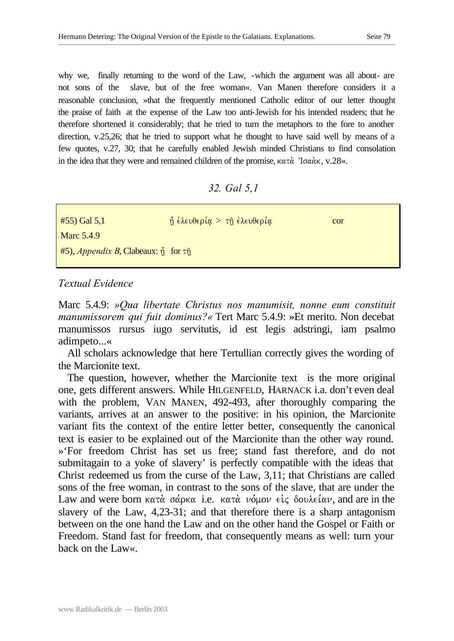why we, finally returning to the word of the Law, -which the argument was all about- are not sons of the slave, but of the free woman«. Van Manen therefore considers it a reasonable conclusion, »that the frequently mentioned Catholic editor of our letter thought the praise of faith at the expense of the Law too anti-Jewish for his intended readers; that he therefore shortened it considerably; that he tried to turn the metaphors to the fore to another direction, v.25,26; that he tried to support what he thought to have said well by means of a few quotes, v.27, 30; that he carefully enabled Jewish minded Christians to find consolation in the idea that they were and remained children of the promise,  $\kappa \alpha \tau \dot{\alpha}$  'Io $\alpha \dot{\alpha} \kappa$ , v.28«.

#### *32. Gal 5,1*

| $#55)$ Gal 5,1                                                           | $\hat{\eta}$ έλευθερία > τη έλευθερία | cor |
|--------------------------------------------------------------------------|---------------------------------------|-----|
| Marc 5.4.9                                                               |                                       |     |
| $#5$ ), <i>Appendix B</i> , Clabeaux: $\hat{\eta}$ for $\tau \hat{\eta}$ |                                       |     |

## *Textual Evidence*

Marc 5.4.9: *»Qua libertate Christus nos manumisit, nonne eum constituit manumissorem qui fuit dominus?«* Tert Marc 5.4.9: »Et merito. Non decebat manumissos rursus iugo servitutis, id est legis adstringi, iam psalmo adimpeto...«

All scholars acknowledge that here Tertullian correctly gives the wording of the Marcionite text.

The question, however, whether the Marcionite text is the more original one, gets different answers. While HILGENFELD, HARNACK i.a. don't even deal with the problem, VAN MANEN, 492-493, after thoroughly comparing the variants, arrives at an answer to the positive: in his opinion, the Marcionite variant fits the context of the entire letter better, consequently the canonical text is easier to be explained out of the Marcionite than the other way round. »'For freedom Christ has set us free; stand fast therefore, and do not submitagain to a yoke of slavery' is perfectly compatible with the ideas that Christ redeemed us from the curse of the Law, 3,11; that Christians are called sons of the free woman, in contrast to the sons of the slave, that are under the Law and were born  $\kappa \alpha \tau \dot{\alpha}$  σάρκα i.e. κατ $\dot{\alpha}$  νόμον είς δουλείαν, and are in the slavery of the Law, 4,23-31; and that therefore there is a sharp antagonism between on the one hand the Law and on the other hand the Gospel or Faith or Freedom. Stand fast for freedom, that consequently means as well: turn your back on the Law«.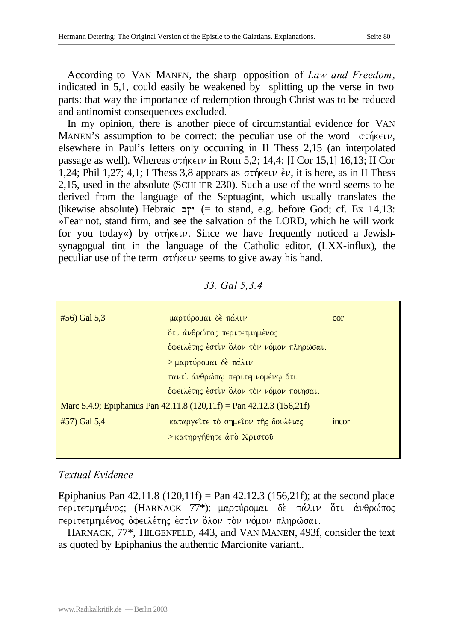According to VAN MANEN, the sharp opposition of *Law and Freedom*, indicated in 5,1, could easily be weakened by splitting up the verse in two parts: that way the importance of redemption through Christ was to be reduced and antinomist consequences excluded.

In my opinion, there is another piece of circumstantial evidence for VAN MANEN'S assumption to be correct: the peculiar use of the word  $\sigma \tau \eta \kappa \in \mathcal{V}$ , elsewhere in Paul's letters only occurring in II Thess 2,15 (an interpolated passage as well). Whereas  $\sigma\tau\gamma\kappa\epsilon\psi$  in Rom 5,2; 14,4; [I Cor 15,1] 16,13; II Cor 1,24; Phil 1,27; 4,1; I Thess 3,8 appears as  $\sigma \tau \eta \kappa \in \mathcal{V}$ , it is here, as in II Thess 2,15, used in the absolute (SCHLIER 230). Such a use of the word seems to be derived from the language of the Septuagint, which usually translates the (likewise absolute) Hebraic  $\gamma$  (= to stand, e.g. before God; cf. Ex 14,13: »Fear not, stand firm, and see the salvation of the LORD, which he will work for you today«) by  $\sigma \tau \eta \kappa \in \mathcal{W}$ . Since we have frequently noticed a Jewishsynagogual tint in the language of the Catholic editor, (LXX-influx), the peculiar use of the term  $\sigma\tau\eta\kappa\epsilon\psi$  seems to give away his hand.

#### *33. Gal 5,3.4*

| $#56$ ) Gal $5,3$ | μαρτύρομαι δε πάλιν                                                  | cor   |
|-------------------|----------------------------------------------------------------------|-------|
|                   | <u>ὅτι ἀνθρώπος περιτετμημένος</u>                                   |       |
|                   | όφειλέτης έστιν όλον τον νόμον πληρώσαι.                             |       |
|                   | > μαρτύρομαι δε πάλιν                                                |       |
|                   | παντι άνθρώπω περιτεμνομένω ότι                                      |       |
|                   | όφειλέτης έστιν όλον τον νόμον ποιήσαι.                              |       |
|                   | Marc 5.4.9; Epiphanius Pan 42.11.8 (120,11f) = Pan 42.12.3 (156,21f) |       |
| $#57)$ Gal 5,4    | καταργείτε το σημείον της δουλειας                                   | incor |
|                   | > κατηργήθητε άπό Χριστοῦ                                            |       |
|                   |                                                                      |       |

## *Textual Evidence*

Epiphanius Pan  $42.11.8$  (120,11f) = Pan  $42.12.3$  (156,21f); at the second place περιτετμημένος; (HARNACK 77\*): μαρτύρομαι δε πάλιν ότι άνθρώπος περιτετμημένος όφειλέτης έστιν όλον τον νόμον πληρώσαι.

HARNACK, 77\*, HILGENFELD, 443, and VAN MANEN, 493f, consider the text as quoted by Epiphanius the authentic Marcionite variant..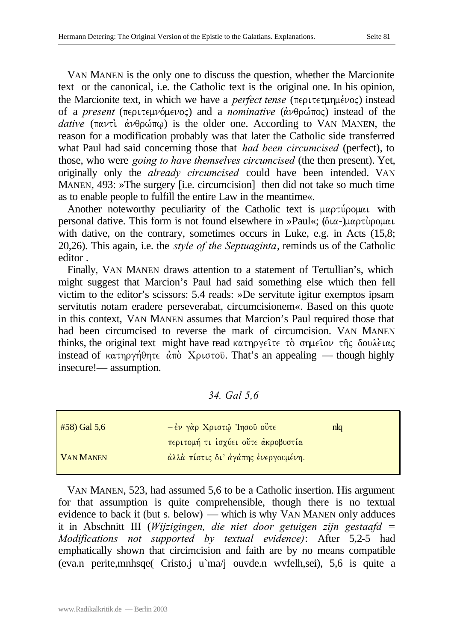VAN MANEN is the only one to discuss the question, whether the Marcionite text or the canonical, i.e. the Catholic text is the original one. In his opinion, the Marcionite text, in which we have a *perfect tense* ( $\pi \epsilon \rho \tau \epsilon \tau \mu \eta \mu \epsilon \nu o \varsigma$ ) instead of a *present* (περιτεμνόμενος) and a *nominative* (άνθρώπος) instead of the  *(* $\pi \alpha \nu \tau i$  $\dot{\alpha} \nu \theta \rho \dot{\omega} \pi \omega$ *) is the older one. According to VAN MANEN, the* reason for a modification probably was that later the Catholic side transferred what Paul had said concerning those that *had been circumcised* (perfect), to those, who were *going to have themselves circumcised* (the then present). Yet, originally only the *already circumcised* could have been intended. VAN MANEN, 493: »The surgery [i.e. circumcision] then did not take so much time as to enable people to fulfill the entire Law in the meantime«.

Another noteworthy peculiarity of the Catholic text is  $\mu\alpha\rho\tau\gamma\rho\rho\mu\alpha\iota$  with personal dative. This form is not found elsewhere in »Paul«; ( $\delta\iota\alpha$ -) $\mu\alpha\rho\tau\delta\rho\alpha\mu\alpha\iota$ with dative, on the contrary, sometimes occurs in Luke, e.g. in Acts (15,8; 20,26). This again, i.e. the *style of the Septuaginta*, reminds us of the Catholic editor .

Finally, VAN MANEN draws attention to a statement of Tertullian's, which might suggest that Marcion's Paul had said something else which then fell victim to the editor's scissors: 5.4 reads: »De servitute igitur exemptos ipsam servitutis notam eradere perseverabat, circumcisionem«. Based on this quote in this context, VAN MANEN assumes that Marcion's Paul required those that had been circumcised to reverse the mark of circumcision. VAN MANEN thinks, the original text might have read κατηργείτε τὸ σημείον της δουλειας instead of  $\kappa\alpha\tau\eta\rho\gamma\eta\theta\eta\tau\epsilon \dot{\alpha}\tau\dot{\delta}$  Xptorov. That's an appealing — though highly insecure!— assumption.

*34. Gal 5,6*

| $#58$ ) Gal 5,6  | $\left[-\dot{\epsilon}\nu\right.$ γάρ Χριστώ 'Ιησοῦ οὔτ $\epsilon$ | $n_{\text{lq}}$ |
|------------------|--------------------------------------------------------------------|-----------------|
|                  | περιτομή τι ίσχύει οὔτε άκροβυστία                                 |                 |
| <b>VAN MANEN</b> | άλλά πίστις δι' άγάπης ένεργουμένη.                                |                 |

VAN MANEN, 523, had assumed 5,6 to be a Catholic insertion. His argument for that assumption is quite comprehensible, though there is no textual evidence to back it (but s. below) — which is why VAN MANEN only adduces it in Abschnitt III (*Wijzigingen, die niet door getuigen zijn gestaafd = Modifications not supported by textual evidence)*: After 5,2-5 had emphatically shown that circimcision and faith are by no means compatible (eva.n perite,mnhsqe( Cristo.j u`ma/j ouvde.n wvfelh,sei), 5,6 is quite a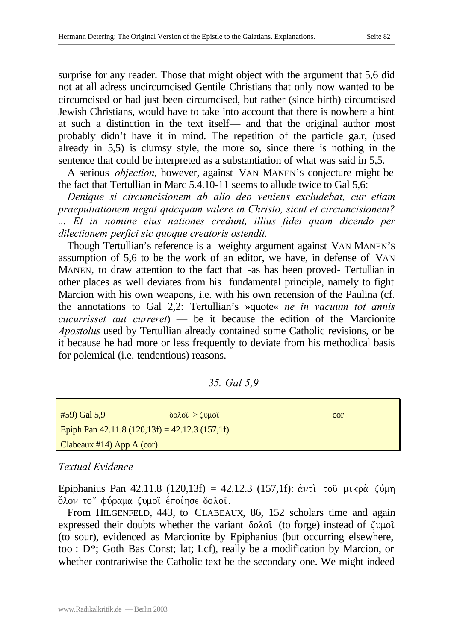surprise for any reader. Those that might object with the argument that 5,6 did not at all adress uncircumcised Gentile Christians that only now wanted to be circumcised or had just been circumcised, but rather (since birth) circumcised Jewish Christians, would have to take into account that there is nowhere a hint at such a distinction in the text itself— and that the original author most probably didn't have it in mind. The repetition of the particle ga.r, (used already in 5,5) is clumsy style, the more so, since there is nothing in the sentence that could be interpreted as a substantiation of what was said in 5,5.

A serious *objection,* however, against VAN MANEN'S conjecture might be the fact that Tertullian in Marc 5.4.10-11 seems to allude twice to Gal 5,6:

*Denique si circumcisionem ab alio deo veniens excludebat, cur etiam praeputiationem negat quicquam valere in Christo, sicut et circumcisionem? ... Et in nomine eius nationes credunt, illius fidei quam dicendo per dilectionem perfici sic quoque creatoris ostendit.*

Though Tertullian's reference is a weighty argument against VAN MANEN'S assumption of 5,6 to be the work of an editor, we have, in defense of VAN MANEN, to draw attention to the fact that -as has been proved- Tertullian in other places as well deviates from his fundamental principle, namely to fight Marcion with his own weapons, i.e. with his own recension of the Paulina (cf. the annotations to Gal 2,2: Tertullian's »quote« *ne in vacuum tot annis cucurrisset aut curreret*) — be it because the edition of the Marcionite *Apostolus* used by Tertullian already contained some Catholic revisions, or be it because he had more or less frequently to deviate from his methodical basis for polemical (i.e. tendentious) reasons.

*35. Gal 5,9*

| #59) Gal 5,9                                       | $\delta$ ολοί $>$ (υμοί | cor |
|----------------------------------------------------|-------------------------|-----|
| Epiph Pan $42.11.8$ (120,13f) = $42.12.3$ (157,1f) |                         |     |
| Clabeaux #14) App A $(cor)$                        |                         |     |

## *Textual Evidence*

Epiphanius Pan 42.11.8 (120,13f) = 42.12.3 (157,1f):  $\dot{\alpha}v\tau\dot{\alpha}$  του μικρά ζύμη δλον το" φύραμα ζυμοι έποίησε δολοι.

From HILGENFELD, 443, to CLABEAUX, 86, 152 scholars time and again expressed their doubts whether the variant  $\delta$ o $\lambda$ oi (to forge) instead of  $\zeta$ u $\mu$ oi (to sour), evidenced as Marcionite by Epiphanius (but occurring elsewhere, too : D\*; Goth Bas Const; lat; Lcf), really be a modification by Marcion, or whether contrariwise the Catholic text be the secondary one. We might indeed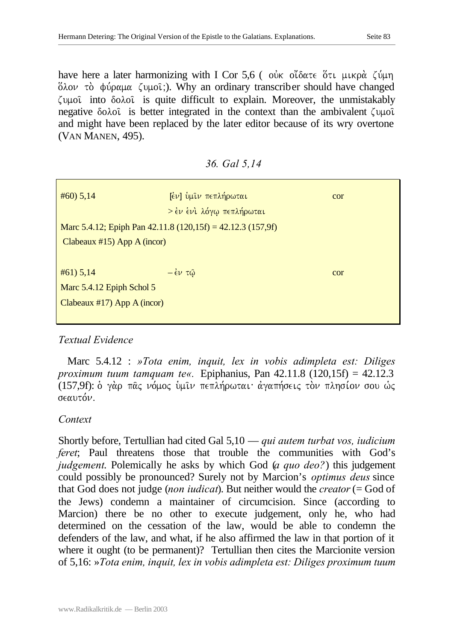have here a later harmonizing with I Cor 5,6 ( our older of  $t_i$  μικρά ζύμη  $\delta$ λον τὸ φύραμα ζυμοῖ;). Why an ordinary transcriber should have changed  $\zeta$ <sub>U</sub>µoi into  $\delta$ o $\lambda$ oi is quite difficult to explain. Moreover, the unmistakably negative  $\delta$ o $\lambda$ o $\hat{\iota}$  is better integrated in the context than the ambivalent  $\zeta \psi$ and might have been replaced by the later editor because of its wry overtone (VAN MANEN, 495).

*36. Gal 5,14*

| $\#60$ ) 5,14                  | <b>[εν]</b> ύμιν πεπλήρωται                                     | cor |  |
|--------------------------------|-----------------------------------------------------------------|-----|--|
|                                | > έν ένι λόγω πεπλήρωται                                        |     |  |
|                                | Marc 5.4.12; Epiph Pan $42.11.8$ (120,15f) = $42.12.3$ (157,9f) |     |  |
| Clabeaux $#15$ ) App A (incor) |                                                                 |     |  |
|                                |                                                                 |     |  |
| $#61)$ 5,14                    | $-\dot{\epsilon} \nu \tau \hat{\omega}$                         | cor |  |
| Marc 5.4.12 Epiph Schol 5      |                                                                 |     |  |
| Clabeaux $#17$ ) App A (incor) |                                                                 |     |  |
|                                |                                                                 |     |  |

## *Textual Evidence*

Marc 5.4.12 : *»Tota enim, inquit, lex in vobis adimpleta est: Diliges proximum tuum tamquam te«.* Epiphanius, Pan 42.11.8 (120,15f) = 42.12.3 (157,9f): ο γάρ πας νόμος υμιν πεπλήρωται· άγαπήσεις τον πλησίον σου ώς  $\sigma \epsilon \alpha$ *u* $\tau \acute{\alpha} \nu$ .

## *Context*

Shortly before, Tertullian had cited Gal 5,10 — *qui autem turbat vos, iudicium feret*; Paul threatens those that trouble the communities with God's *judgement*. Polemically he asks by which God (*a quo deo?*) this judgement could possibly be pronounced? Surely not by Marcion's *optimus deus* since that God does not judge (*non iudicat*). But neither would the *creator* (= God of the Jews) condemn a maintainer of circumcision. Since (according to Marcion) there be no other to execute judgement, only he, who had determined on the cessation of the law, would be able to condemn the defenders of the law, and what, if he also affirmed the law in that portion of it where it ought (to be permanent)? Tertullian then cites the Marcionite version of 5,16: »*Tota enim, inquit, lex in vobis adimpleta est: Diliges proximum tuum*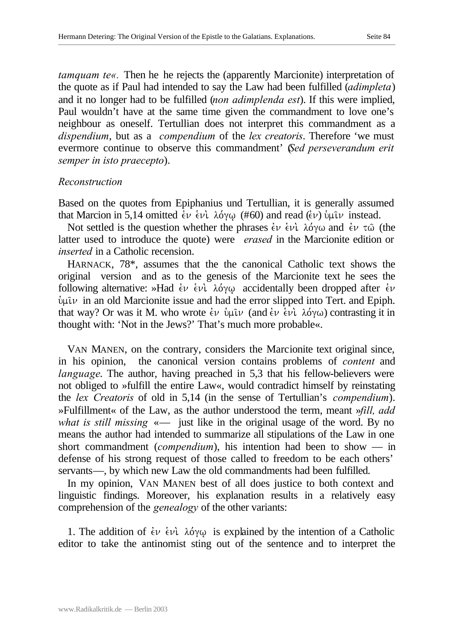*tamquam te«.* Then he he rejects the (apparently Marcionite) interpretation of the quote as if Paul had intended to say the Law had been fulfilled (*adimpleta*) and it no longer had to be fulfilled (*non adimplenda est*). If this were implied, Paul wouldn't have at the same time given the commandment to love one's neighbour as oneself. Tertullian does not interpret this commandment as a *dispendium*, but as a *compendium* of the *lex creatoris*. Therefore 'we must evermore continue to observe this commandment' (*Sed perseverandum erit semper in isto praecepto*).

#### *Reconstruction*

Based on the quotes from Epiphanius und Tertullian, it is generally assumed that Marcion in 5,14 omitted  $\epsilon \nu \dot{\epsilon} \nu \dot{\epsilon}$ . lo,  $\lambda \dot{\alpha} \gamma \omega$  (#60) and read ( $\epsilon \nu$ )  $\dot{\nu} \mu \hat{\iota} \nu$  instead.

Not settled is the question whether the phrases  $\dot{\epsilon}v \dot{\epsilon}v \dot{\epsilon} \dot{\epsilon} \dot{\epsilon}$  and  $\dot{\epsilon}v \dot{\epsilon} \dot{\epsilon} \dot{\epsilon}$  (the latter used to introduce the quote) were *erased* in the Marcionite edition or *inserted* in a Catholic recension.

HARNACK, 78\*, assumes that the the canonical Catholic text shows the original version and as to the genesis of the Marcionite text he sees the following alternative: »Had  $\acute{\epsilon}v$   $\acute{\epsilon}v$ .  $\lambda \acute{o}\gamma\omega$  accidentally been dropped after  $\acute{\epsilon}v$  $\psi$ u $\psi$  in an old Marcionite issue and had the error slipped into Tert. and Epiph. that way? Or was it M. who wrote  $\epsilon \nu$  *bulv* (and  $\epsilon \nu \epsilon \nu \lambda$  *dove)* contrasting it in thought with: 'Not in the Jews?' That's much more probable«.

VAN MANEN, on the contrary, considers the Marcionite text original since, in his opinion, the canonical version contains problems of *content* and *language*. The author, having preached in 5,3 that his fellow-believers were not obliged to »fulfill the entire Law«, would contradict himself by reinstating the *lex Creatoris* of old in 5,14 (in the sense of Tertullian's *compendium*). »Fulfillment« of the Law, as the author understood the term, meant »*fill, add what is still missing* «— just like in the original usage of the word. By no means the author had intended to summarize all stipulations of the Law in one short commandment (*compendium*), his intention had been to show — in defense of his strong request of those called to freedom to be each others' servants—, by which new Law the old commandments had been fulfilled.

In my opinion, VAN MANEN best of all does justice to both context and linguistic findings. Moreover, his explanation results in a relatively easy comprehension of the *genealogy* of the other variants:

1. The addition of  $\epsilon \nu$   $\epsilon \nu \lambda$   $\delta \gamma \omega$  is explained by the intention of a Catholic editor to take the antinomist sting out of the sentence and to interpret the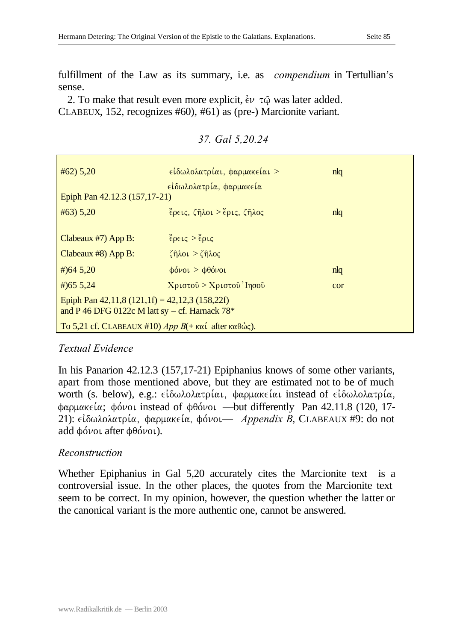fulfillment of the Law as its summary, i.e. as *compendium* in Tertullian's sense.

2. To make that result even more explicit,  $\epsilon \nu \tau \hat{\varphi}$  was later added. CLABEUX, 152, recognizes #60), #61) as (pre-) Marcionite variant.

| $#62)$ 5,20                                                                                        | είδωλολατρίαι, φαρμακείαι ><br>είδωλολατρία, φαρμακεία | n <sub>l</sub> |  |
|----------------------------------------------------------------------------------------------------|--------------------------------------------------------|----------------|--|
| Epiph Pan 42.12.3 (157,17-21)                                                                      |                                                        |                |  |
| $#63)$ 5,20                                                                                        | $\epsilon$ ρεις, ζήλοι > έρις, ζήλος                   | n <sub>l</sub> |  |
|                                                                                                    |                                                        |                |  |
| Clabeaux $#7$ ) App B:                                                                             | $\epsilon$ ρεις > έρις                                 |                |  |
| Clabeaux $#8$ ) App B:                                                                             | $\zeta$ ηλοι $>$ $\zeta$ ηλος                          |                |  |
| # $)645,20$                                                                                        | $\phi$ όνοι > $\phi$ θόνοι                             | n <sub>l</sub> |  |
| $\#$ ) 65 5, 24                                                                                    | Xριστοῦ > Xριστοῦ'Ιησοῦ                                | cor            |  |
| Epiph Pan $42,11,8(121,1f) = 42,12,3(158,22f)$<br>and P 46 DFG 0122c M latt sy – cf. Harnack $78*$ |                                                        |                |  |
| To 5,21 cf. CLABEAUX #10) App $B$ (+ καί after καθώς).                                             |                                                        |                |  |

*37. Gal 5,20.24*

## *Textual Evidence*

In his Panarion 42.12.3 (157,17-21) Epiphanius knows of some other variants, apart from those mentioned above, but they are estimated not to be of much worth (s. below), e.g.: είδωλολατρίαι, φαρμακείαι instead of είδωλολατρία,  $\phi$ αρμακεία; φόνοι instead of  $\phi$ θόνοι —but differently Pan 42.11.8 (120, 17-21):  $\epsilon\iota\delta\omega\lambda$ ολατρία, φαρμακεία, φόνοι— *Appendix B*, CLABEAUX #9: do not add  $\phi$ óvoi after  $\phi$  $\theta$ óvoi).

## *Reconstruction*

Whether Epiphanius in Gal 5,20 accurately cites the Marcionite text is a controversial issue. In the other places, the quotes from the Marcionite text seem to be correct. In my opinion, however, the question whether the latter or the canonical variant is the more authentic one, cannot be answered.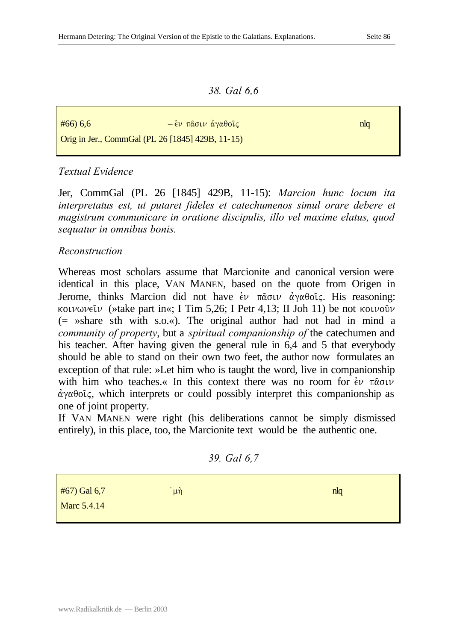*38. Gal 6,6*

 $\frac{\mu}{66}$ ) 6,6 and  $\frac{\mu}{64}$  =  $\frac{\mu}{64}$  πασιν άγαθοΐς της προσωπικής προσωπικής προσωπικής προσωπικής προσ

Orig in Jer., CommGal (PL 26 [1845] 429B, 11-15)

## *Textual Evidence*

Jer, CommGal (PL 26 [1845] 429B, 11-15): *Marcion hunc locum ita interpretatus est, ut putaret fideles et catechumenos simul orare debere et magistrum communicare in oratione discipulis, illo vel maxime elatus, quod sequatur in omnibus bonis.*

## *Reconstruction*

Whereas most scholars assume that Marcionite and canonical version were identical in this place, VAN MANEN, based on the quote from Origen in Jerome, thinks Marcion did not have  $\epsilon \nu$  πασιν αγαθοίς. His reasoning: koiv $\omega \nu \in \mathcal{W}$  (»take part in«; I Tim 5,26; I Petr 4,13; II Joh 11) be not koivour (= »share sth with s.o.«). The original author had not had in mind a *community of property*, but a *spiritual companionship of* the catechumen and his teacher. After having given the general rule in 6,4 and 5 that everybody should be able to stand on their own two feet, the author now formulates an exception of that rule: »Let him who is taught the word, live in companionship with him who teaches.« In this context there was no room for  $\dot{\epsilon}v$   $\pi \hat{\alpha} \sigma \nu$  $\dot{\alpha}$   $\gamma$  $\alpha$  $\theta$  $\alpha$ <sup>c</sup> $\zeta$ , which interprets or could possibly interpret this companionship as one of joint property.

If VAN MANEN were right (his deliberations cannot be simply dismissed entirely), in this place, too, the Marcionite text would be the authentic one.

*39. Gal 6,7*

| $#67)$ Gal 6,7 | $\bar{u}$ | n <sub>l</sub> |
|----------------|-----------|----------------|
| Marc 5.4.14    |           |                |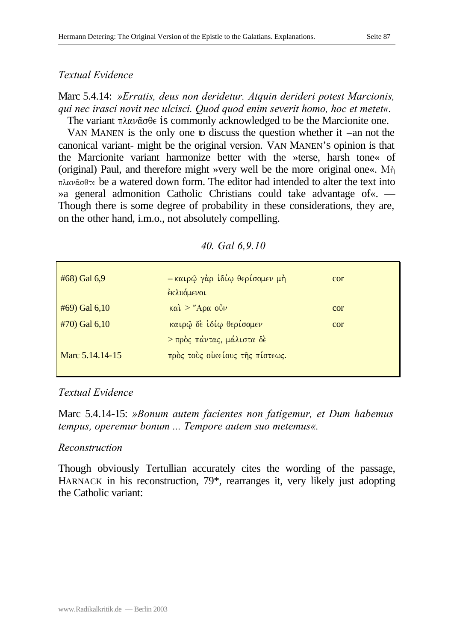#### *Textual Evidence*

Marc 5.4.14: *»Erratis, deus non deridetur. Atquin derideri potest Marcionis, qui nec irasci novit nec ulcisci. Quod quod enim severit homo, hoc et metet«.* The variant  $\pi \lambda \alpha \nu \hat{\alpha} \sigma \theta \in i \in \mathbb{S}$  commonly acknowledged to be the Marcionite one.

VAN MANEN is the only one to discuss the question whether it –an not the canonical variant- might be the original version. VAN MANEN'S opinion is that the Marcionite variant harmonize better with the »terse, harsh tone« of (original) Paul, and therefore might »very well be the more original one«.  $M\eta$ .  $\pi\lambda\alpha\nu\hat{\alpha}\sigma\theta\tau\epsilon$  be a watered down form. The editor had intended to alter the text into »a general admonition Catholic Christians could take advantage of«. — Though there is some degree of probability in these considerations, they are, on the other hand, i.m.o., not absolutely compelling.

| #68) Gal 6,9    | -καιρώ γάρ ίδίω θερίσομεν μή<br>εκλυόμενοι | cor |
|-----------------|--------------------------------------------|-----|
| #69) Gal 6,10   | $\kappa \alpha \hat{i}$ > "Αρα οὖν         | cor |
| $#70$ Gal 6,10  | καιρώ δε ίδίω θερίσομεν                    | cor |
|                 | > πρός πάντας, μάλιστα δέ                  |     |
| Marc 5.14.14-15 | πρός τους οίκείους της πίστεως.            |     |

#### *40. Gal 6,9.10*

# *Textual Evidence*

Marc 5.4.14-15: *»Bonum autem facientes non fatigemur, et Dum habemus tempus, operemur bonum ... Tempore autem suo metemus«.*

## *Reconstruction*

Though obviously Tertullian accurately cites the wording of the passage, HARNACK in his reconstruction, 79\*, rearranges it, very likely just adopting the Catholic variant: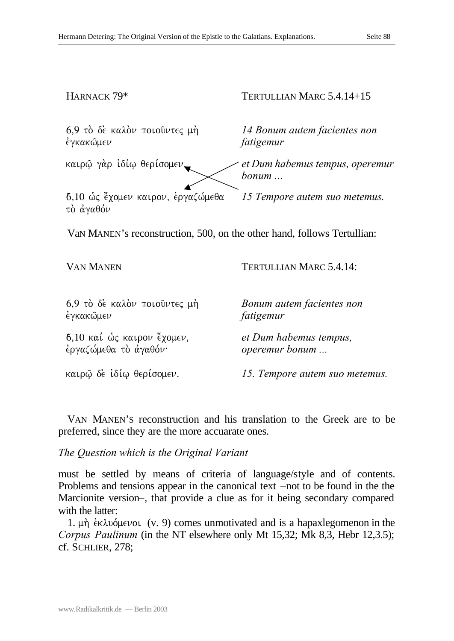HARNACK 79\*

# TERTULLIAN MARC 5.4.14+15

 $6,9$  τὸ δὲ καλὸν ποιοῦντες μὴ. έγκακώμεν

*14 Bonum autem facientes non fatigemur* 

*et Dum habemus tempus, operemur* 

καιρώ γάρ ιδίω θερίσομεν

6,10 ως <sup>z</sup>χομεν καιρον, ἐργαζώμεθα *15 Tempore autem suo metemus.* τὸ ἀγαθόν

VaN MANEN's reconstruction, 500, on the other hand, follows Tertullian:

*bonum ...*

*fatigemur*

VAN MANEN

TERTULLIAN MARC 5.4.14:

*Bonum autem facientes non* 

 $6.9$  to  $\delta \epsilon$  καλόν ποιούντες μή. έγκακώμεν

 $6,10$  καί ώς καιρον έχομεν, εργαζώμεθα τὸ ἀγαθόν·

*et Dum habemus tempus, operemur bonum ...*

καιρῶ δὲ ἰδίω θερίσομεν.

*15. Tempore autem suo metemus.* 

VAN MANEN'S reconstruction and his translation to the Greek are to be preferred, since they are the more accuarate ones.

*The Question which is the Original Variant* 

must be settled by means of criteria of language/style and of contents. Problems and tensions appear in the canonical text –not to be found in the the Marcionite version–, that provide a clue as for it being secondary compared with the latter:

1.  $\mu$ η *εκλυόμενοι* (v. 9) comes unmotivated and is a hapaxlegomenon in the *Corpus Paulinum* (in the NT elsewhere only Mt 15,32; Mk 8,3, Hebr 12,3.5); cf. SCHLIER, 278;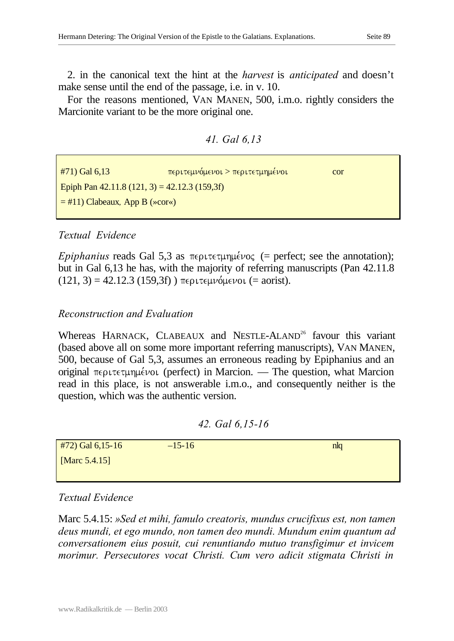2. in the canonical text the hint at the *harvest* is *anticipated* and doesn't make sense until the end of the passage, i.e. in v. 10.

For the reasons mentioned, VAN MANEN, 500, i.m.o. rightly considers the Marcionite variant to be the more original one.

*41. Gal 6,13*

| $#71)$ Gal 6,13                               | <b>περιτεμνόμενοι &gt; περιτετμημένοι</b> | cor |
|-----------------------------------------------|-------------------------------------------|-----|
| Epiph Pan $42.11.8(121, 3) = 42.12.3(159,3f)$ |                                           |     |
| $=$ #11) Clabeaux, App B (»cor«)              |                                           |     |
|                                               |                                           |     |

### *Textual Evidence*

*Epiphanius* reads Gal 5,3 as  $\pi \in \text{P}$  *Figures* (= perfect; see the annotation); but in Gal 6,13 he has, with the majority of referring manuscripts (Pan 42.11.8  $(121, 3) = 42.12.3$   $(159.3f)$ ) περιτεμνόμενοι (= aorist).

#### *Reconstruction and Evaluation*

Whereas HARNACK, CLABEAUX and NESTLE-ALAND<sup>26</sup> favour this variant (based above all on some more important referring manuscripts), VAN MANEN, 500, because of Gal 5,3, assumes an erroneous reading by Epiphanius and an original  $\pi \epsilon$  pertective (perfect) in Marcion. — The question, what Marcion read in this place, is not answerable i.m.o., and consequently neither is the question, which was the authentic version.

#### *42. Gal 6,15-16*

| $#72)$ Gal 6,15-16 | $-15-16$ | n <sub>q</sub> |
|--------------------|----------|----------------|
| [Marc $5.4.15$ ]   |          |                |
|                    |          |                |

# *Textual Evidence*

Marc 5.4.15: *»Sed et mihi, famulo creatoris, mundus crucifixus est, non tamen deus mundi, et ego mundo, non tamen deo mundi. Mundum enim quantum ad conversationem eius posuit, cui renuntiando mutuo transfigimur et invicem morimur. Persecutores vocat Christi. Cum vero adicit stigmata Christi in*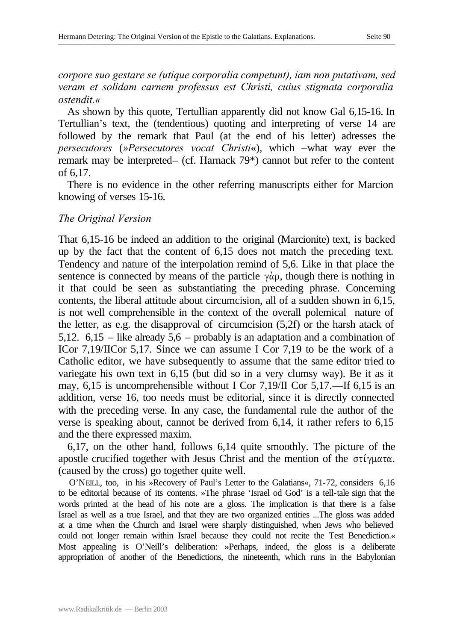*corpore suo gestare se (utique corporalia competunt), iam non putativam, sed veram et solidam carnem professus est Christi, cuius stigmata corporalia ostendit.«*

As shown by this quote, Tertullian apparently did not know Gal 6,15-16. In Tertullian's text, the (tendentious) quoting and interpreting of verse 14 are followed by the remark that Paul (at the end of his letter) adresses the *persecutores* (*»Persecutores vocat Christi*«), which –what way ever the remark may be interpreted– (cf. Harnack 79\*) cannot but refer to the content of 6,17.

There is no evidence in the other referring manuscripts either for Marcion knowing of verses 15-16.

#### *The Original Version*

That 6,15-16 be indeed an addition to the original (Marcionite) text, is backed up by the fact that the content of 6,15 does not match the preceding text. Tendency and nature of the interpolation remind of 5,6. Like in that place the sentence is connected by means of the particle  $\gamma \dot{\alpha}$ , though there is nothing in it that could be seen as substantiating the preceding phrase. Concerning contents, the liberal attitude about circumcision, all of a sudden shown in 6,15, is not well comprehensible in the context of the overall polemical nature of the letter, as e.g. the disapproval of circumcision (5,2f) or the harsh atack of 5,12. 6,15 – like already 5,6 – probably is an adaptation and a combination of ICor 7,19/IICor 5,17. Since we can assume I Cor 7,19 to be the work of a Catholic editor, we have subsequently to assume that the same editor tried to variegate his own text in 6,15 (but did so in a very clumsy way). Be it as it may, 6,15 is uncomprehensible without I Cor 7,19/II Cor 5,17.—If 6,15 is an addition, verse 16, too needs must be editorial, since it is directly connected with the preceding verse. In any case, the fundamental rule the author of the verse is speaking about, cannot be derived from 6,14, it rather refers to 6,15 and the there expressed maxim.

6,17, on the other hand, follows 6,14 quite smoothly. The picture of the apostle crucified together with Jesus Christ and the mention of the  $\sigma\tau\gamma\mu\alpha\tau\alpha$ . (caused by the cross) go together quite well.

O'NEILL, too, in his »Recovery of Paul's Letter to the Galatians«, 71-72, considers 6,16 to be editorial because of its contents. »The phrase 'Israel od God' is a tell-tale sign that the words printed at the head of his note are a gloss. The implication is that there is a false Israel as well as a true Israel, and that they are two organized entities ...The gloss was added at a time when the Church and Israel were sharply distinguished, when Jews who believed could not longer remain within Israel because they could not recite the Test Benediction.« Most appealing is O'Neill's deliberation: »Perhaps, indeed, the gloss is a deliberate appropriation of another of the Benedictions, the nineteenth, which runs in the Babylonian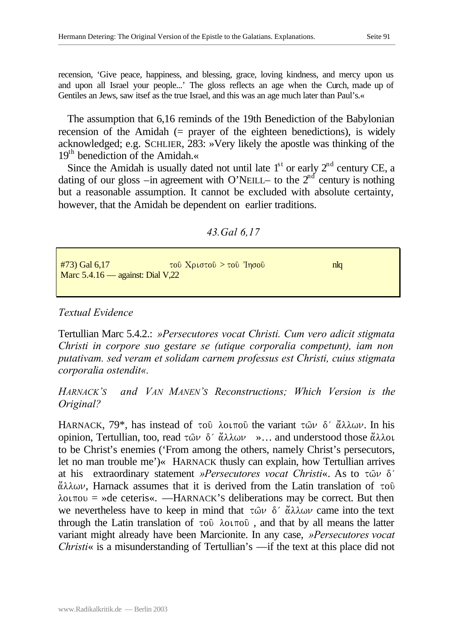recension, 'Give peace, happiness, and blessing, grace, loving kindness, and mercy upon us and upon all Israel your people...' The gloss reflects an age when the Curch, made up of Gentiles an Jews, saw itsef as the true Israel, and this was an age much later than Paul's.«

The assumption that 6,16 reminds of the 19th Benediction of the Babylonian recension of the Amidah (= prayer of the eighteen benedictions), is widely acknowledged; e.g. SCHLIER, 283: »Very likely the apostle was thinking of the  $19<sup>th</sup>$  benediction of the Amidah.

Since the Amidah is usually dated not until late  $1<sup>st</sup>$  or early  $2<sup>nd</sup>$  century CE, a dating of our gloss –in agreement with O'NEILL– to the  $2<sup>nd</sup>$  century is nothing but a reasonable assumption. It cannot be excluded with absolute certainty, however, that the Amidah be dependent on earlier traditions.

*43.Gal 6,17*

| $#73)$ Gal 6,17                    | <u>τοῦ Χριστοῦ &gt; τοῦ Ἰησοῦ</u> | nla |  |
|------------------------------------|-----------------------------------|-----|--|
| Marc $5.4.16$ — against: Dial V,22 |                                   |     |  |

## *Textual Evidence*

Tertullian Marc 5.4.2.: *»Persecutores vocat Christi. Cum vero adicit stigmata Christi in corpore suo gestare se (utique corporalia competunt), iam non putativam. sed veram et solidam carnem professus est Christi, cuius stigmata corporalia ostendit«.*

*HARNACK'S and VAN MANEN'S Reconstructions; Which Version is the Original?*

HARNACK,  $79^*$ , has instead of to *l*oiro the variant two  $\delta'$  as as as in his opinion, Tertullian, too, read  $\tau \hat{\omega} \nu \delta' \hat{\alpha} \lambda \lambda \omega \nu \rightarrow \ldots$  and understood those  $\hat{\alpha} \lambda \lambda \omega \nu$ to be Christ's enemies ('From among the others, namely Christ's persecutors, let no man trouble me')« HARNACK thusly can explain, how Tertullian arrives at his extraordinary statement *»Persecutores vocat Christi«*. As to τῶν δ<sup>'</sup>  $\ddot{\alpha}\lambda\lambda\omega\nu$ , Harnack assumes that it is derived from the Latin translation of  $\tau$ o0  $\lambda$ ot  $\pi$ ov = »de ceteris«. —HARNACK's deliberations may be correct. But then we nevertheless have to keep in mind that  $\tau \hat{\omega} \nu \delta' \hat{\alpha} \lambda \hat{\omega} \nu$  came into the text through the Latin translation of  $\tau$ oû  $\lambda$ ot $\pi$ oû, and that by all means the latter variant might already have been Marcionite. In any case, *»Persecutores vocat Christi*« is a misunderstanding of Tertullian's —if the text at this place did not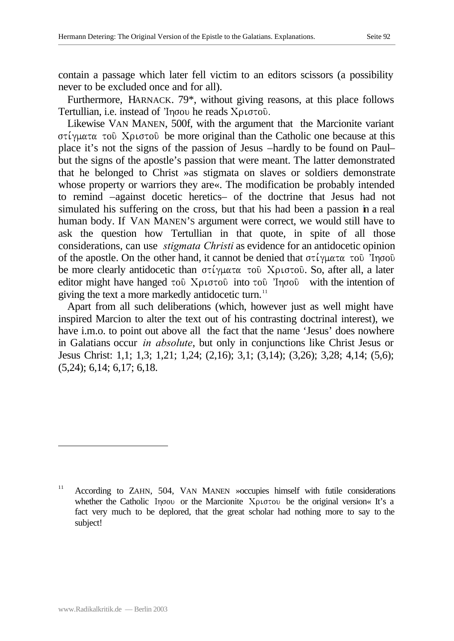contain a passage which later fell victim to an editors scissors (a possibility never to be excluded once and for all).

Furthermore, HARNACK. 79\*, without giving reasons, at this place follows Tertullian, i.e. instead of  $Topo$  he reads  $Xp$ 

Likewise VAN MANEN, 500f, with the argument that the Marcionite variant  $\sigma t$ <sup>i</sup> $\gamma$ ματα τοῦ Χριστοῦ be more original than the Catholic one because at this place it's not the signs of the passion of Jesus –hardly to be found on Paul– but the signs of the apostle's passion that were meant. The latter demonstrated that he belonged to Christ »as stigmata on slaves or soldiers demonstrate whose property or warriors they are«. The modification be probably intended to remind –against docetic heretics– of the doctrine that Jesus had not simulated his suffering on the cross, but that his had been a passion in a real human body. If VAN MANEN'S argument were correct, we would still have to ask the question how Tertullian in that quote, in spite of all those considerations, can use *stigmata Christi* as evidence for an antidocetic opinion of the apostle. On the other hand, it cannot be denied that  $\sigma\tau\gamma\mu\alpha\tau\alpha\tau$  to  $\gamma\eta\sigma\sigma\hat{\nu}$ be more clearly antidocetic than  $\sigma\tau\iota\gamma\mu\alpha\tau\alpha$  to  $X\rho\iota\sigma\tau$ ou. So, after all, a later editor might have hanged  $\tau$  to  $\Omega$   $\Lambda$   $\rho$  to  $\tau$  of  $\eta$  into  $\tau$  of  $\eta$   $\sigma$   $\theta$  with the intention of giving the text a more markedly antidocetic turn. $11$ 

Apart from all such deliberations (which, however just as well might have inspired Marcion to alter the text out of his contrasting doctrinal interest), we have *i.m.o.* to point out above all the fact that the name 'Jesus' does nowhere in Galatians occur *in absolute*, but only in conjunctions like Christ Jesus or Jesus Christ: 1,1; 1,3; 1,21; 1,24; (2,16); 3,1; (3,14); (3,26); 3,28; 4,14; (5,6); (5,24); 6,14; 6,17; 6,18.

l

<sup>&</sup>lt;sup>11</sup> According to ZAHN, 504, VAN MANEN »occupies himself with futile considerations whether the Catholic Ihsou or the Marcionite Cristou be the original version« It's a fact very much to be deplored, that the great scholar had nothing more to say to the subject!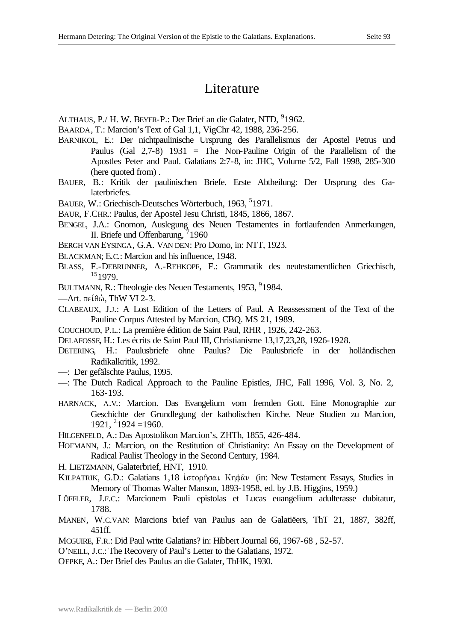# Literature

ALTHAUS, P./ H. W. BEYER-P.: Der Brief an die Galater, NTD, <sup>9</sup>1962.

BAARDA, T.: Marcion's Text of Gal 1,1, VigChr 42, 1988, 236-256.

- BARNIKOL, E.: Der nichtpaulinische Ursprung des Parallelismus der Apostel Petrus und Paulus (Gal 2,7-8) 1931 = The Non-Pauline Origin of the Parallelism of the Apostles Peter and Paul. Galatians 2:7-8, in: JHC, Volume 5/2, Fall 1998, 285-300 (here quoted from) .
- BAUER, B.: Kritik der paulinischen Briefe. Erste Abtheilung: Der Ursprung des Galaterbriefes.
- BAUER, W.: Griechisch-Deutsches Wörterbuch, 1963, <sup>5</sup>1971.
- BAUR, F.CHR.: Paulus, der Apostel Jesu Christi, 1845, 1866, 1867.
- BENGEL, J.A.: Gnomon, Auslegung des Neuen Testamentes in fortlaufenden Anmerkungen, II. Briefe und Offenbarung, 71960
- BERGH VAN EYSINGA, G.A. VAN DEN: Pro Domo, in: NTT, 1923.
- BLACKMAN; E.C.: Marcion and his influence, 1948.
- BLASS, F.-DEBRUNNER, A.-REHKOPF, F.: Grammatik des neutestamentlichen Griechisch, <sup>15</sup>1979.
- BULTMANN, R.: Theologie des Neuen Testaments, 1953, <sup>9</sup>1984.
- $-\text{Art.}$  πείθώ, ThW VI 2-3.
- CLABEAUX, J.J.: A Lost Edition of the Letters of Paul. A Reassessment of the Text of the Pauline Corpus Attested by Marcion, CBQ. MS 21, 1989.
- COUCHOUD, P.L.: La première édition de Saint Paul, RHR , 1926, 242-263.
- DELAFOSSE, H.: Les écrits de Saint Paul III, Christianisme 13,17,23,28, 1926-1928.
- DETERING, H.: Paulusbriefe ohne Paulus? Die Paulusbriefe in der holländischen Radikalkritik, 1992.
- —: Der gefälschte Paulus, 1995.
- —: The Dutch Radical Approach to the Pauline Epistles, JHC, Fall 1996, Vol. 3, No. 2, 163-193.
- HARNACK, A.V.: Marcion. Das Evangelium vom fremden Gott. Eine Monographie zur Geschichte der Grundlegung der katholischen Kirche. Neue Studien zu Marcion,  $1921, ^{2}1924 = 1960.$
- HILGENFELD, A.: Das Apostolikon Marcion's, ZHTh, 1855, 426-484.
- HOFMANN, J.: Marcion, on the Restitution of Christianity: An Essay on the Development of Radical Paulist Theology in the Second Century, 1984.
- H. LIETZMANN, Galaterbrief, HNT, 1910.
- KILPATRIK, G.D.: Galatians 1,18 ιστορήσαι Κηφαν (in: New Testament Essays, Studies in Memory of Thomas Walter Manson, 1893-1958, ed. by J.B. Higgins, 1959.)
- LÖFFLER, J.F.C.: Marcionem Pauli epistolas et Lucas euangelium adulterasse dubitatur, 1788.
- MANEN, W.C.VAN: Marcions brief van Paulus aan de Galatiëers, ThT 21, 1887, 382ff, 451ff.
- MCGUIRE, F.R.: Did Paul write Galatians? in: Hibbert Journal 66, 1967-68 , 52-57.
- O'NEILL, J.C.: The Recovery of Paul's Letter to the Galatians, 1972.
- OEPKE, A.: Der Brief des Paulus an die Galater, ThHK, 1930.